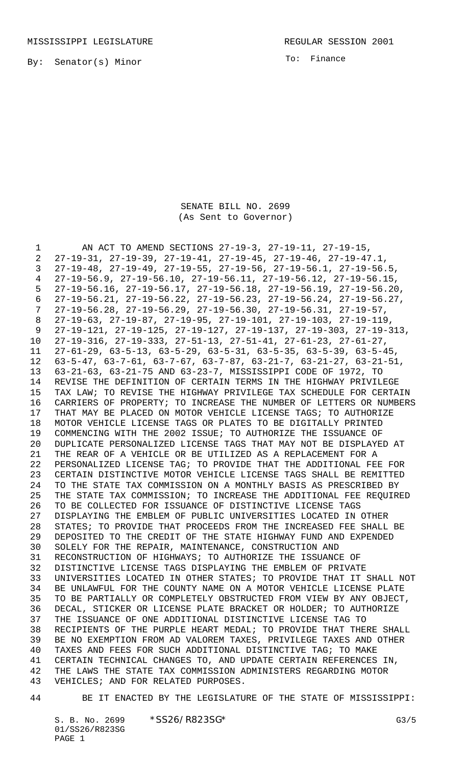By: Senator(s) Minor

To: Finance

## SENATE BILL NO. 2699 (As Sent to Governor)

 AN ACT TO AMEND SECTIONS 27-19-3, 27-19-11, 27-19-15, 27-19-31, 27-19-39, 27-19-41, 27-19-45, 27-19-46, 27-19-47.1, 27-19-48, 27-19-49, 27-19-55, 27-19-56, 27-19-56.1, 27-19-56.5, 27-19-56.9, 27-19-56.10, 27-19-56.11, 27-19-56.12, 27-19-56.15, 27-19-56.16, 27-19-56.17, 27-19-56.18, 27-19-56.19, 27-19-56.20, 27-19-56.21, 27-19-56.22, 27-19-56.23, 27-19-56.24, 27-19-56.27, 27-19-56.28, 27-19-56.29, 27-19-56.30, 27-19-56.31, 27-19-57, 27-19-63, 27-19-87, 27-19-95, 27-19-101, 27-19-103, 27-19-119, 27-19-121, 27-19-125, 27-19-127, 27-19-137, 27-19-303, 27-19-313, 27-19-316, 27-19-333, 27-51-13, 27-51-41, 27-61-23, 27-61-27, 27-61-29, 63-5-13, 63-5-29, 63-5-31, 63-5-35, 63-5-39, 63-5-45, 63-5-47, 63-7-61, 63-7-67, 63-7-87, 63-21-7, 63-21-27, 63-21-51, 63-21-63, 63-21-75 AND 63-23-7, MISSISSIPPI CODE OF 1972, TO REVISE THE DEFINITION OF CERTAIN TERMS IN THE HIGHWAY PRIVILEGE TAX LAW; TO REVISE THE HIGHWAY PRIVILEGE TAX SCHEDULE FOR CERTAIN CARRIERS OF PROPERTY; TO INCREASE THE NUMBER OF LETTERS OR NUMBERS THAT MAY BE PLACED ON MOTOR VEHICLE LICENSE TAGS; TO AUTHORIZE MOTOR VEHICLE LICENSE TAGS OR PLATES TO BE DIGITALLY PRINTED COMMENCING WITH THE 2002 ISSUE; TO AUTHORIZE THE ISSUANCE OF DUPLICATE PERSONALIZED LICENSE TAGS THAT MAY NOT BE DISPLAYED AT THE REAR OF A VEHICLE OR BE UTILIZED AS A REPLACEMENT FOR A PERSONALIZED LICENSE TAG; TO PROVIDE THAT THE ADDITIONAL FEE FOR CERTAIN DISTINCTIVE MOTOR VEHICLE LICENSE TAGS SHALL BE REMITTED TO THE STATE TAX COMMISSION ON A MONTHLY BASIS AS PRESCRIBED BY THE STATE TAX COMMISSION; TO INCREASE THE ADDITIONAL FEE REQUIRED TO BE COLLECTED FOR ISSUANCE OF DISTINCTIVE LICENSE TAGS DISPLAYING THE EMBLEM OF PUBLIC UNIVERSITIES LOCATED IN OTHER STATES; TO PROVIDE THAT PROCEEDS FROM THE INCREASED FEE SHALL BE DEPOSITED TO THE CREDIT OF THE STATE HIGHWAY FUND AND EXPENDED SOLELY FOR THE REPAIR, MAINTENANCE, CONSTRUCTION AND RECONSTRUCTION OF HIGHWAYS; TO AUTHORIZE THE ISSUANCE OF DISTINCTIVE LICENSE TAGS DISPLAYING THE EMBLEM OF PRIVATE UNIVERSITIES LOCATED IN OTHER STATES; TO PROVIDE THAT IT SHALL NOT BE UNLAWFUL FOR THE COUNTY NAME ON A MOTOR VEHICLE LICENSE PLATE TO BE PARTIALLY OR COMPLETELY OBSTRUCTED FROM VIEW BY ANY OBJECT, DECAL, STICKER OR LICENSE PLATE BRACKET OR HOLDER; TO AUTHORIZE THE ISSUANCE OF ONE ADDITIONAL DISTINCTIVE LICENSE TAG TO RECIPIENTS OF THE PURPLE HEART MEDAL; TO PROVIDE THAT THERE SHALL BE NO EXEMPTION FROM AD VALOREM TAXES, PRIVILEGE TAXES AND OTHER TAXES AND FEES FOR SUCH ADDITIONAL DISTINCTIVE TAG; TO MAKE CERTAIN TECHNICAL CHANGES TO, AND UPDATE CERTAIN REFERENCES IN, THE LAWS THE STATE TAX COMMISSION ADMINISTERS REGARDING MOTOR VEHICLES; AND FOR RELATED PURPOSES.

BE IT ENACTED BY THE LEGISLATURE OF THE STATE OF MISSISSIPPI:

S. B. No. 2699 \* SS26/R823SG\* G3/5 01/SS26/R823SG PAGE 1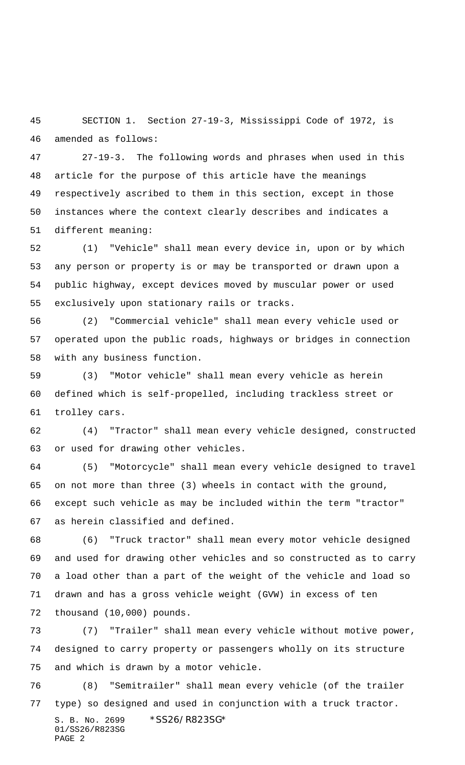SECTION 1. Section 27-19-3, Mississippi Code of 1972, is amended as follows:

 27-19-3. The following words and phrases when used in this article for the purpose of this article have the meanings respectively ascribed to them in this section, except in those instances where the context clearly describes and indicates a different meaning:

 (1) "Vehicle" shall mean every device in, upon or by which any person or property is or may be transported or drawn upon a public highway, except devices moved by muscular power or used exclusively upon stationary rails or tracks.

 (2) "Commercial vehicle" shall mean every vehicle used or operated upon the public roads, highways or bridges in connection with any business function.

 (3) "Motor vehicle" shall mean every vehicle as herein defined which is self-propelled, including trackless street or trolley cars.

 (4) "Tractor" shall mean every vehicle designed, constructed or used for drawing other vehicles.

 (5) "Motorcycle" shall mean every vehicle designed to travel on not more than three (3) wheels in contact with the ground, except such vehicle as may be included within the term "tractor" as herein classified and defined.

 (6) "Truck tractor" shall mean every motor vehicle designed and used for drawing other vehicles and so constructed as to carry a load other than a part of the weight of the vehicle and load so drawn and has a gross vehicle weight (GVW) in excess of ten thousand (10,000) pounds.

 (7) "Trailer" shall mean every vehicle without motive power, designed to carry property or passengers wholly on its structure and which is drawn by a motor vehicle.

S. B. No. 2699 \*SS26/R823SG\* 01/SS26/R823SG PAGE 2 (8) "Semitrailer" shall mean every vehicle (of the trailer type) so designed and used in conjunction with a truck tractor.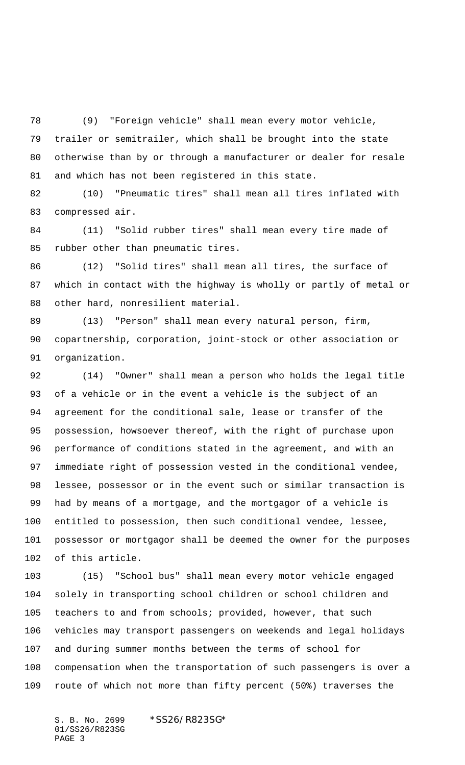(9) "Foreign vehicle" shall mean every motor vehicle, trailer or semitrailer, which shall be brought into the state otherwise than by or through a manufacturer or dealer for resale and which has not been registered in this state.

 (10) "Pneumatic tires" shall mean all tires inflated with compressed air.

 (11) "Solid rubber tires" shall mean every tire made of rubber other than pneumatic tires.

 (12) "Solid tires" shall mean all tires, the surface of which in contact with the highway is wholly or partly of metal or other hard, nonresilient material.

 (13) "Person" shall mean every natural person, firm, copartnership, corporation, joint-stock or other association or organization.

 (14) "Owner" shall mean a person who holds the legal title of a vehicle or in the event a vehicle is the subject of an agreement for the conditional sale, lease or transfer of the possession, howsoever thereof, with the right of purchase upon performance of conditions stated in the agreement, and with an immediate right of possession vested in the conditional vendee, lessee, possessor or in the event such or similar transaction is had by means of a mortgage, and the mortgagor of a vehicle is entitled to possession, then such conditional vendee, lessee, possessor or mortgagor shall be deemed the owner for the purposes of this article.

 (15) "School bus" shall mean every motor vehicle engaged solely in transporting school children or school children and teachers to and from schools; provided, however, that such vehicles may transport passengers on weekends and legal holidays and during summer months between the terms of school for compensation when the transportation of such passengers is over a route of which not more than fifty percent (50%) traverses the

S. B. No. 2699 \*SS26/R823SG\* 01/SS26/R823SG PAGE 3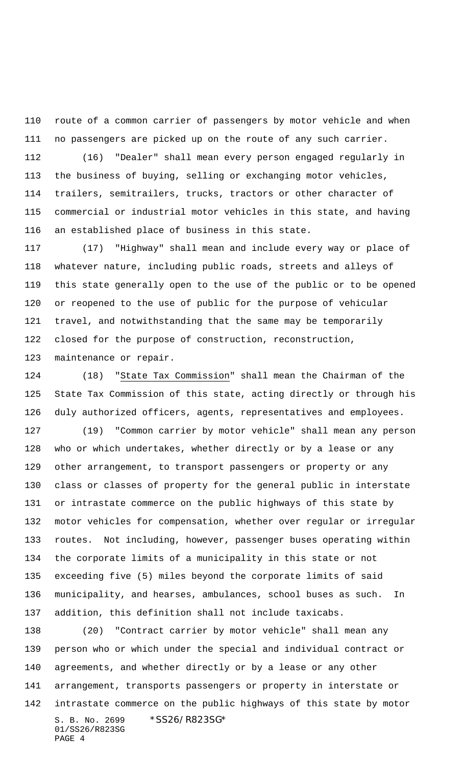route of a common carrier of passengers by motor vehicle and when no passengers are picked up on the route of any such carrier.

 (16) "Dealer" shall mean every person engaged regularly in the business of buying, selling or exchanging motor vehicles, trailers, semitrailers, trucks, tractors or other character of commercial or industrial motor vehicles in this state, and having an established place of business in this state.

 (17) "Highway" shall mean and include every way or place of whatever nature, including public roads, streets and alleys of this state generally open to the use of the public or to be opened or reopened to the use of public for the purpose of vehicular travel, and notwithstanding that the same may be temporarily closed for the purpose of construction, reconstruction, maintenance or repair.

 (18) "State Tax Commission" shall mean the Chairman of the State Tax Commission of this state, acting directly or through his duly authorized officers, agents, representatives and employees.

 (19) "Common carrier by motor vehicle" shall mean any person who or which undertakes, whether directly or by a lease or any other arrangement, to transport passengers or property or any class or classes of property for the general public in interstate or intrastate commerce on the public highways of this state by motor vehicles for compensation, whether over regular or irregular routes. Not including, however, passenger buses operating within the corporate limits of a municipality in this state or not exceeding five (5) miles beyond the corporate limits of said municipality, and hearses, ambulances, school buses as such. In addition, this definition shall not include taxicabs.

S. B. No. 2699 \* SS26/R823SG\* 01/SS26/R823SG PAGE 4 (20) "Contract carrier by motor vehicle" shall mean any person who or which under the special and individual contract or agreements, and whether directly or by a lease or any other arrangement, transports passengers or property in interstate or intrastate commerce on the public highways of this state by motor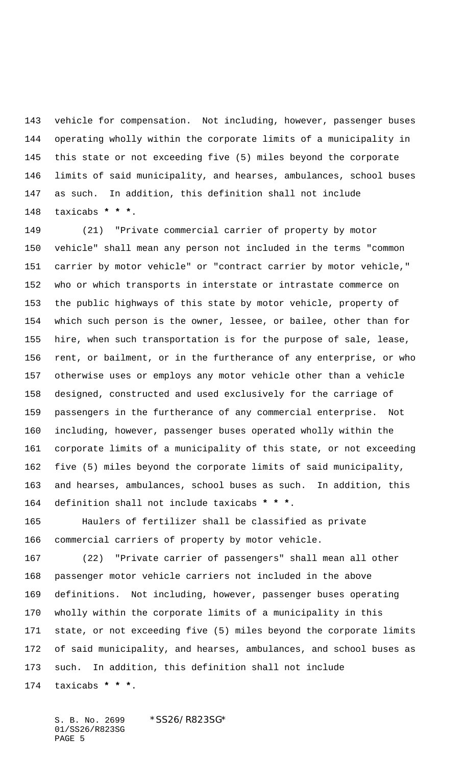vehicle for compensation. Not including, however, passenger buses operating wholly within the corporate limits of a municipality in this state or not exceeding five (5) miles beyond the corporate limits of said municipality, and hearses, ambulances, school buses as such. In addition, this definition shall not include taxicabs **\* \* \***.

 (21) "Private commercial carrier of property by motor vehicle" shall mean any person not included in the terms "common carrier by motor vehicle" or "contract carrier by motor vehicle," who or which transports in interstate or intrastate commerce on the public highways of this state by motor vehicle, property of which such person is the owner, lessee, or bailee, other than for hire, when such transportation is for the purpose of sale, lease, rent, or bailment, or in the furtherance of any enterprise, or who otherwise uses or employs any motor vehicle other than a vehicle designed, constructed and used exclusively for the carriage of passengers in the furtherance of any commercial enterprise. Not including, however, passenger buses operated wholly within the corporate limits of a municipality of this state, or not exceeding five (5) miles beyond the corporate limits of said municipality, and hearses, ambulances, school buses as such. In addition, this definition shall not include taxicabs **\* \* \***.

 Haulers of fertilizer shall be classified as private commercial carriers of property by motor vehicle.

 (22) "Private carrier of passengers" shall mean all other passenger motor vehicle carriers not included in the above definitions. Not including, however, passenger buses operating wholly within the corporate limits of a municipality in this state, or not exceeding five (5) miles beyond the corporate limits of said municipality, and hearses, ambulances, and school buses as such. In addition, this definition shall not include taxicabs **\* \* \***.

S. B. No. 2699 \*SS26/R823SG\* 01/SS26/R823SG PAGE 5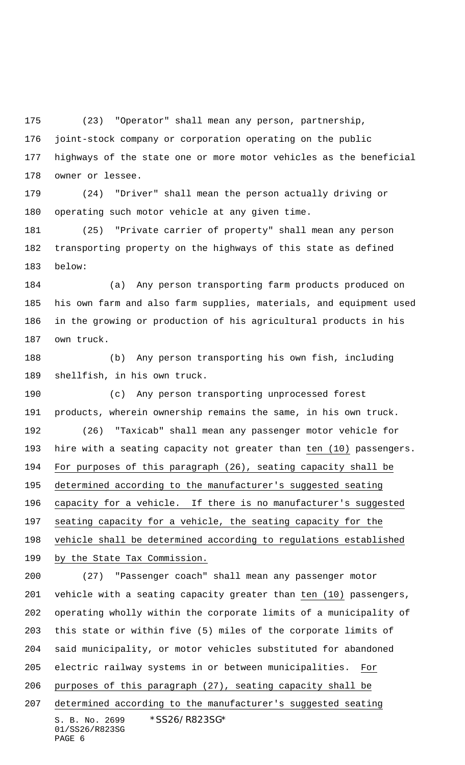(23) "Operator" shall mean any person, partnership,

 joint-stock company or corporation operating on the public highways of the state one or more motor vehicles as the beneficial owner or lessee.

 (24) "Driver" shall mean the person actually driving or operating such motor vehicle at any given time.

 (25) "Private carrier of property" shall mean any person transporting property on the highways of this state as defined below:

 (a) Any person transporting farm products produced on his own farm and also farm supplies, materials, and equipment used in the growing or production of his agricultural products in his own truck.

 (b) Any person transporting his own fish, including shellfish, in his own truck.

 (c) Any person transporting unprocessed forest products, wherein ownership remains the same, in his own truck. (26) "Taxicab" shall mean any passenger motor vehicle for hire with a seating capacity not greater than ten (10) passengers. For purposes of this paragraph (26), seating capacity shall be determined according to the manufacturer's suggested seating capacity for a vehicle. If there is no manufacturer's suggested seating capacity for a vehicle, the seating capacity for the vehicle shall be determined according to regulations established 199 by the State Tax Commission.

S. B. No. 2699 \* SS26/R823SG\* 01/SS26/R823SG PAGE 6 (27) "Passenger coach" shall mean any passenger motor vehicle with a seating capacity greater than ten (10) passengers, operating wholly within the corporate limits of a municipality of this state or within five (5) miles of the corporate limits of said municipality, or motor vehicles substituted for abandoned electric railway systems in or between municipalities. For purposes of this paragraph (27), seating capacity shall be determined according to the manufacturer's suggested seating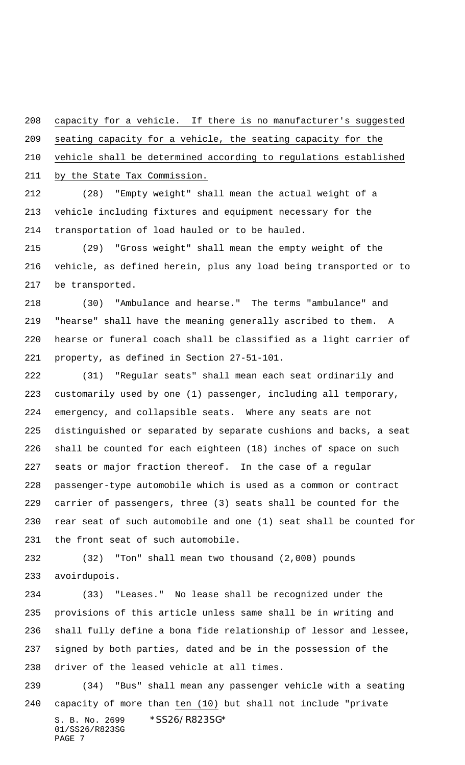capacity for a vehicle. If there is no manufacturer's suggested

seating capacity for a vehicle, the seating capacity for the

vehicle shall be determined according to regulations established

by the State Tax Commission.

 (28) "Empty weight" shall mean the actual weight of a vehicle including fixtures and equipment necessary for the transportation of load hauled or to be hauled.

 (29) "Gross weight" shall mean the empty weight of the vehicle, as defined herein, plus any load being transported or to be transported.

 (30) "Ambulance and hearse." The terms "ambulance" and "hearse" shall have the meaning generally ascribed to them. A hearse or funeral coach shall be classified as a light carrier of property, as defined in Section 27-51-101.

 (31) "Regular seats" shall mean each seat ordinarily and customarily used by one (1) passenger, including all temporary, emergency, and collapsible seats. Where any seats are not distinguished or separated by separate cushions and backs, a seat shall be counted for each eighteen (18) inches of space on such seats or major fraction thereof. In the case of a regular passenger-type automobile which is used as a common or contract carrier of passengers, three (3) seats shall be counted for the rear seat of such automobile and one (1) seat shall be counted for the front seat of such automobile.

 (32) "Ton" shall mean two thousand (2,000) pounds avoirdupois.

 (33) "Leases." No lease shall be recognized under the provisions of this article unless same shall be in writing and shall fully define a bona fide relationship of lessor and lessee, signed by both parties, dated and be in the possession of the driver of the leased vehicle at all times.

S. B. No. 2699 \*SS26/R823SG\* 01/SS26/R823SG PAGE 7 (34) "Bus" shall mean any passenger vehicle with a seating capacity of more than ten (10) but shall not include "private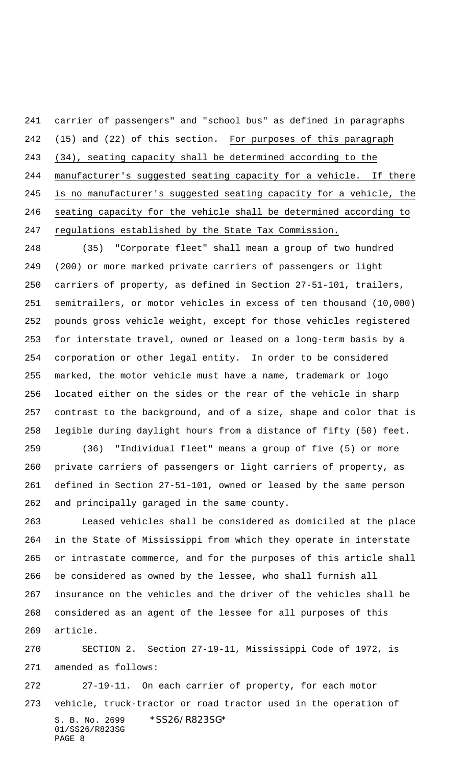carrier of passengers" and "school bus" as defined in paragraphs (15) and (22) of this section. For purposes of this paragraph (34), seating capacity shall be determined according to the manufacturer's suggested seating capacity for a vehicle. If there is no manufacturer's suggested seating capacity for a vehicle, the seating capacity for the vehicle shall be determined according to regulations established by the State Tax Commission.

 (35) "Corporate fleet" shall mean a group of two hundred (200) or more marked private carriers of passengers or light carriers of property, as defined in Section 27-51-101, trailers, semitrailers, or motor vehicles in excess of ten thousand (10,000) pounds gross vehicle weight, except for those vehicles registered for interstate travel, owned or leased on a long-term basis by a corporation or other legal entity. In order to be considered marked, the motor vehicle must have a name, trademark or logo located either on the sides or the rear of the vehicle in sharp contrast to the background, and of a size, shape and color that is legible during daylight hours from a distance of fifty (50) feet.

 (36) "Individual fleet" means a group of five (5) or more private carriers of passengers or light carriers of property, as defined in Section 27-51-101, owned or leased by the same person and principally garaged in the same county.

 Leased vehicles shall be considered as domiciled at the place in the State of Mississippi from which they operate in interstate or intrastate commerce, and for the purposes of this article shall be considered as owned by the lessee, who shall furnish all insurance on the vehicles and the driver of the vehicles shall be considered as an agent of the lessee for all purposes of this article.

 SECTION 2. Section 27-19-11, Mississippi Code of 1972, is amended as follows:

S. B. No. 2699 \* SS26/R823SG\* 01/SS26/R823SG PAGE 8 27-19-11. On each carrier of property, for each motor vehicle, truck-tractor or road tractor used in the operation of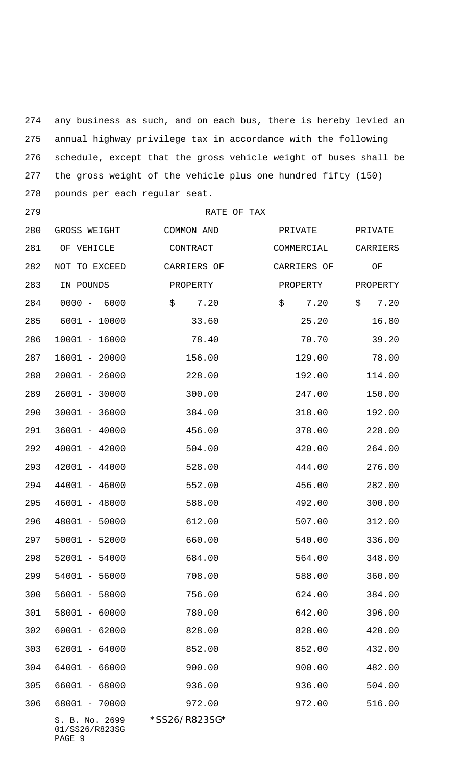any business as such, and on each bus, there is hereby levied an annual highway privilege tax in accordance with the following schedule, except that the gross vehicle weight of buses shall be the gross weight of the vehicle plus one hundred fifty (150) pounds per each regular seat.

RATE OF TAX

S. B. No. 2699 \* SS26/R823SG\* GROSS WEIGHT COMMON AND PRIVATE PRIVATE 281 OF VEHICLE CONTRACT COMMERCIAL CARRIERS NOT TO EXCEED CARRIERS OF CARRIERS OF OF 283 IN POUNDS PROPERTY PROPERTY PROPERTY 284 0000 - 6000 \$ 7.20 \$ 7.20 \$ 7.20 285 6001 - 10000 33.60 25.20 16.80 10001 - 16000 78.40 70.70 39.20 16001 - 20000 156.00 129.00 78.00 20001 - 26000 228.00 192.00 114.00 26001 - 30000 300.00 247.00 150.00 30001 - 36000 384.00 318.00 192.00 36001 - 40000 456.00 378.00 228.00 40001 - 42000 504.00 420.00 264.00 42001 - 44000 528.00 444.00 276.00 44001 - 46000 552.00 456.00 282.00 46001 - 48000 588.00 492.00 300.00 48001 - 50000 612.00 507.00 312.00 50001 - 52000 660.00 540.00 336.00 52001 - 54000 684.00 564.00 348.00 54001 - 56000 708.00 588.00 360.00 56001 - 58000 756.00 624.00 384.00 58001 - 60000 780.00 642.00 396.00 60001 - 62000 828.00 828.00 420.00 62001 - 64000 852.00 852.00 432.00 64001 - 66000 900.00 900.00 482.00 66001 - 68000 936.00 936.00 504.00 68001 - 70000 972.00 972.00 516.00

01/SS26/R823SG PAGE 9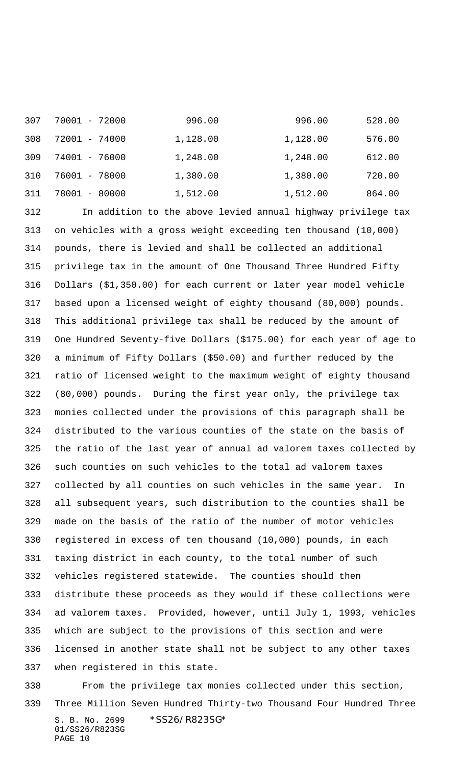| 307 | 70001 - 72000 | 996.00   | 996.00   | 528.00 |
|-----|---------------|----------|----------|--------|
| 308 | 72001 - 74000 | 1,128.00 | 1,128.00 | 576.00 |
| 309 | 74001 - 76000 | 1,248.00 | 1,248.00 | 612.00 |
| 310 | 76001 - 78000 | 1,380.00 | 1,380.00 | 720.00 |
| 311 | 78001 - 80000 | 1,512.00 | 1,512.00 | 864.00 |

 In addition to the above levied annual highway privilege tax on vehicles with a gross weight exceeding ten thousand (10,000) pounds, there is levied and shall be collected an additional privilege tax in the amount of One Thousand Three Hundred Fifty Dollars (\$1,350.00) for each current or later year model vehicle based upon a licensed weight of eighty thousand (80,000) pounds. This additional privilege tax shall be reduced by the amount of One Hundred Seventy-five Dollars (\$175.00) for each year of age to a minimum of Fifty Dollars (\$50.00) and further reduced by the ratio of licensed weight to the maximum weight of eighty thousand (80,000) pounds. During the first year only, the privilege tax monies collected under the provisions of this paragraph shall be distributed to the various counties of the state on the basis of the ratio of the last year of annual ad valorem taxes collected by such counties on such vehicles to the total ad valorem taxes collected by all counties on such vehicles in the same year. In all subsequent years, such distribution to the counties shall be made on the basis of the ratio of the number of motor vehicles registered in excess of ten thousand (10,000) pounds, in each taxing district in each county, to the total number of such vehicles registered statewide. The counties should then distribute these proceeds as they would if these collections were ad valorem taxes. Provided, however, until July 1, 1993, vehicles which are subject to the provisions of this section and were licensed in another state shall not be subject to any other taxes when registered in this state.

S. B. No. 2699 \* SS26/R823SG\* 01/SS26/R823SG PAGE 10 From the privilege tax monies collected under this section, Three Million Seven Hundred Thirty-two Thousand Four Hundred Three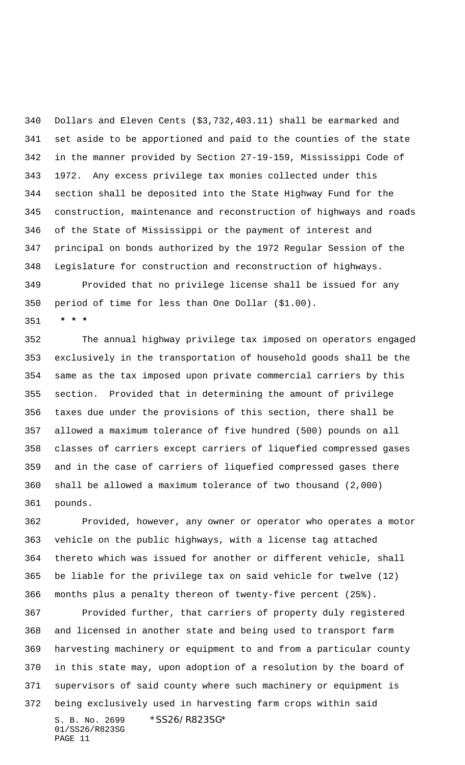Dollars and Eleven Cents (\$3,732,403.11) shall be earmarked and set aside to be apportioned and paid to the counties of the state in the manner provided by Section 27-19-159, Mississippi Code of 1972. Any excess privilege tax monies collected under this section shall be deposited into the State Highway Fund for the construction, maintenance and reconstruction of highways and roads of the State of Mississippi or the payment of interest and principal on bonds authorized by the 1972 Regular Session of the Legislature for construction and reconstruction of highways. Provided that no privilege license shall be issued for any

period of time for less than One Dollar (\$1.00).

 **\* \* \***

 The annual highway privilege tax imposed on operators engaged exclusively in the transportation of household goods shall be the same as the tax imposed upon private commercial carriers by this section. Provided that in determining the amount of privilege taxes due under the provisions of this section, there shall be allowed a maximum tolerance of five hundred (500) pounds on all classes of carriers except carriers of liquefied compressed gases and in the case of carriers of liquefied compressed gases there shall be allowed a maximum tolerance of two thousand (2,000) pounds.

 Provided, however, any owner or operator who operates a motor vehicle on the public highways, with a license tag attached thereto which was issued for another or different vehicle, shall be liable for the privilege tax on said vehicle for twelve (12) months plus a penalty thereon of twenty-five percent (25%).

S. B. No. 2699 \*SS26/R823SG\* 01/SS26/R823SG Provided further, that carriers of property duly registered and licensed in another state and being used to transport farm harvesting machinery or equipment to and from a particular county in this state may, upon adoption of a resolution by the board of supervisors of said county where such machinery or equipment is being exclusively used in harvesting farm crops within said

PAGE 11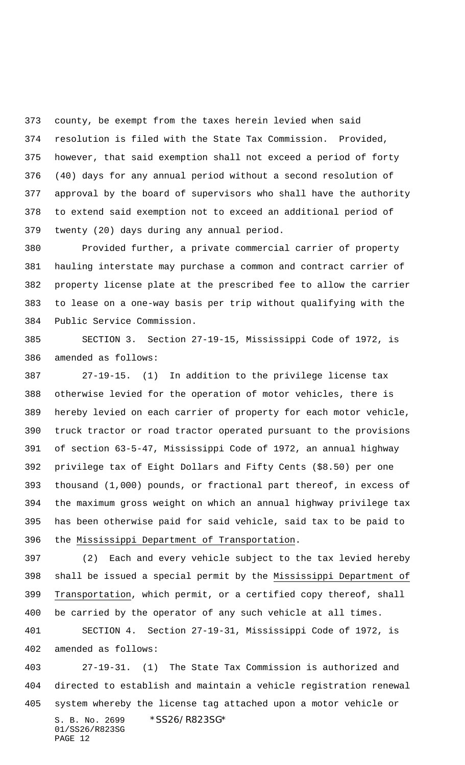county, be exempt from the taxes herein levied when said resolution is filed with the State Tax Commission. Provided, however, that said exemption shall not exceed a period of forty (40) days for any annual period without a second resolution of approval by the board of supervisors who shall have the authority to extend said exemption not to exceed an additional period of twenty (20) days during any annual period.

 Provided further, a private commercial carrier of property hauling interstate may purchase a common and contract carrier of property license plate at the prescribed fee to allow the carrier to lease on a one-way basis per trip without qualifying with the Public Service Commission.

 SECTION 3. Section 27-19-15, Mississippi Code of 1972, is amended as follows:

 27-19-15. (1) In addition to the privilege license tax otherwise levied for the operation of motor vehicles, there is hereby levied on each carrier of property for each motor vehicle, truck tractor or road tractor operated pursuant to the provisions of section 63-5-47, Mississippi Code of 1972, an annual highway privilege tax of Eight Dollars and Fifty Cents (\$8.50) per one thousand (1,000) pounds, or fractional part thereof, in excess of the maximum gross weight on which an annual highway privilege tax has been otherwise paid for said vehicle, said tax to be paid to the Mississippi Department of Transportation.

 (2) Each and every vehicle subject to the tax levied hereby shall be issued a special permit by the Mississippi Department of Transportation, which permit, or a certified copy thereof, shall be carried by the operator of any such vehicle at all times.

 SECTION 4. Section 27-19-31, Mississippi Code of 1972, is amended as follows:

S. B. No. 2699 \* SS26/R823SG\* 01/SS26/R823SG PAGE 12 27-19-31. (1) The State Tax Commission is authorized and directed to establish and maintain a vehicle registration renewal system whereby the license tag attached upon a motor vehicle or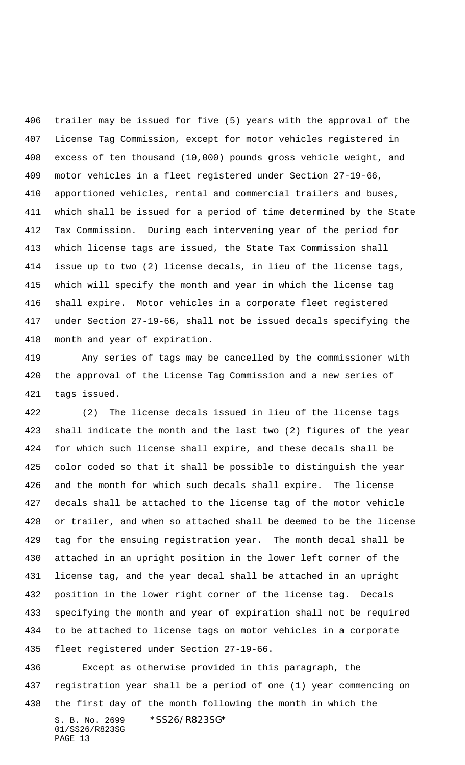trailer may be issued for five (5) years with the approval of the License Tag Commission, except for motor vehicles registered in excess of ten thousand (10,000) pounds gross vehicle weight, and motor vehicles in a fleet registered under Section 27-19-66, apportioned vehicles, rental and commercial trailers and buses, which shall be issued for a period of time determined by the State Tax Commission. During each intervening year of the period for which license tags are issued, the State Tax Commission shall issue up to two (2) license decals, in lieu of the license tags, which will specify the month and year in which the license tag shall expire. Motor vehicles in a corporate fleet registered under Section 27-19-66, shall not be issued decals specifying the month and year of expiration.

 Any series of tags may be cancelled by the commissioner with the approval of the License Tag Commission and a new series of tags issued.

 (2) The license decals issued in lieu of the license tags shall indicate the month and the last two (2) figures of the year for which such license shall expire, and these decals shall be color coded so that it shall be possible to distinguish the year and the month for which such decals shall expire. The license decals shall be attached to the license tag of the motor vehicle or trailer, and when so attached shall be deemed to be the license tag for the ensuing registration year. The month decal shall be attached in an upright position in the lower left corner of the license tag, and the year decal shall be attached in an upright position in the lower right corner of the license tag. Decals specifying the month and year of expiration shall not be required to be attached to license tags on motor vehicles in a corporate fleet registered under Section 27-19-66.

S. B. No. 2699 \* SS26/R823SG\* 01/SS26/R823SG PAGE 13 Except as otherwise provided in this paragraph, the registration year shall be a period of one (1) year commencing on the first day of the month following the month in which the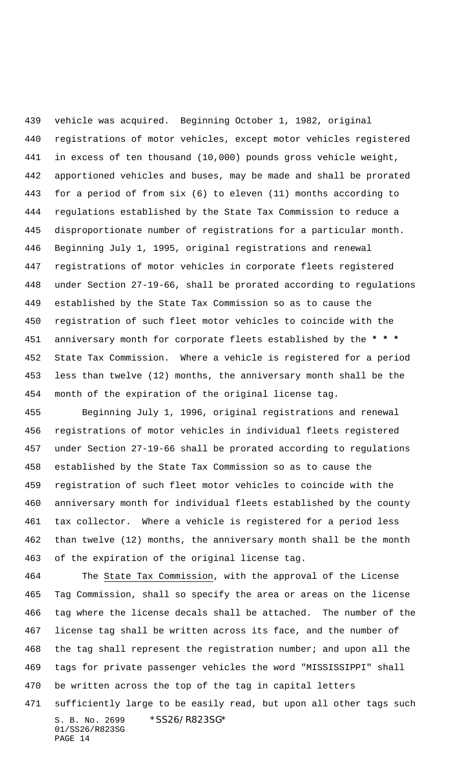vehicle was acquired. Beginning October 1, 1982, original registrations of motor vehicles, except motor vehicles registered in excess of ten thousand (10,000) pounds gross vehicle weight, apportioned vehicles and buses, may be made and shall be prorated for a period of from six (6) to eleven (11) months according to regulations established by the State Tax Commission to reduce a disproportionate number of registrations for a particular month. Beginning July 1, 1995, original registrations and renewal registrations of motor vehicles in corporate fleets registered under Section 27-19-66, shall be prorated according to regulations established by the State Tax Commission so as to cause the registration of such fleet motor vehicles to coincide with the anniversary month for corporate fleets established by the **\* \* \*** State Tax Commission. Where a vehicle is registered for a period less than twelve (12) months, the anniversary month shall be the month of the expiration of the original license tag.

 Beginning July 1, 1996, original registrations and renewal registrations of motor vehicles in individual fleets registered under Section 27-19-66 shall be prorated according to regulations established by the State Tax Commission so as to cause the registration of such fleet motor vehicles to coincide with the anniversary month for individual fleets established by the county tax collector. Where a vehicle is registered for a period less than twelve (12) months, the anniversary month shall be the month of the expiration of the original license tag.

S. B. No. 2699 \* SS26/R823SG\* 01/SS26/R823SG PAGE 14 The State Tax Commission, with the approval of the License Tag Commission, shall so specify the area or areas on the license tag where the license decals shall be attached. The number of the license tag shall be written across its face, and the number of the tag shall represent the registration number; and upon all the tags for private passenger vehicles the word "MISSISSIPPI" shall be written across the top of the tag in capital letters sufficiently large to be easily read, but upon all other tags such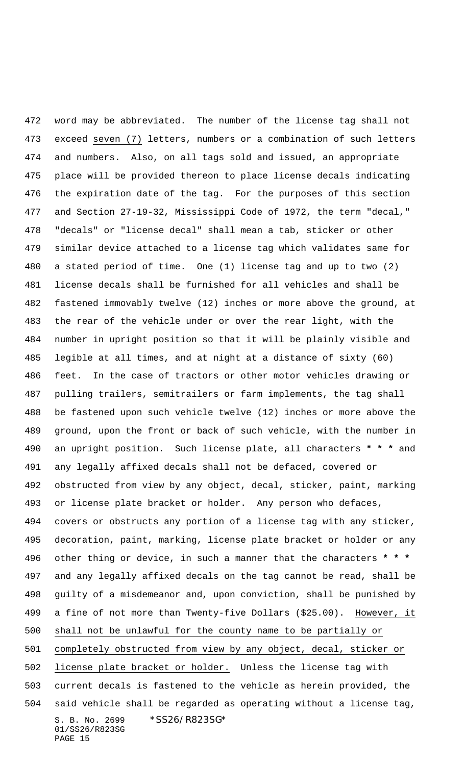S. B. No. 2699 \* SS26/R823SG\* 01/SS26/R823SG PAGE 15 word may be abbreviated. The number of the license tag shall not exceed seven (7) letters, numbers or a combination of such letters and numbers. Also, on all tags sold and issued, an appropriate place will be provided thereon to place license decals indicating the expiration date of the tag. For the purposes of this section and Section 27-19-32, Mississippi Code of 1972, the term "decal," "decals" or "license decal" shall mean a tab, sticker or other similar device attached to a license tag which validates same for a stated period of time. One (1) license tag and up to two (2) license decals shall be furnished for all vehicles and shall be fastened immovably twelve (12) inches or more above the ground, at the rear of the vehicle under or over the rear light, with the number in upright position so that it will be plainly visible and legible at all times, and at night at a distance of sixty (60) feet. In the case of tractors or other motor vehicles drawing or pulling trailers, semitrailers or farm implements, the tag shall be fastened upon such vehicle twelve (12) inches or more above the ground, upon the front or back of such vehicle, with the number in an upright position. Such license plate, all characters **\* \* \*** and any legally affixed decals shall not be defaced, covered or obstructed from view by any object, decal, sticker, paint, marking or license plate bracket or holder. Any person who defaces, covers or obstructs any portion of a license tag with any sticker, decoration, paint, marking, license plate bracket or holder or any other thing or device, in such a manner that the characters **\* \* \*** and any legally affixed decals on the tag cannot be read, shall be guilty of a misdemeanor and, upon conviction, shall be punished by a fine of not more than Twenty-five Dollars (\$25.00). However, it shall not be unlawful for the county name to be partially or completely obstructed from view by any object, decal, sticker or license plate bracket or holder. Unless the license tag with current decals is fastened to the vehicle as herein provided, the said vehicle shall be regarded as operating without a license tag,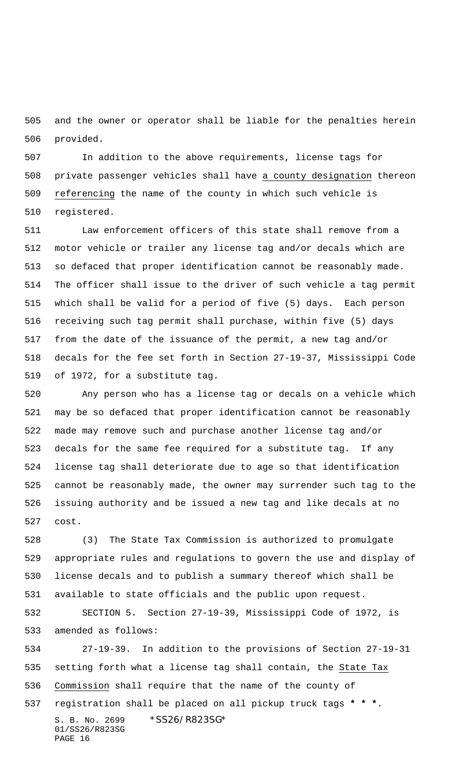and the owner or operator shall be liable for the penalties herein provided.

 In addition to the above requirements, license tags for private passenger vehicles shall have a county designation thereon referencing the name of the county in which such vehicle is registered.

 Law enforcement officers of this state shall remove from a motor vehicle or trailer any license tag and/or decals which are so defaced that proper identification cannot be reasonably made. The officer shall issue to the driver of such vehicle a tag permit which shall be valid for a period of five (5) days. Each person receiving such tag permit shall purchase, within five (5) days from the date of the issuance of the permit, a new tag and/or decals for the fee set forth in Section 27-19-37, Mississippi Code of 1972, for a substitute tag.

 Any person who has a license tag or decals on a vehicle which may be so defaced that proper identification cannot be reasonably made may remove such and purchase another license tag and/or decals for the same fee required for a substitute tag. If any license tag shall deteriorate due to age so that identification cannot be reasonably made, the owner may surrender such tag to the issuing authority and be issued a new tag and like decals at no cost.

 (3) The State Tax Commission is authorized to promulgate appropriate rules and regulations to govern the use and display of license decals and to publish a summary thereof which shall be available to state officials and the public upon request.

 SECTION 5. Section 27-19-39, Mississippi Code of 1972, is amended as follows:

S. B. No. 2699 \* SS26/R823SG\* 01/SS26/R823SG PAGE 16 27-19-39. In addition to the provisions of Section 27-19-31 setting forth what a license tag shall contain, the State Tax Commission shall require that the name of the county of registration shall be placed on all pickup truck tags **\* \* \***.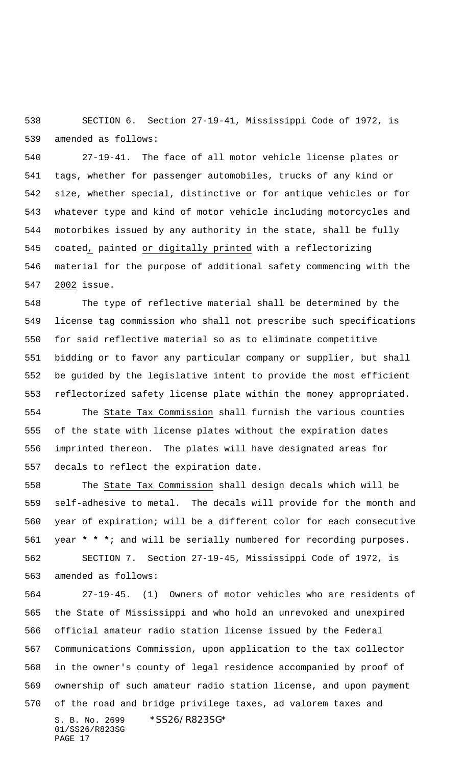SECTION 6. Section 27-19-41, Mississippi Code of 1972, is amended as follows:

 27-19-41. The face of all motor vehicle license plates or tags, whether for passenger automobiles, trucks of any kind or size, whether special, distinctive or for antique vehicles or for whatever type and kind of motor vehicle including motorcycles and motorbikes issued by any authority in the state, shall be fully coated, painted or digitally printed with a reflectorizing material for the purpose of additional safety commencing with the 2002 issue.

 The type of reflective material shall be determined by the license tag commission who shall not prescribe such specifications for said reflective material so as to eliminate competitive bidding or to favor any particular company or supplier, but shall be guided by the legislative intent to provide the most efficient reflectorized safety license plate within the money appropriated. The State Tax Commission shall furnish the various counties of the state with license plates without the expiration dates imprinted thereon. The plates will have designated areas for decals to reflect the expiration date.

 The State Tax Commission shall design decals which will be self-adhesive to metal. The decals will provide for the month and year of expiration; will be a different color for each consecutive year **\* \* \***; and will be serially numbered for recording purposes. SECTION 7. Section 27-19-45, Mississippi Code of 1972, is amended as follows:

S. B. No. 2699 \* SS26/R823SG\* 01/SS26/R823SG PAGE 17 27-19-45. (1) Owners of motor vehicles who are residents of the State of Mississippi and who hold an unrevoked and unexpired official amateur radio station license issued by the Federal Communications Commission, upon application to the tax collector in the owner's county of legal residence accompanied by proof of ownership of such amateur radio station license, and upon payment of the road and bridge privilege taxes, ad valorem taxes and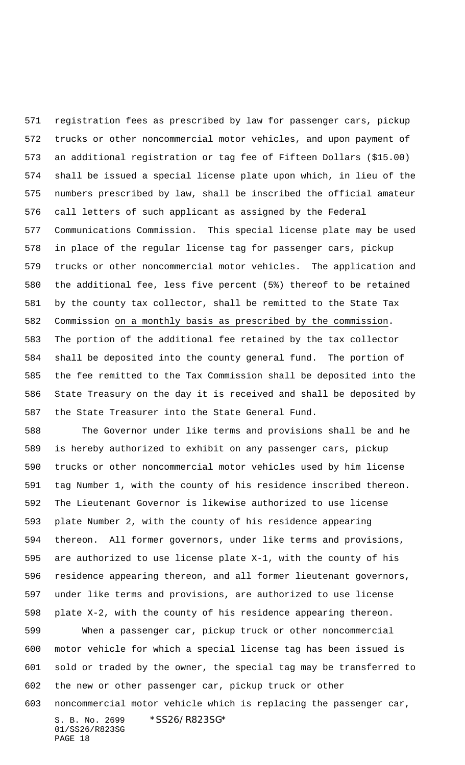registration fees as prescribed by law for passenger cars, pickup trucks or other noncommercial motor vehicles, and upon payment of an additional registration or tag fee of Fifteen Dollars (\$15.00) shall be issued a special license plate upon which, in lieu of the numbers prescribed by law, shall be inscribed the official amateur call letters of such applicant as assigned by the Federal Communications Commission. This special license plate may be used in place of the regular license tag for passenger cars, pickup trucks or other noncommercial motor vehicles. The application and the additional fee, less five percent (5%) thereof to be retained by the county tax collector, shall be remitted to the State Tax Commission on a monthly basis as prescribed by the commission. The portion of the additional fee retained by the tax collector shall be deposited into the county general fund. The portion of the fee remitted to the Tax Commission shall be deposited into the State Treasury on the day it is received and shall be deposited by the State Treasurer into the State General Fund.

 The Governor under like terms and provisions shall be and he is hereby authorized to exhibit on any passenger cars, pickup trucks or other noncommercial motor vehicles used by him license tag Number 1, with the county of his residence inscribed thereon. The Lieutenant Governor is likewise authorized to use license plate Number 2, with the county of his residence appearing thereon. All former governors, under like terms and provisions, are authorized to use license plate X-1, with the county of his residence appearing thereon, and all former lieutenant governors, under like terms and provisions, are authorized to use license plate X-2, with the county of his residence appearing thereon.

 When a passenger car, pickup truck or other noncommercial motor vehicle for which a special license tag has been issued is sold or traded by the owner, the special tag may be transferred to the new or other passenger car, pickup truck or other

S. B. No. 2699 \* SS26/R823SG\* 01/SS26/R823SG noncommercial motor vehicle which is replacing the passenger car,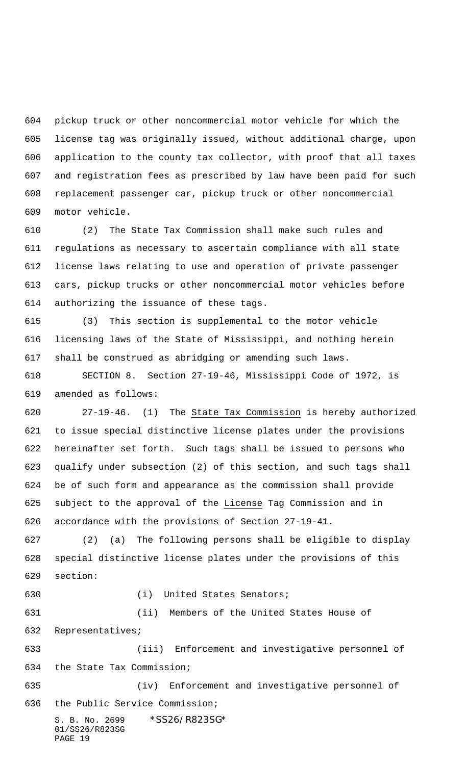pickup truck or other noncommercial motor vehicle for which the license tag was originally issued, without additional charge, upon application to the county tax collector, with proof that all taxes and registration fees as prescribed by law have been paid for such replacement passenger car, pickup truck or other noncommercial motor vehicle.

 (2) The State Tax Commission shall make such rules and regulations as necessary to ascertain compliance with all state license laws relating to use and operation of private passenger cars, pickup trucks or other noncommercial motor vehicles before authorizing the issuance of these tags.

 (3) This section is supplemental to the motor vehicle licensing laws of the State of Mississippi, and nothing herein shall be construed as abridging or amending such laws.

 SECTION 8. Section 27-19-46, Mississippi Code of 1972, is amended as follows:

 27-19-46. (1) The State Tax Commission is hereby authorized to issue special distinctive license plates under the provisions hereinafter set forth. Such tags shall be issued to persons who qualify under subsection (2) of this section, and such tags shall be of such form and appearance as the commission shall provide 625 subject to the approval of the License Tag Commission and in accordance with the provisions of Section 27-19-41.

 (2) (a) The following persons shall be eligible to display special distinctive license plates under the provisions of this section:

PAGE 19

(i) United States Senators;

S. B. No. 2699 \*SS26/R823SG\* 01/SS26/R823SG (ii) Members of the United States House of Representatives; (iii) Enforcement and investigative personnel of the State Tax Commission; (iv) Enforcement and investigative personnel of the Public Service Commission;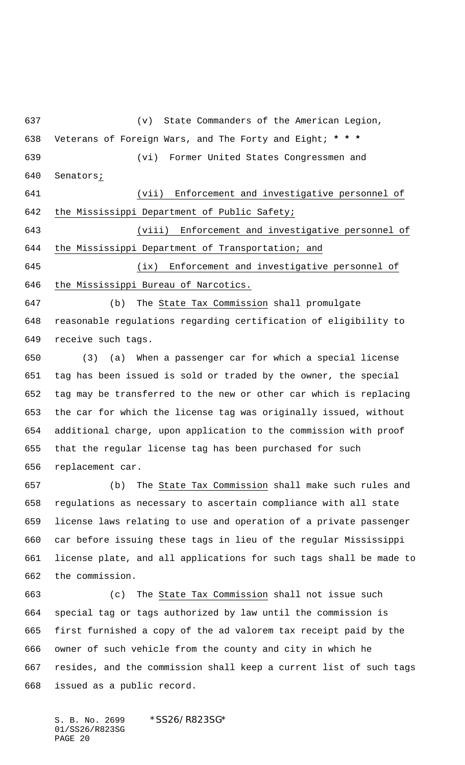(v) State Commanders of the American Legion, Veterans of Foreign Wars, and The Forty and Eight; **\* \* \*** (vi) Former United States Congressmen and Senators; (vii) Enforcement and investigative personnel of the Mississippi Department of Public Safety;

 (viii) Enforcement and investigative personnel of the Mississippi Department of Transportation; and

 (ix) Enforcement and investigative personnel of the Mississippi Bureau of Narcotics.

 (b) The State Tax Commission shall promulgate reasonable regulations regarding certification of eligibility to receive such tags.

 (3) (a) When a passenger car for which a special license tag has been issued is sold or traded by the owner, the special tag may be transferred to the new or other car which is replacing the car for which the license tag was originally issued, without additional charge, upon application to the commission with proof that the regular license tag has been purchased for such replacement car.

 (b) The State Tax Commission shall make such rules and regulations as necessary to ascertain compliance with all state license laws relating to use and operation of a private passenger car before issuing these tags in lieu of the regular Mississippi license plate, and all applications for such tags shall be made to the commission.

 (c) The State Tax Commission shall not issue such special tag or tags authorized by law until the commission is first furnished a copy of the ad valorem tax receipt paid by the owner of such vehicle from the county and city in which he resides, and the commission shall keep a current list of such tags issued as a public record.

S. B. No. 2699 \*SS26/R823SG\* 01/SS26/R823SG PAGE 20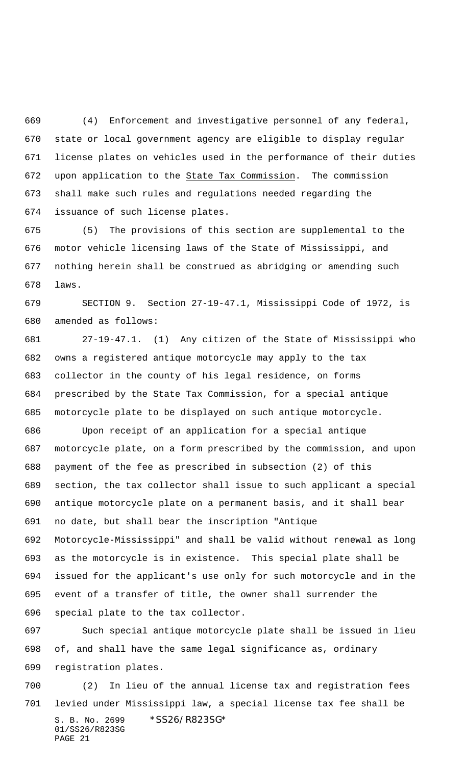(4) Enforcement and investigative personnel of any federal, state or local government agency are eligible to display regular license plates on vehicles used in the performance of their duties 672 upon application to the State Tax Commission. The commission shall make such rules and regulations needed regarding the issuance of such license plates.

 (5) The provisions of this section are supplemental to the motor vehicle licensing laws of the State of Mississippi, and nothing herein shall be construed as abridging or amending such laws.

 SECTION 9. Section 27-19-47.1, Mississippi Code of 1972, is amended as follows:

 27-19-47.1. (1) Any citizen of the State of Mississippi who owns a registered antique motorcycle may apply to the tax collector in the county of his legal residence, on forms prescribed by the State Tax Commission, for a special antique motorcycle plate to be displayed on such antique motorcycle.

 Upon receipt of an application for a special antique motorcycle plate, on a form prescribed by the commission, and upon payment of the fee as prescribed in subsection (2) of this section, the tax collector shall issue to such applicant a special antique motorcycle plate on a permanent basis, and it shall bear no date, but shall bear the inscription "Antique Motorcycle-Mississippi" and shall be valid without renewal as long as the motorcycle is in existence. This special plate shall be issued for the applicant's use only for such motorcycle and in the event of a transfer of title, the owner shall surrender the special plate to the tax collector.

 Such special antique motorcycle plate shall be issued in lieu of, and shall have the same legal significance as, ordinary registration plates.

S. B. No. 2699 \* SS26/R823SG\* 01/SS26/R823SG PAGE 21 (2) In lieu of the annual license tax and registration fees levied under Mississippi law, a special license tax fee shall be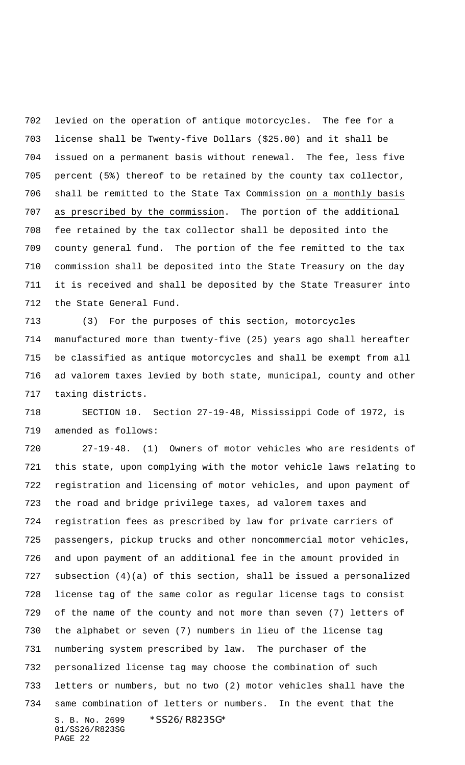levied on the operation of antique motorcycles. The fee for a license shall be Twenty-five Dollars (\$25.00) and it shall be issued on a permanent basis without renewal. The fee, less five percent (5%) thereof to be retained by the county tax collector, shall be remitted to the State Tax Commission on a monthly basis as prescribed by the commission. The portion of the additional fee retained by the tax collector shall be deposited into the county general fund. The portion of the fee remitted to the tax commission shall be deposited into the State Treasury on the day it is received and shall be deposited by the State Treasurer into the State General Fund.

 (3) For the purposes of this section, motorcycles manufactured more than twenty-five (25) years ago shall hereafter be classified as antique motorcycles and shall be exempt from all ad valorem taxes levied by both state, municipal, county and other taxing districts.

 SECTION 10. Section 27-19-48, Mississippi Code of 1972, is amended as follows:

S. B. No. 2699 \* SS26/R823SG\* 01/SS26/R823SG PAGE 22 27-19-48. (1) Owners of motor vehicles who are residents of this state, upon complying with the motor vehicle laws relating to registration and licensing of motor vehicles, and upon payment of the road and bridge privilege taxes, ad valorem taxes and registration fees as prescribed by law for private carriers of passengers, pickup trucks and other noncommercial motor vehicles, and upon payment of an additional fee in the amount provided in subsection (4)(a) of this section, shall be issued a personalized license tag of the same color as regular license tags to consist of the name of the county and not more than seven (7) letters of the alphabet or seven (7) numbers in lieu of the license tag numbering system prescribed by law. The purchaser of the personalized license tag may choose the combination of such letters or numbers, but no two (2) motor vehicles shall have the same combination of letters or numbers. In the event that the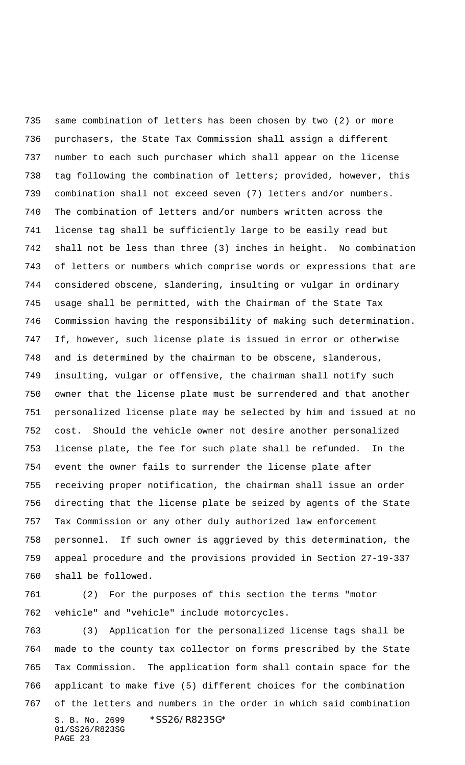same combination of letters has been chosen by two (2) or more purchasers, the State Tax Commission shall assign a different number to each such purchaser which shall appear on the license tag following the combination of letters; provided, however, this combination shall not exceed seven (7) letters and/or numbers. The combination of letters and/or numbers written across the license tag shall be sufficiently large to be easily read but shall not be less than three (3) inches in height. No combination of letters or numbers which comprise words or expressions that are considered obscene, slandering, insulting or vulgar in ordinary usage shall be permitted, with the Chairman of the State Tax Commission having the responsibility of making such determination. If, however, such license plate is issued in error or otherwise and is determined by the chairman to be obscene, slanderous, insulting, vulgar or offensive, the chairman shall notify such owner that the license plate must be surrendered and that another personalized license plate may be selected by him and issued at no cost. Should the vehicle owner not desire another personalized license plate, the fee for such plate shall be refunded. In the event the owner fails to surrender the license plate after receiving proper notification, the chairman shall issue an order directing that the license plate be seized by agents of the State Tax Commission or any other duly authorized law enforcement personnel. If such owner is aggrieved by this determination, the appeal procedure and the provisions provided in Section 27-19-337 shall be followed.

 (2) For the purposes of this section the terms "motor vehicle" and "vehicle" include motorcycles.

S. B. No. 2699 \* SS26/R823SG\* 01/SS26/R823SG PAGE 23 (3) Application for the personalized license tags shall be made to the county tax collector on forms prescribed by the State Tax Commission. The application form shall contain space for the applicant to make five (5) different choices for the combination of the letters and numbers in the order in which said combination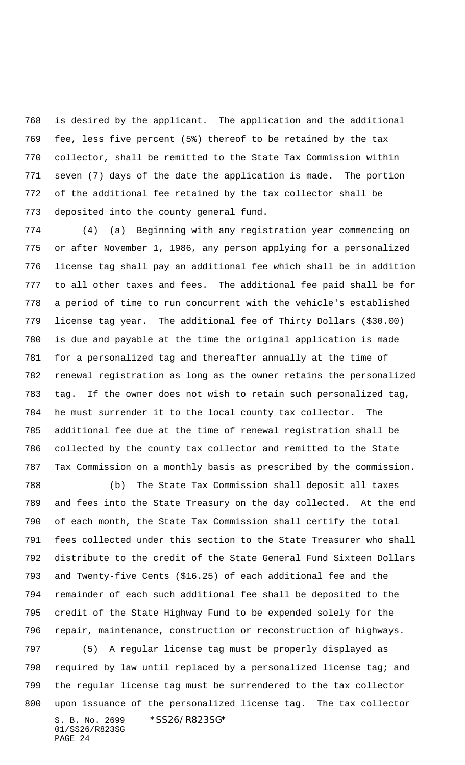is desired by the applicant. The application and the additional fee, less five percent (5%) thereof to be retained by the tax collector, shall be remitted to the State Tax Commission within seven (7) days of the date the application is made. The portion of the additional fee retained by the tax collector shall be deposited into the county general fund.

 (4) (a) Beginning with any registration year commencing on or after November 1, 1986, any person applying for a personalized license tag shall pay an additional fee which shall be in addition to all other taxes and fees. The additional fee paid shall be for a period of time to run concurrent with the vehicle's established license tag year. The additional fee of Thirty Dollars (\$30.00) is due and payable at the time the original application is made for a personalized tag and thereafter annually at the time of renewal registration as long as the owner retains the personalized tag. If the owner does not wish to retain such personalized tag, he must surrender it to the local county tax collector. The additional fee due at the time of renewal registration shall be collected by the county tax collector and remitted to the State Tax Commission on a monthly basis as prescribed by the commission.

 (b) The State Tax Commission shall deposit all taxes and fees into the State Treasury on the day collected. At the end of each month, the State Tax Commission shall certify the total fees collected under this section to the State Treasurer who shall distribute to the credit of the State General Fund Sixteen Dollars and Twenty-five Cents (\$16.25) of each additional fee and the remainder of each such additional fee shall be deposited to the credit of the State Highway Fund to be expended solely for the repair, maintenance, construction or reconstruction of highways.

S. B. No. 2699 \* SS26/R823SG\* 01/SS26/R823SG (5) A regular license tag must be properly displayed as required by law until replaced by a personalized license tag; and the regular license tag must be surrendered to the tax collector upon issuance of the personalized license tag. The tax collector

PAGE 24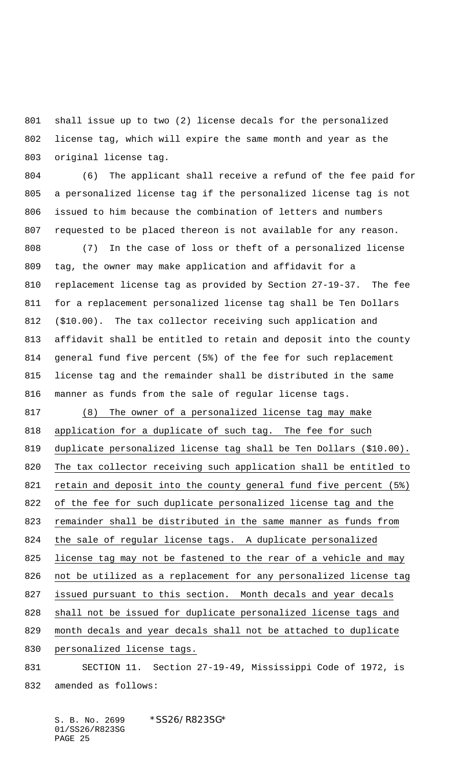shall issue up to two (2) license decals for the personalized license tag, which will expire the same month and year as the original license tag.

 (6) The applicant shall receive a refund of the fee paid for a personalized license tag if the personalized license tag is not issued to him because the combination of letters and numbers requested to be placed thereon is not available for any reason.

 (7) In the case of loss or theft of a personalized license tag, the owner may make application and affidavit for a replacement license tag as provided by Section 27-19-37. The fee for a replacement personalized license tag shall be Ten Dollars (\$10.00). The tax collector receiving such application and affidavit shall be entitled to retain and deposit into the county general fund five percent (5%) of the fee for such replacement license tag and the remainder shall be distributed in the same manner as funds from the sale of regular license tags.

 (8) The owner of a personalized license tag may make 818 application for a duplicate of such tag. The fee for such duplicate personalized license tag shall be Ten Dollars (\$10.00). The tax collector receiving such application shall be entitled to retain and deposit into the county general fund five percent (5%) of the fee for such duplicate personalized license tag and the remainder shall be distributed in the same manner as funds from the sale of regular license tags. A duplicate personalized 825 license tag may not be fastened to the rear of a vehicle and may not be utilized as a replacement for any personalized license tag issued pursuant to this section. Month decals and year decals shall not be issued for duplicate personalized license tags and month decals and year decals shall not be attached to duplicate personalized license tags.

 SECTION 11. Section 27-19-49, Mississippi Code of 1972, is amended as follows:

S. B. No. 2699 \*SS26/R823SG\* 01/SS26/R823SG PAGE 25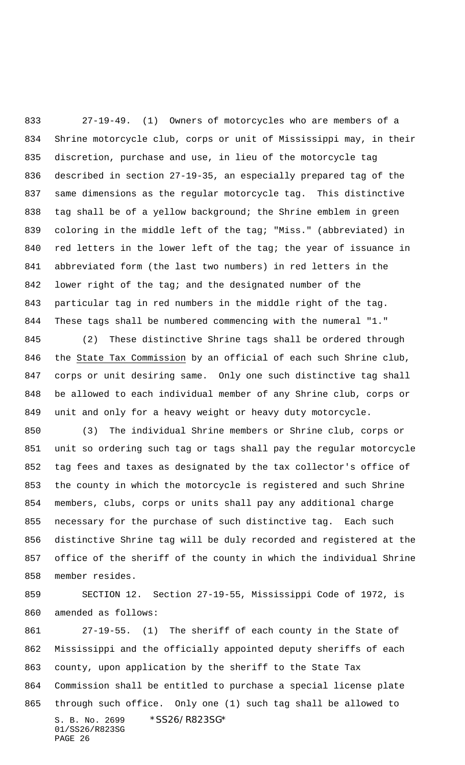27-19-49. (1) Owners of motorcycles who are members of a Shrine motorcycle club, corps or unit of Mississippi may, in their discretion, purchase and use, in lieu of the motorcycle tag described in section 27-19-35, an especially prepared tag of the same dimensions as the regular motorcycle tag. This distinctive 838 tag shall be of a yellow background; the Shrine emblem in green coloring in the middle left of the tag; "Miss." (abbreviated) in 840 red letters in the lower left of the tag; the year of issuance in abbreviated form (the last two numbers) in red letters in the lower right of the tag; and the designated number of the particular tag in red numbers in the middle right of the tag. These tags shall be numbered commencing with the numeral "1."

 (2) These distinctive Shrine tags shall be ordered through the State Tax Commission by an official of each such Shrine club, corps or unit desiring same. Only one such distinctive tag shall be allowed to each individual member of any Shrine club, corps or unit and only for a heavy weight or heavy duty motorcycle.

 (3) The individual Shrine members or Shrine club, corps or unit so ordering such tag or tags shall pay the regular motorcycle tag fees and taxes as designated by the tax collector's office of the county in which the motorcycle is registered and such Shrine members, clubs, corps or units shall pay any additional charge necessary for the purchase of such distinctive tag. Each such distinctive Shrine tag will be duly recorded and registered at the office of the sheriff of the county in which the individual Shrine member resides.

 SECTION 12. Section 27-19-55, Mississippi Code of 1972, is amended as follows:

S. B. No. 2699 \* SS26/R823SG\* 01/SS26/R823SG PAGE 26 27-19-55. (1) The sheriff of each county in the State of Mississippi and the officially appointed deputy sheriffs of each county, upon application by the sheriff to the State Tax Commission shall be entitled to purchase a special license plate through such office. Only one (1) such tag shall be allowed to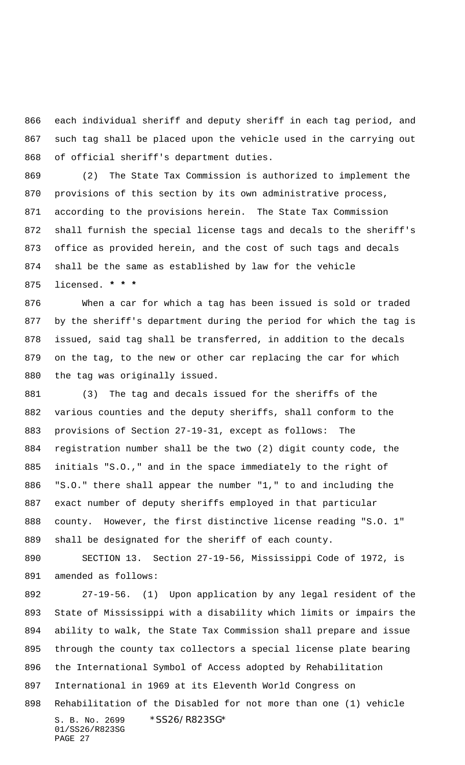each individual sheriff and deputy sheriff in each tag period, and such tag shall be placed upon the vehicle used in the carrying out of official sheriff's department duties.

 (2) The State Tax Commission is authorized to implement the provisions of this section by its own administrative process, according to the provisions herein. The State Tax Commission shall furnish the special license tags and decals to the sheriff's office as provided herein, and the cost of such tags and decals shall be the same as established by law for the vehicle licensed. **\* \* \***

 When a car for which a tag has been issued is sold or traded by the sheriff's department during the period for which the tag is issued, said tag shall be transferred, in addition to the decals on the tag, to the new or other car replacing the car for which the tag was originally issued.

 (3) The tag and decals issued for the sheriffs of the various counties and the deputy sheriffs, shall conform to the provisions of Section 27-19-31, except as follows: The registration number shall be the two (2) digit county code, the initials "S.O.," and in the space immediately to the right of "S.O." there shall appear the number "1," to and including the exact number of deputy sheriffs employed in that particular county. However, the first distinctive license reading "S.O. 1" shall be designated for the sheriff of each county.

 SECTION 13. Section 27-19-56, Mississippi Code of 1972, is amended as follows:

S. B. No. 2699 \*SS26/R823SG\* 01/SS26/R823SG 27-19-56. (1) Upon application by any legal resident of the State of Mississippi with a disability which limits or impairs the ability to walk, the State Tax Commission shall prepare and issue through the county tax collectors a special license plate bearing the International Symbol of Access adopted by Rehabilitation International in 1969 at its Eleventh World Congress on Rehabilitation of the Disabled for not more than one (1) vehicle

PAGE 27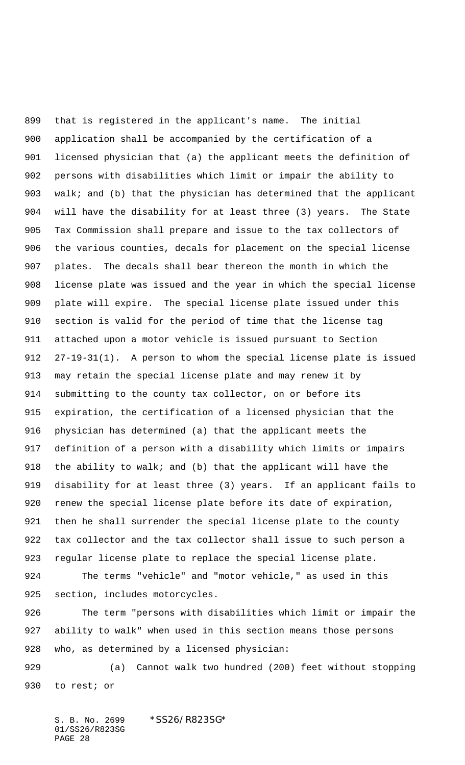that is registered in the applicant's name. The initial application shall be accompanied by the certification of a licensed physician that (a) the applicant meets the definition of persons with disabilities which limit or impair the ability to walk; and (b) that the physician has determined that the applicant will have the disability for at least three (3) years. The State Tax Commission shall prepare and issue to the tax collectors of the various counties, decals for placement on the special license plates. The decals shall bear thereon the month in which the license plate was issued and the year in which the special license plate will expire. The special license plate issued under this section is valid for the period of time that the license tag attached upon a motor vehicle is issued pursuant to Section 27-19-31(1). A person to whom the special license plate is issued may retain the special license plate and may renew it by submitting to the county tax collector, on or before its expiration, the certification of a licensed physician that the physician has determined (a) that the applicant meets the definition of a person with a disability which limits or impairs the ability to walk; and (b) that the applicant will have the disability for at least three (3) years. If an applicant fails to renew the special license plate before its date of expiration, then he shall surrender the special license plate to the county tax collector and the tax collector shall issue to such person a regular license plate to replace the special license plate. The terms "vehicle" and "motor vehicle," as used in this section, includes motorcycles. The term "persons with disabilities which limit or impair the ability to walk" when used in this section means those persons who, as determined by a licensed physician:

 (a) Cannot walk two hundred (200) feet without stopping to rest; or

S. B. No. 2699 \*SS26/R823SG\* 01/SS26/R823SG PAGE 28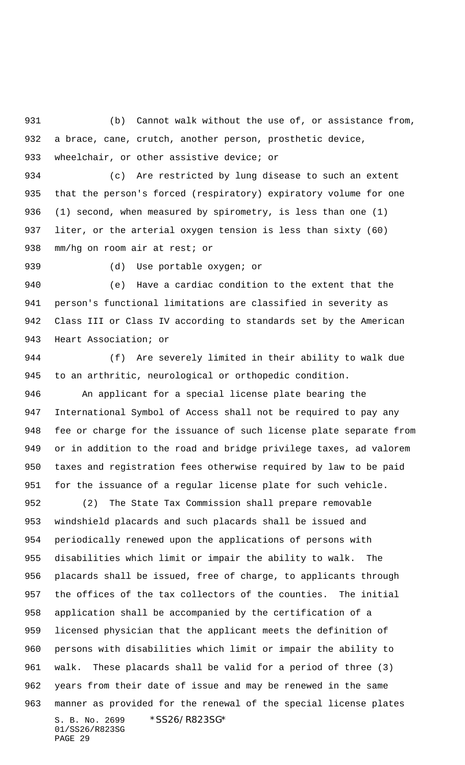(b) Cannot walk without the use of, or assistance from, a brace, cane, crutch, another person, prosthetic device, wheelchair, or other assistive device; or

 (c) Are restricted by lung disease to such an extent that the person's forced (respiratory) expiratory volume for one (1) second, when measured by spirometry, is less than one (1) liter, or the arterial oxygen tension is less than sixty (60) mm/hg on room air at rest; or

(d) Use portable oxygen; or

 (e) Have a cardiac condition to the extent that the person's functional limitations are classified in severity as Class III or Class IV according to standards set by the American Heart Association; or

 (f) Are severely limited in their ability to walk due to an arthritic, neurological or orthopedic condition.

 An applicant for a special license plate bearing the International Symbol of Access shall not be required to pay any fee or charge for the issuance of such license plate separate from or in addition to the road and bridge privilege taxes, ad valorem taxes and registration fees otherwise required by law to be paid for the issuance of a regular license plate for such vehicle.

S. B. No. 2699 \* SS26/R823SG\* 01/SS26/R823SG PAGE 29 (2) The State Tax Commission shall prepare removable windshield placards and such placards shall be issued and periodically renewed upon the applications of persons with disabilities which limit or impair the ability to walk. The placards shall be issued, free of charge, to applicants through the offices of the tax collectors of the counties. The initial application shall be accompanied by the certification of a licensed physician that the applicant meets the definition of persons with disabilities which limit or impair the ability to walk. These placards shall be valid for a period of three (3) years from their date of issue and may be renewed in the same manner as provided for the renewal of the special license plates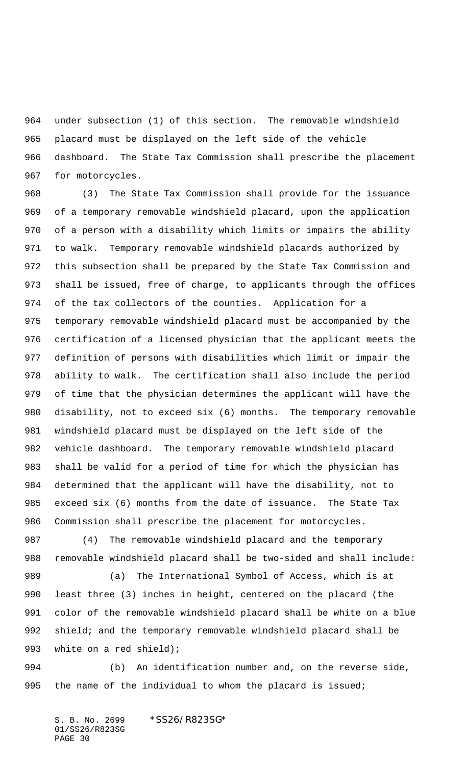under subsection (1) of this section. The removable windshield placard must be displayed on the left side of the vehicle dashboard. The State Tax Commission shall prescribe the placement for motorcycles.

 (3) The State Tax Commission shall provide for the issuance of a temporary removable windshield placard, upon the application of a person with a disability which limits or impairs the ability to walk. Temporary removable windshield placards authorized by this subsection shall be prepared by the State Tax Commission and shall be issued, free of charge, to applicants through the offices of the tax collectors of the counties. Application for a temporary removable windshield placard must be accompanied by the certification of a licensed physician that the applicant meets the definition of persons with disabilities which limit or impair the ability to walk. The certification shall also include the period of time that the physician determines the applicant will have the disability, not to exceed six (6) months. The temporary removable windshield placard must be displayed on the left side of the vehicle dashboard. The temporary removable windshield placard shall be valid for a period of time for which the physician has determined that the applicant will have the disability, not to exceed six (6) months from the date of issuance. The State Tax Commission shall prescribe the placement for motorcycles.

 (4) The removable windshield placard and the temporary removable windshield placard shall be two-sided and shall include:

 (a) The International Symbol of Access, which is at least three (3) inches in height, centered on the placard (the color of the removable windshield placard shall be white on a blue shield; and the temporary removable windshield placard shall be 993 white on a red shield);

 (b) An identification number and, on the reverse side, 995 the name of the individual to whom the placard is issued;

S. B. No. 2699 \* SS26/R823SG\* 01/SS26/R823SG PAGE 30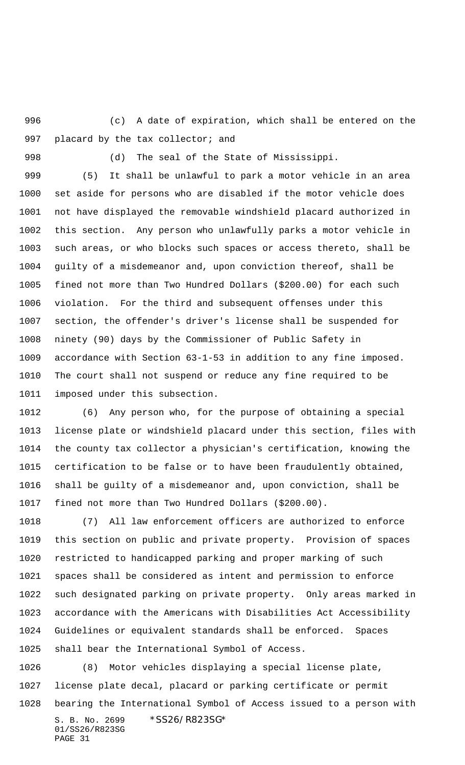(c) A date of expiration, which shall be entered on the 997 placard by the tax collector; and

(d) The seal of the State of Mississippi.

 (5) It shall be unlawful to park a motor vehicle in an area set aside for persons who are disabled if the motor vehicle does not have displayed the removable windshield placard authorized in this section. Any person who unlawfully parks a motor vehicle in such areas, or who blocks such spaces or access thereto, shall be guilty of a misdemeanor and, upon conviction thereof, shall be fined not more than Two Hundred Dollars (\$200.00) for each such violation. For the third and subsequent offenses under this section, the offender's driver's license shall be suspended for ninety (90) days by the Commissioner of Public Safety in accordance with Section 63-1-53 in addition to any fine imposed. The court shall not suspend or reduce any fine required to be imposed under this subsection.

 (6) Any person who, for the purpose of obtaining a special license plate or windshield placard under this section, files with the county tax collector a physician's certification, knowing the certification to be false or to have been fraudulently obtained, shall be guilty of a misdemeanor and, upon conviction, shall be fined not more than Two Hundred Dollars (\$200.00).

 (7) All law enforcement officers are authorized to enforce this section on public and private property. Provision of spaces restricted to handicapped parking and proper marking of such spaces shall be considered as intent and permission to enforce such designated parking on private property. Only areas marked in accordance with the Americans with Disabilities Act Accessibility Guidelines or equivalent standards shall be enforced. Spaces shall bear the International Symbol of Access.

S. B. No. 2699 \* SS26/R823SG\* 01/SS26/R823SG PAGE 31 (8) Motor vehicles displaying a special license plate, license plate decal, placard or parking certificate or permit bearing the International Symbol of Access issued to a person with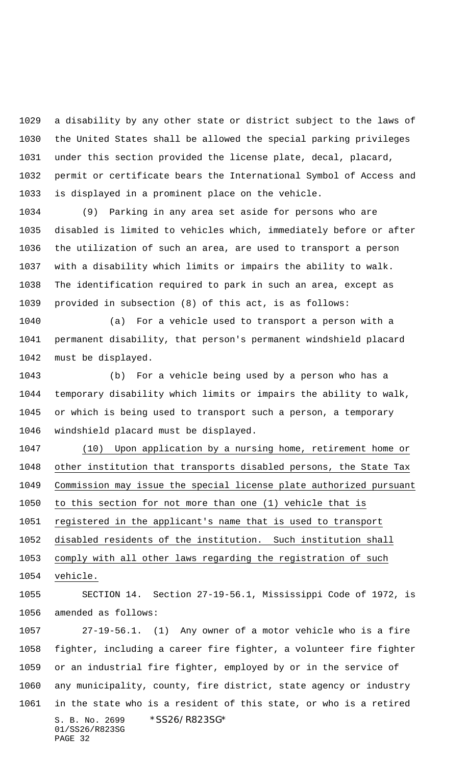a disability by any other state or district subject to the laws of the United States shall be allowed the special parking privileges under this section provided the license plate, decal, placard, permit or certificate bears the International Symbol of Access and is displayed in a prominent place on the vehicle.

 (9) Parking in any area set aside for persons who are disabled is limited to vehicles which, immediately before or after the utilization of such an area, are used to transport a person with a disability which limits or impairs the ability to walk. The identification required to park in such an area, except as provided in subsection (8) of this act, is as follows:

 (a) For a vehicle used to transport a person with a permanent disability, that person's permanent windshield placard must be displayed.

 (b) For a vehicle being used by a person who has a temporary disability which limits or impairs the ability to walk, or which is being used to transport such a person, a temporary windshield placard must be displayed.

 (10) Upon application by a nursing home, retirement home or other institution that transports disabled persons, the State Tax Commission may issue the special license plate authorized pursuant to this section for not more than one (1) vehicle that is registered in the applicant's name that is used to transport disabled residents of the institution. Such institution shall

comply with all other laws regarding the registration of such

vehicle.

 SECTION 14. Section 27-19-56.1, Mississippi Code of 1972, is amended as follows:

S. B. No. 2699 \* SS26/R823SG\* 01/SS26/R823SG PAGE 32 27-19-56.1. (1) Any owner of a motor vehicle who is a fire fighter, including a career fire fighter, a volunteer fire fighter or an industrial fire fighter, employed by or in the service of any municipality, county, fire district, state agency or industry in the state who is a resident of this state, or who is a retired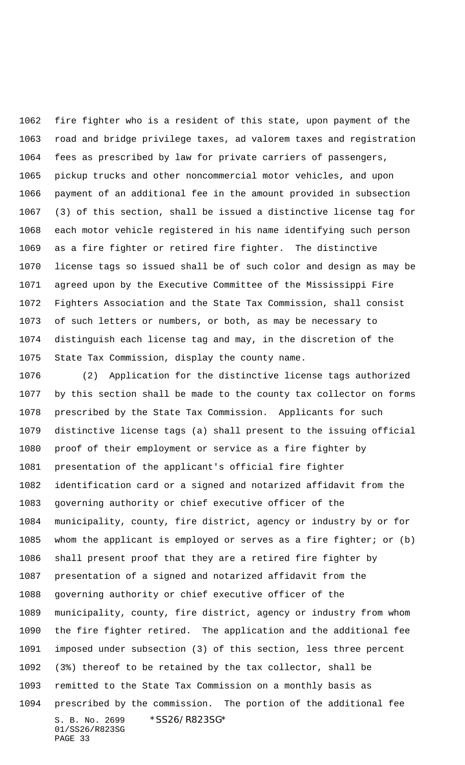fire fighter who is a resident of this state, upon payment of the road and bridge privilege taxes, ad valorem taxes and registration fees as prescribed by law for private carriers of passengers, pickup trucks and other noncommercial motor vehicles, and upon payment of an additional fee in the amount provided in subsection (3) of this section, shall be issued a distinctive license tag for each motor vehicle registered in his name identifying such person as a fire fighter or retired fire fighter. The distinctive license tags so issued shall be of such color and design as may be agreed upon by the Executive Committee of the Mississippi Fire Fighters Association and the State Tax Commission, shall consist of such letters or numbers, or both, as may be necessary to distinguish each license tag and may, in the discretion of the State Tax Commission, display the county name.

S. B. No. 2699 \* SS26/R823SG\* 01/SS26/R823SG PAGE 33 (2) Application for the distinctive license tags authorized by this section shall be made to the county tax collector on forms prescribed by the State Tax Commission. Applicants for such distinctive license tags (a) shall present to the issuing official proof of their employment or service as a fire fighter by presentation of the applicant's official fire fighter identification card or a signed and notarized affidavit from the governing authority or chief executive officer of the municipality, county, fire district, agency or industry by or for whom the applicant is employed or serves as a fire fighter; or (b) shall present proof that they are a retired fire fighter by presentation of a signed and notarized affidavit from the governing authority or chief executive officer of the municipality, county, fire district, agency or industry from whom the fire fighter retired. The application and the additional fee imposed under subsection (3) of this section, less three percent (3%) thereof to be retained by the tax collector, shall be remitted to the State Tax Commission on a monthly basis as prescribed by the commission. The portion of the additional fee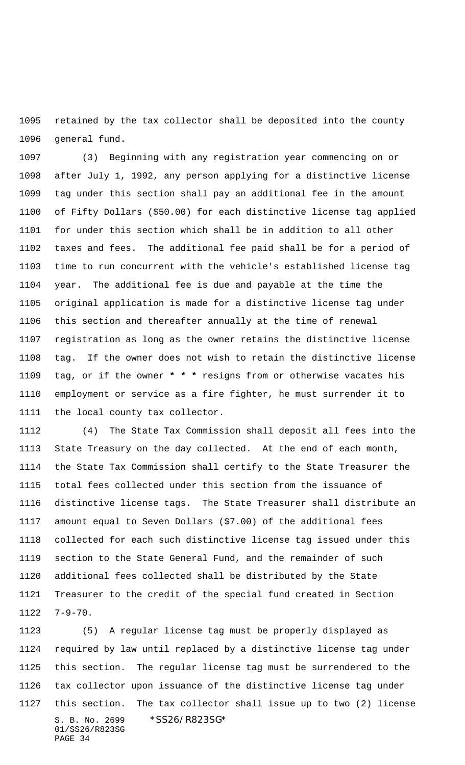retained by the tax collector shall be deposited into the county general fund.

 (3) Beginning with any registration year commencing on or after July 1, 1992, any person applying for a distinctive license tag under this section shall pay an additional fee in the amount of Fifty Dollars (\$50.00) for each distinctive license tag applied for under this section which shall be in addition to all other taxes and fees. The additional fee paid shall be for a period of time to run concurrent with the vehicle's established license tag year. The additional fee is due and payable at the time the original application is made for a distinctive license tag under this section and thereafter annually at the time of renewal registration as long as the owner retains the distinctive license tag. If the owner does not wish to retain the distinctive license tag, or if the owner **\* \* \*** resigns from or otherwise vacates his employment or service as a fire fighter, he must surrender it to the local county tax collector.

 (4) The State Tax Commission shall deposit all fees into the State Treasury on the day collected. At the end of each month, the State Tax Commission shall certify to the State Treasurer the total fees collected under this section from the issuance of distinctive license tags. The State Treasurer shall distribute an amount equal to Seven Dollars (\$7.00) of the additional fees collected for each such distinctive license tag issued under this section to the State General Fund, and the remainder of such additional fees collected shall be distributed by the State Treasurer to the credit of the special fund created in Section 7-9-70.

S. B. No. 2699 \* SS26/R823SG\* 01/SS26/R823SG PAGE 34 (5) A regular license tag must be properly displayed as required by law until replaced by a distinctive license tag under this section. The regular license tag must be surrendered to the tax collector upon issuance of the distinctive license tag under this section. The tax collector shall issue up to two (2) license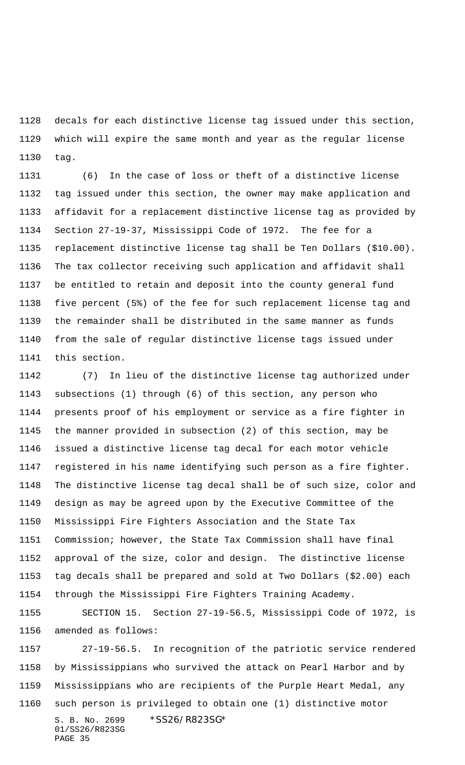decals for each distinctive license tag issued under this section, which will expire the same month and year as the regular license tag.

 (6) In the case of loss or theft of a distinctive license tag issued under this section, the owner may make application and affidavit for a replacement distinctive license tag as provided by Section 27-19-37, Mississippi Code of 1972. The fee for a replacement distinctive license tag shall be Ten Dollars (\$10.00). The tax collector receiving such application and affidavit shall be entitled to retain and deposit into the county general fund five percent (5%) of the fee for such replacement license tag and the remainder shall be distributed in the same manner as funds from the sale of regular distinctive license tags issued under this section.

 (7) In lieu of the distinctive license tag authorized under subsections (1) through (6) of this section, any person who presents proof of his employment or service as a fire fighter in the manner provided in subsection (2) of this section, may be issued a distinctive license tag decal for each motor vehicle registered in his name identifying such person as a fire fighter. The distinctive license tag decal shall be of such size, color and design as may be agreed upon by the Executive Committee of the Mississippi Fire Fighters Association and the State Tax Commission; however, the State Tax Commission shall have final approval of the size, color and design. The distinctive license tag decals shall be prepared and sold at Two Dollars (\$2.00) each through the Mississippi Fire Fighters Training Academy.

 SECTION 15. Section 27-19-56.5, Mississippi Code of 1972, is amended as follows:

S. B. No. 2699 \* SS26/R823SG\* 01/SS26/R823SG PAGE 35 27-19-56.5. In recognition of the patriotic service rendered by Mississippians who survived the attack on Pearl Harbor and by Mississippians who are recipients of the Purple Heart Medal, any such person is privileged to obtain one (1) distinctive motor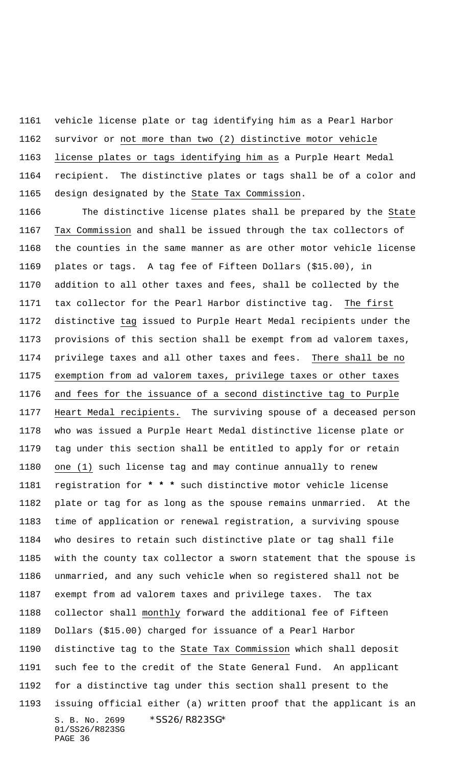vehicle license plate or tag identifying him as a Pearl Harbor survivor or not more than two (2) distinctive motor vehicle license plates or tags identifying him as a Purple Heart Medal recipient. The distinctive plates or tags shall be of a color and design designated by the State Tax Commission.

S. B. No. 2699 \*SS26/R823SG\* 01/SS26/R823SG PAGE 36 The distinctive license plates shall be prepared by the State Tax Commission and shall be issued through the tax collectors of the counties in the same manner as are other motor vehicle license plates or tags. A tag fee of Fifteen Dollars (\$15.00), in addition to all other taxes and fees, shall be collected by the tax collector for the Pearl Harbor distinctive tag. The first distinctive tag issued to Purple Heart Medal recipients under the provisions of this section shall be exempt from ad valorem taxes, privilege taxes and all other taxes and fees. There shall be no exemption from ad valorem taxes, privilege taxes or other taxes and fees for the issuance of a second distinctive tag to Purple Heart Medal recipients. The surviving spouse of a deceased person who was issued a Purple Heart Medal distinctive license plate or tag under this section shall be entitled to apply for or retain one (1) such license tag and may continue annually to renew registration for **\* \* \*** such distinctive motor vehicle license plate or tag for as long as the spouse remains unmarried. At the time of application or renewal registration, a surviving spouse who desires to retain such distinctive plate or tag shall file with the county tax collector a sworn statement that the spouse is unmarried, and any such vehicle when so registered shall not be exempt from ad valorem taxes and privilege taxes. The tax collector shall monthly forward the additional fee of Fifteen Dollars (\$15.00) charged for issuance of a Pearl Harbor distinctive tag to the State Tax Commission which shall deposit such fee to the credit of the State General Fund. An applicant for a distinctive tag under this section shall present to the issuing official either (a) written proof that the applicant is an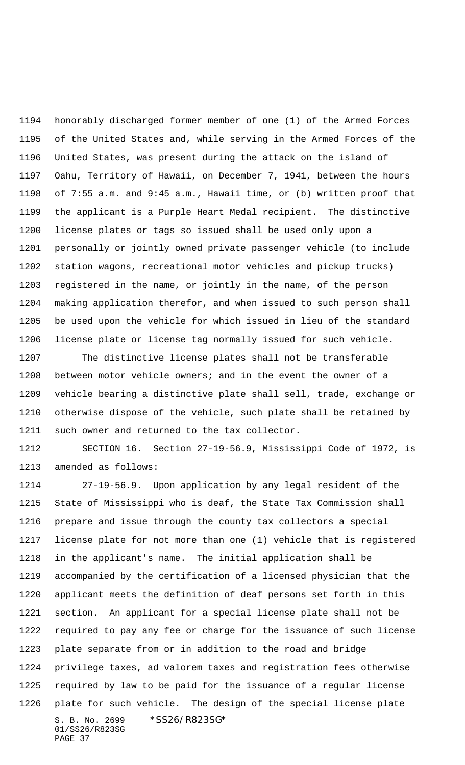honorably discharged former member of one (1) of the Armed Forces of the United States and, while serving in the Armed Forces of the United States, was present during the attack on the island of Oahu, Territory of Hawaii, on December 7, 1941, between the hours of 7:55 a.m. and 9:45 a.m., Hawaii time, or (b) written proof that the applicant is a Purple Heart Medal recipient. The distinctive license plates or tags so issued shall be used only upon a personally or jointly owned private passenger vehicle (to include station wagons, recreational motor vehicles and pickup trucks) registered in the name, or jointly in the name, of the person making application therefor, and when issued to such person shall be used upon the vehicle for which issued in lieu of the standard license plate or license tag normally issued for such vehicle.

 The distinctive license plates shall not be transferable between motor vehicle owners; and in the event the owner of a vehicle bearing a distinctive plate shall sell, trade, exchange or otherwise dispose of the vehicle, such plate shall be retained by such owner and returned to the tax collector.

 SECTION 16. Section 27-19-56.9, Mississippi Code of 1972, is amended as follows:

S. B. No. 2699 \*SS26/R823SG\* 01/SS26/R823SG 27-19-56.9. Upon application by any legal resident of the State of Mississippi who is deaf, the State Tax Commission shall prepare and issue through the county tax collectors a special license plate for not more than one (1) vehicle that is registered in the applicant's name. The initial application shall be accompanied by the certification of a licensed physician that the applicant meets the definition of deaf persons set forth in this section. An applicant for a special license plate shall not be required to pay any fee or charge for the issuance of such license plate separate from or in addition to the road and bridge privilege taxes, ad valorem taxes and registration fees otherwise required by law to be paid for the issuance of a regular license plate for such vehicle. The design of the special license plate

PAGE 37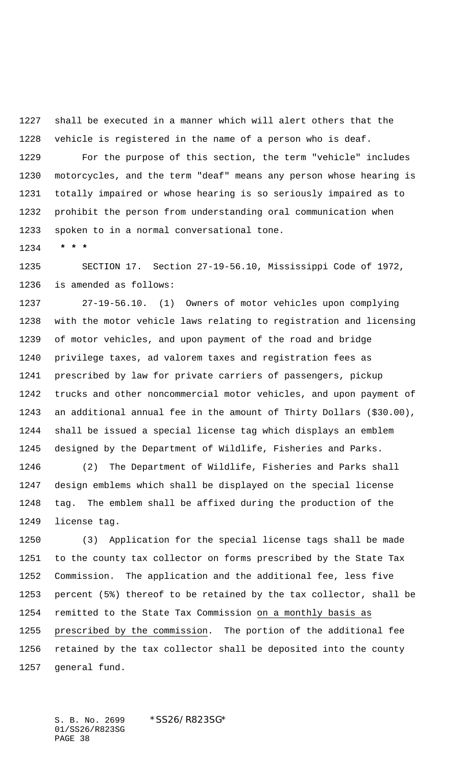shall be executed in a manner which will alert others that the vehicle is registered in the name of a person who is deaf.

 For the purpose of this section, the term "vehicle" includes motorcycles, and the term "deaf" means any person whose hearing is totally impaired or whose hearing is so seriously impaired as to prohibit the person from understanding oral communication when spoken to in a normal conversational tone.

 **\* \* \***

 SECTION 17. Section 27-19-56.10, Mississippi Code of 1972, is amended as follows:

 27-19-56.10. (1) Owners of motor vehicles upon complying with the motor vehicle laws relating to registration and licensing of motor vehicles, and upon payment of the road and bridge privilege taxes, ad valorem taxes and registration fees as prescribed by law for private carriers of passengers, pickup trucks and other noncommercial motor vehicles, and upon payment of an additional annual fee in the amount of Thirty Dollars (\$30.00), shall be issued a special license tag which displays an emblem designed by the Department of Wildlife, Fisheries and Parks.

 (2) The Department of Wildlife, Fisheries and Parks shall design emblems which shall be displayed on the special license tag. The emblem shall be affixed during the production of the license tag.

 (3) Application for the special license tags shall be made to the county tax collector on forms prescribed by the State Tax Commission. The application and the additional fee, less five percent (5%) thereof to be retained by the tax collector, shall be remitted to the State Tax Commission on a monthly basis as prescribed by the commission. The portion of the additional fee retained by the tax collector shall be deposited into the county general fund.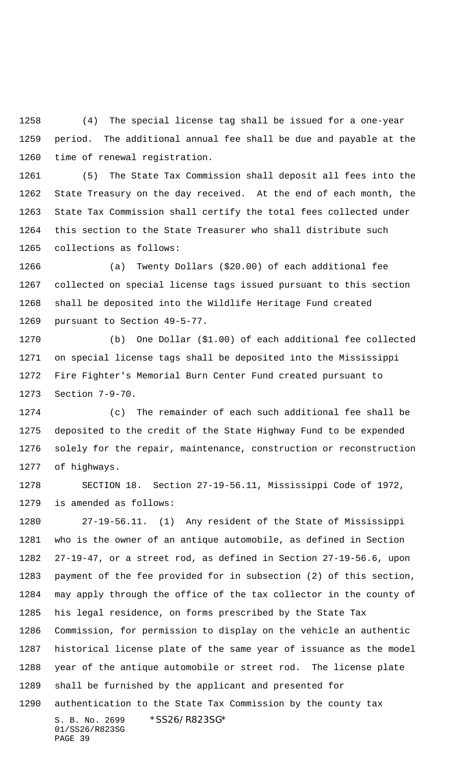(4) The special license tag shall be issued for a one-year period. The additional annual fee shall be due and payable at the time of renewal registration.

 (5) The State Tax Commission shall deposit all fees into the State Treasury on the day received. At the end of each month, the State Tax Commission shall certify the total fees collected under this section to the State Treasurer who shall distribute such collections as follows:

 (a) Twenty Dollars (\$20.00) of each additional fee collected on special license tags issued pursuant to this section shall be deposited into the Wildlife Heritage Fund created pursuant to Section 49-5-77.

 (b) One Dollar (\$1.00) of each additional fee collected on special license tags shall be deposited into the Mississippi Fire Fighter's Memorial Burn Center Fund created pursuant to Section 7-9-70.

 (c) The remainder of each such additional fee shall be deposited to the credit of the State Highway Fund to be expended solely for the repair, maintenance, construction or reconstruction of highways.

 SECTION 18. Section 27-19-56.11, Mississippi Code of 1972, is amended as follows:

S. B. No. 2699 \* SS26/R823SG\* 01/SS26/R823SG 27-19-56.11. (1) Any resident of the State of Mississippi who is the owner of an antique automobile, as defined in Section 27-19-47, or a street rod, as defined in Section 27-19-56.6, upon payment of the fee provided for in subsection (2) of this section, may apply through the office of the tax collector in the county of his legal residence, on forms prescribed by the State Tax Commission, for permission to display on the vehicle an authentic historical license plate of the same year of issuance as the model year of the antique automobile or street rod. The license plate shall be furnished by the applicant and presented for authentication to the State Tax Commission by the county tax

PAGE 39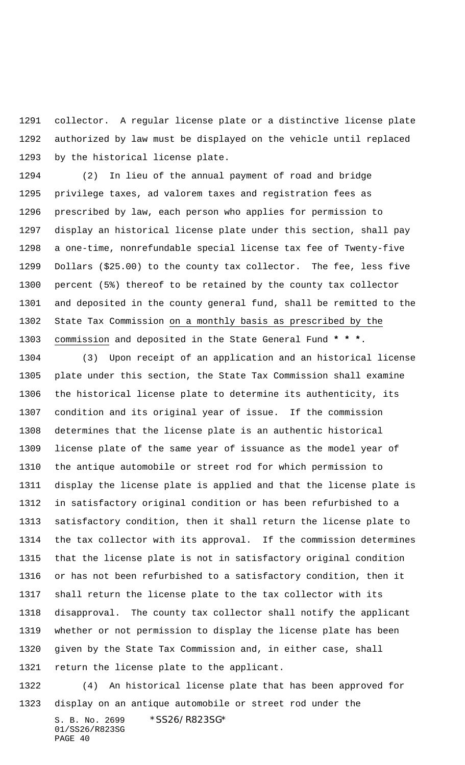collector. A regular license plate or a distinctive license plate authorized by law must be displayed on the vehicle until replaced by the historical license plate.

 (2) In lieu of the annual payment of road and bridge privilege taxes, ad valorem taxes and registration fees as prescribed by law, each person who applies for permission to display an historical license plate under this section, shall pay a one-time, nonrefundable special license tax fee of Twenty-five Dollars (\$25.00) to the county tax collector. The fee, less five percent (5%) thereof to be retained by the county tax collector and deposited in the county general fund, shall be remitted to the State Tax Commission on a monthly basis as prescribed by the commission and deposited in the State General Fund **\* \* \***.

 (3) Upon receipt of an application and an historical license plate under this section, the State Tax Commission shall examine the historical license plate to determine its authenticity, its condition and its original year of issue. If the commission determines that the license plate is an authentic historical license plate of the same year of issuance as the model year of the antique automobile or street rod for which permission to display the license plate is applied and that the license plate is in satisfactory original condition or has been refurbished to a satisfactory condition, then it shall return the license plate to the tax collector with its approval. If the commission determines that the license plate is not in satisfactory original condition or has not been refurbished to a satisfactory condition, then it shall return the license plate to the tax collector with its disapproval. The county tax collector shall notify the applicant whether or not permission to display the license plate has been given by the State Tax Commission and, in either case, shall return the license plate to the applicant.

 (4) An historical license plate that has been approved for display on an antique automobile or street rod under the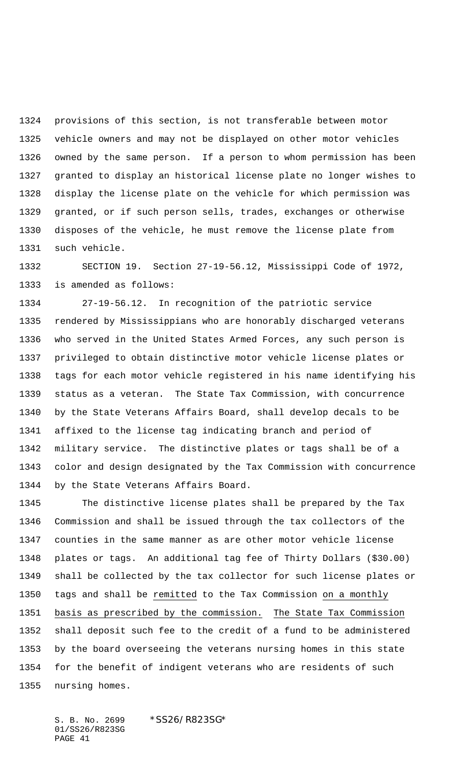provisions of this section, is not transferable between motor vehicle owners and may not be displayed on other motor vehicles owned by the same person. If a person to whom permission has been granted to display an historical license plate no longer wishes to display the license plate on the vehicle for which permission was granted, or if such person sells, trades, exchanges or otherwise disposes of the vehicle, he must remove the license plate from such vehicle.

 SECTION 19. Section 27-19-56.12, Mississippi Code of 1972, is amended as follows:

 27-19-56.12. In recognition of the patriotic service rendered by Mississippians who are honorably discharged veterans who served in the United States Armed Forces, any such person is privileged to obtain distinctive motor vehicle license plates or tags for each motor vehicle registered in his name identifying his status as a veteran. The State Tax Commission, with concurrence by the State Veterans Affairs Board, shall develop decals to be affixed to the license tag indicating branch and period of military service. The distinctive plates or tags shall be of a color and design designated by the Tax Commission with concurrence by the State Veterans Affairs Board.

 The distinctive license plates shall be prepared by the Tax Commission and shall be issued through the tax collectors of the counties in the same manner as are other motor vehicle license plates or tags. An additional tag fee of Thirty Dollars (\$30.00) shall be collected by the tax collector for such license plates or tags and shall be remitted to the Tax Commission on a monthly basis as prescribed by the commission. The State Tax Commission shall deposit such fee to the credit of a fund to be administered by the board overseeing the veterans nursing homes in this state for the benefit of indigent veterans who are residents of such nursing homes.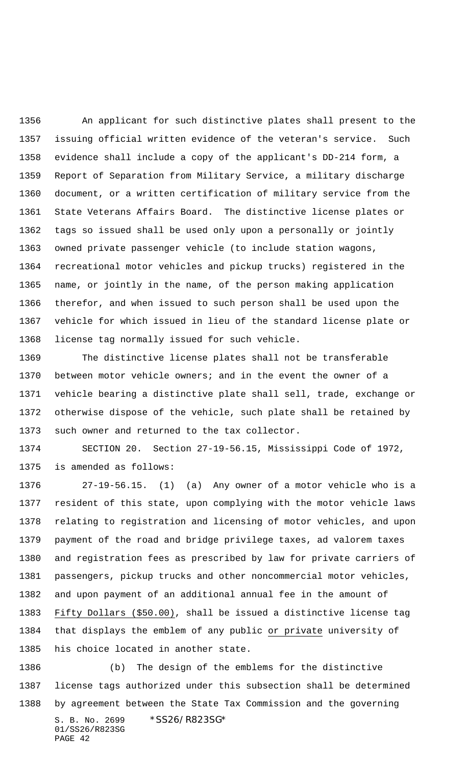An applicant for such distinctive plates shall present to the issuing official written evidence of the veteran's service. Such evidence shall include a copy of the applicant's DD-214 form, a Report of Separation from Military Service, a military discharge document, or a written certification of military service from the State Veterans Affairs Board. The distinctive license plates or tags so issued shall be used only upon a personally or jointly owned private passenger vehicle (to include station wagons, recreational motor vehicles and pickup trucks) registered in the name, or jointly in the name, of the person making application therefor, and when issued to such person shall be used upon the vehicle for which issued in lieu of the standard license plate or license tag normally issued for such vehicle.

 The distinctive license plates shall not be transferable between motor vehicle owners; and in the event the owner of a vehicle bearing a distinctive plate shall sell, trade, exchange or otherwise dispose of the vehicle, such plate shall be retained by such owner and returned to the tax collector.

 SECTION 20. Section 27-19-56.15, Mississippi Code of 1972, is amended as follows:

 27-19-56.15. (1) (a) Any owner of a motor vehicle who is a resident of this state, upon complying with the motor vehicle laws relating to registration and licensing of motor vehicles, and upon payment of the road and bridge privilege taxes, ad valorem taxes and registration fees as prescribed by law for private carriers of passengers, pickup trucks and other noncommercial motor vehicles, and upon payment of an additional annual fee in the amount of Fifty Dollars (\$50.00), shall be issued a distinctive license tag that displays the emblem of any public or private university of his choice located in another state.

S. B. No. 2699 \* SS26/R823SG\* 01/SS26/R823SG PAGE 42 (b) The design of the emblems for the distinctive license tags authorized under this subsection shall be determined by agreement between the State Tax Commission and the governing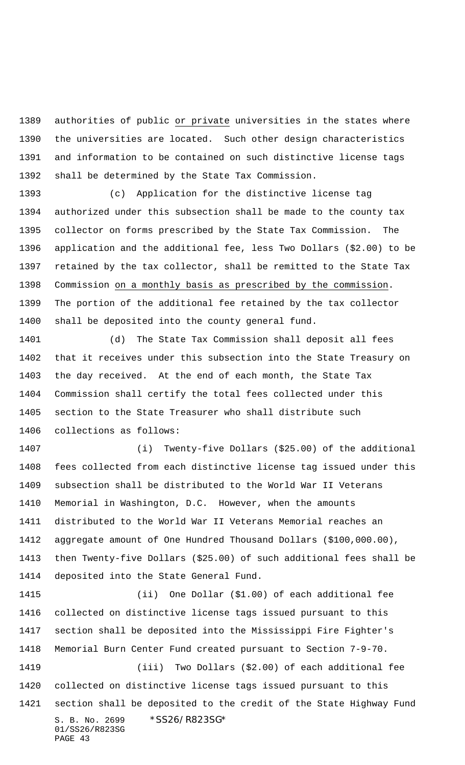authorities of public or private universities in the states where the universities are located. Such other design characteristics and information to be contained on such distinctive license tags shall be determined by the State Tax Commission.

 (c) Application for the distinctive license tag authorized under this subsection shall be made to the county tax collector on forms prescribed by the State Tax Commission. The application and the additional fee, less Two Dollars (\$2.00) to be retained by the tax collector, shall be remitted to the State Tax Commission on a monthly basis as prescribed by the commission. The portion of the additional fee retained by the tax collector shall be deposited into the county general fund.

 (d) The State Tax Commission shall deposit all fees that it receives under this subsection into the State Treasury on the day received. At the end of each month, the State Tax Commission shall certify the total fees collected under this section to the State Treasurer who shall distribute such collections as follows:

 (i) Twenty-five Dollars (\$25.00) of the additional fees collected from each distinctive license tag issued under this subsection shall be distributed to the World War II Veterans Memorial in Washington, D.C. However, when the amounts distributed to the World War II Veterans Memorial reaches an aggregate amount of One Hundred Thousand Dollars (\$100,000.00), then Twenty-five Dollars (\$25.00) of such additional fees shall be deposited into the State General Fund.

S. B. No. 2699 \* SS26/R823SG\* 01/SS26/R823SG PAGE 43 (ii) One Dollar (\$1.00) of each additional fee collected on distinctive license tags issued pursuant to this section shall be deposited into the Mississippi Fire Fighter's Memorial Burn Center Fund created pursuant to Section 7-9-70. (iii) Two Dollars (\$2.00) of each additional fee collected on distinctive license tags issued pursuant to this section shall be deposited to the credit of the State Highway Fund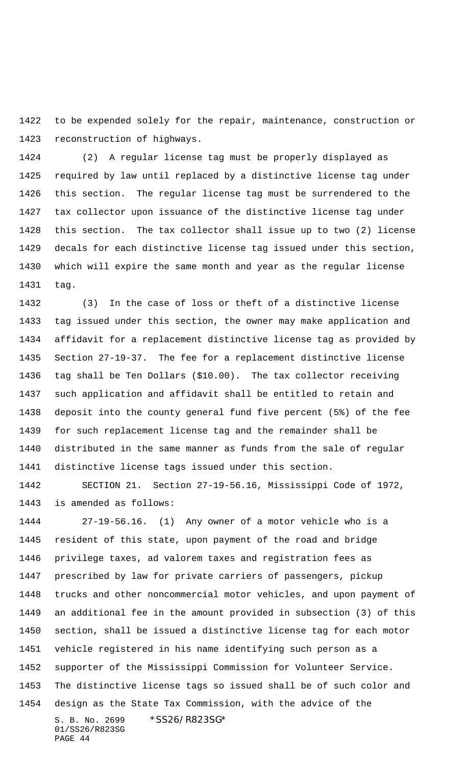to be expended solely for the repair, maintenance, construction or reconstruction of highways.

 (2) A regular license tag must be properly displayed as required by law until replaced by a distinctive license tag under this section. The regular license tag must be surrendered to the tax collector upon issuance of the distinctive license tag under this section. The tax collector shall issue up to two (2) license decals for each distinctive license tag issued under this section, which will expire the same month and year as the regular license tag.

 (3) In the case of loss or theft of a distinctive license tag issued under this section, the owner may make application and affidavit for a replacement distinctive license tag as provided by Section 27-19-37. The fee for a replacement distinctive license tag shall be Ten Dollars (\$10.00). The tax collector receiving such application and affidavit shall be entitled to retain and deposit into the county general fund five percent (5%) of the fee for such replacement license tag and the remainder shall be distributed in the same manner as funds from the sale of regular distinctive license tags issued under this section.

 SECTION 21. Section 27-19-56.16, Mississippi Code of 1972, is amended as follows:

S. B. No. 2699 \*SS26/R823SG\* 01/SS26/R823SG PAGE 44 27-19-56.16. (1) Any owner of a motor vehicle who is a resident of this state, upon payment of the road and bridge privilege taxes, ad valorem taxes and registration fees as prescribed by law for private carriers of passengers, pickup trucks and other noncommercial motor vehicles, and upon payment of an additional fee in the amount provided in subsection (3) of this section, shall be issued a distinctive license tag for each motor vehicle registered in his name identifying such person as a supporter of the Mississippi Commission for Volunteer Service. The distinctive license tags so issued shall be of such color and design as the State Tax Commission, with the advice of the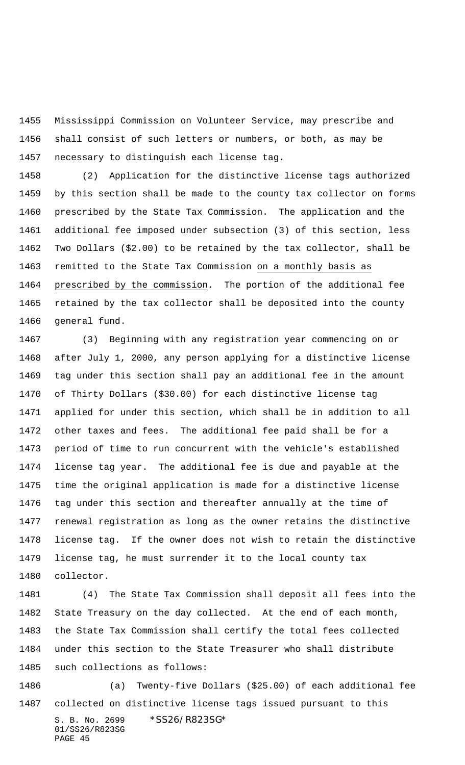Mississippi Commission on Volunteer Service, may prescribe and shall consist of such letters or numbers, or both, as may be necessary to distinguish each license tag.

 (2) Application for the distinctive license tags authorized by this section shall be made to the county tax collector on forms prescribed by the State Tax Commission. The application and the additional fee imposed under subsection (3) of this section, less Two Dollars (\$2.00) to be retained by the tax collector, shall be remitted to the State Tax Commission on a monthly basis as prescribed by the commission. The portion of the additional fee retained by the tax collector shall be deposited into the county general fund.

 (3) Beginning with any registration year commencing on or after July 1, 2000, any person applying for a distinctive license tag under this section shall pay an additional fee in the amount of Thirty Dollars (\$30.00) for each distinctive license tag applied for under this section, which shall be in addition to all other taxes and fees. The additional fee paid shall be for a period of time to run concurrent with the vehicle's established license tag year. The additional fee is due and payable at the time the original application is made for a distinctive license tag under this section and thereafter annually at the time of renewal registration as long as the owner retains the distinctive license tag. If the owner does not wish to retain the distinctive license tag, he must surrender it to the local county tax collector.

 (4) The State Tax Commission shall deposit all fees into the State Treasury on the day collected. At the end of each month, the State Tax Commission shall certify the total fees collected under this section to the State Treasurer who shall distribute such collections as follows:

S. B. No. 2699 \* SS26/R823SG\* 01/SS26/R823SG PAGE 45 (a) Twenty-five Dollars (\$25.00) of each additional fee collected on distinctive license tags issued pursuant to this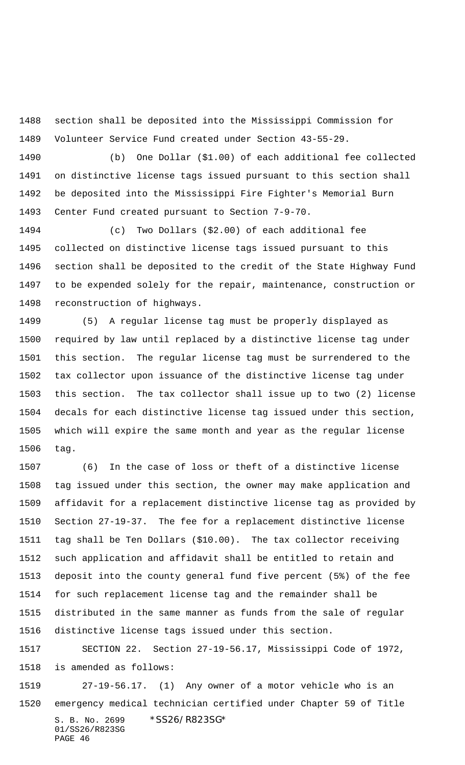section shall be deposited into the Mississippi Commission for Volunteer Service Fund created under Section 43-55-29.

 (b) One Dollar (\$1.00) of each additional fee collected on distinctive license tags issued pursuant to this section shall be deposited into the Mississippi Fire Fighter's Memorial Burn Center Fund created pursuant to Section 7-9-70.

 (c) Two Dollars (\$2.00) of each additional fee collected on distinctive license tags issued pursuant to this section shall be deposited to the credit of the State Highway Fund to be expended solely for the repair, maintenance, construction or reconstruction of highways.

 (5) A regular license tag must be properly displayed as required by law until replaced by a distinctive license tag under this section. The regular license tag must be surrendered to the tax collector upon issuance of the distinctive license tag under this section. The tax collector shall issue up to two (2) license decals for each distinctive license tag issued under this section, which will expire the same month and year as the regular license tag.

 (6) In the case of loss or theft of a distinctive license tag issued under this section, the owner may make application and affidavit for a replacement distinctive license tag as provided by Section 27-19-37. The fee for a replacement distinctive license tag shall be Ten Dollars (\$10.00). The tax collector receiving such application and affidavit shall be entitled to retain and deposit into the county general fund five percent (5%) of the fee for such replacement license tag and the remainder shall be distributed in the same manner as funds from the sale of regular distinctive license tags issued under this section.

 SECTION 22. Section 27-19-56.17, Mississippi Code of 1972, is amended as follows:

S. B. No. 2699 \*SS26/R823SG\* 01/SS26/R823SG PAGE 46 27-19-56.17. (1) Any owner of a motor vehicle who is an emergency medical technician certified under Chapter 59 of Title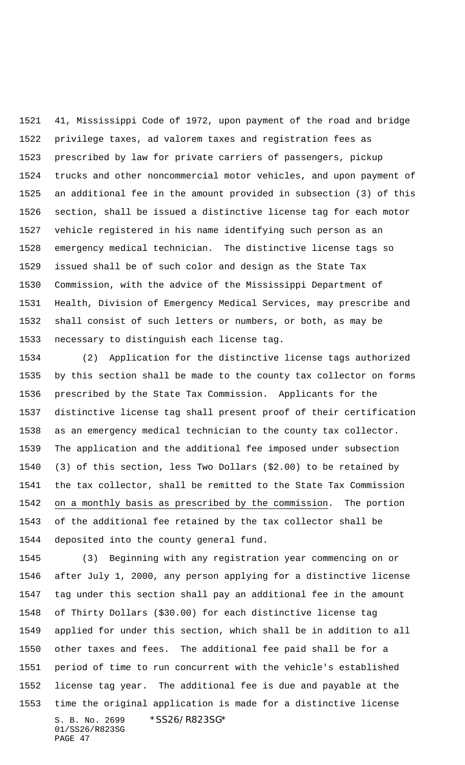41, Mississippi Code of 1972, upon payment of the road and bridge privilege taxes, ad valorem taxes and registration fees as prescribed by law for private carriers of passengers, pickup trucks and other noncommercial motor vehicles, and upon payment of an additional fee in the amount provided in subsection (3) of this section, shall be issued a distinctive license tag for each motor vehicle registered in his name identifying such person as an emergency medical technician. The distinctive license tags so issued shall be of such color and design as the State Tax Commission, with the advice of the Mississippi Department of Health, Division of Emergency Medical Services, may prescribe and shall consist of such letters or numbers, or both, as may be necessary to distinguish each license tag.

 (2) Application for the distinctive license tags authorized by this section shall be made to the county tax collector on forms prescribed by the State Tax Commission. Applicants for the distinctive license tag shall present proof of their certification as an emergency medical technician to the county tax collector. The application and the additional fee imposed under subsection (3) of this section, less Two Dollars (\$2.00) to be retained by the tax collector, shall be remitted to the State Tax Commission on a monthly basis as prescribed by the commission. The portion of the additional fee retained by the tax collector shall be deposited into the county general fund.

S. B. No. 2699 \* SS26/R823SG\* 01/SS26/R823SG PAGE 47 (3) Beginning with any registration year commencing on or after July 1, 2000, any person applying for a distinctive license tag under this section shall pay an additional fee in the amount of Thirty Dollars (\$30.00) for each distinctive license tag applied for under this section, which shall be in addition to all other taxes and fees. The additional fee paid shall be for a period of time to run concurrent with the vehicle's established license tag year. The additional fee is due and payable at the time the original application is made for a distinctive license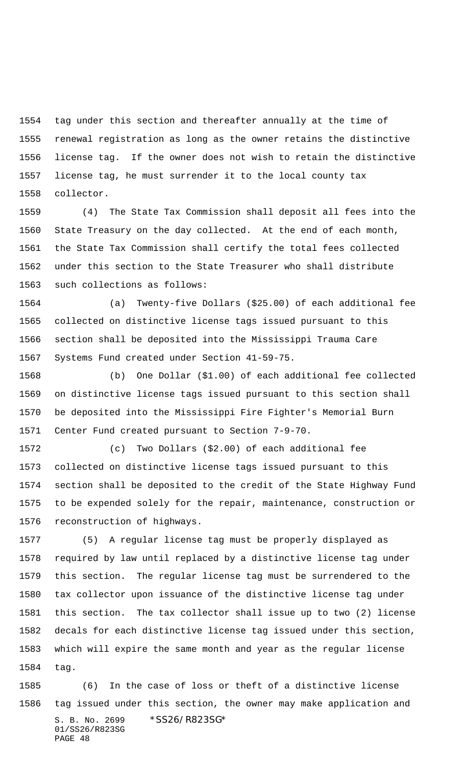tag under this section and thereafter annually at the time of renewal registration as long as the owner retains the distinctive license tag. If the owner does not wish to retain the distinctive license tag, he must surrender it to the local county tax collector.

 (4) The State Tax Commission shall deposit all fees into the State Treasury on the day collected. At the end of each month, the State Tax Commission shall certify the total fees collected under this section to the State Treasurer who shall distribute such collections as follows:

 (a) Twenty-five Dollars (\$25.00) of each additional fee collected on distinctive license tags issued pursuant to this section shall be deposited into the Mississippi Trauma Care Systems Fund created under Section 41-59-75.

 (b) One Dollar (\$1.00) of each additional fee collected on distinctive license tags issued pursuant to this section shall be deposited into the Mississippi Fire Fighter's Memorial Burn Center Fund created pursuant to Section 7-9-70.

 (c) Two Dollars (\$2.00) of each additional fee collected on distinctive license tags issued pursuant to this section shall be deposited to the credit of the State Highway Fund to be expended solely for the repair, maintenance, construction or reconstruction of highways.

 (5) A regular license tag must be properly displayed as required by law until replaced by a distinctive license tag under this section. The regular license tag must be surrendered to the tax collector upon issuance of the distinctive license tag under this section. The tax collector shall issue up to two (2) license decals for each distinctive license tag issued under this section, which will expire the same month and year as the regular license tag.

S. B. No. 2699 \* SS26/R823SG\* 01/SS26/R823SG PAGE 48 (6) In the case of loss or theft of a distinctive license tag issued under this section, the owner may make application and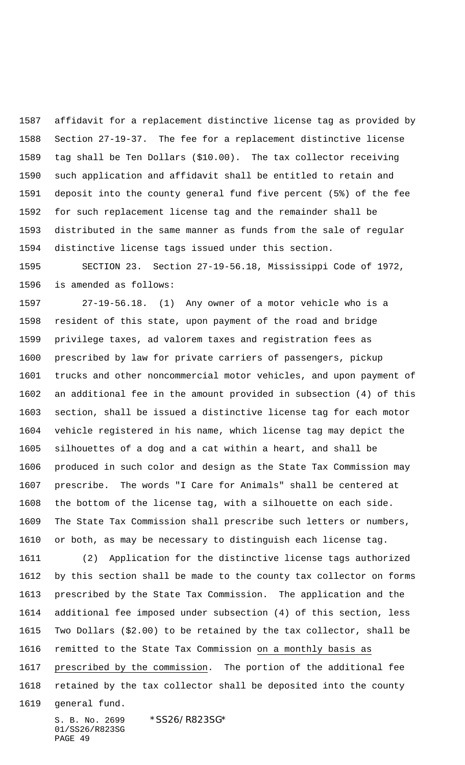affidavit for a replacement distinctive license tag as provided by Section 27-19-37. The fee for a replacement distinctive license tag shall be Ten Dollars (\$10.00). The tax collector receiving such application and affidavit shall be entitled to retain and deposit into the county general fund five percent (5%) of the fee for such replacement license tag and the remainder shall be distributed in the same manner as funds from the sale of regular distinctive license tags issued under this section.

 SECTION 23. Section 27-19-56.18, Mississippi Code of 1972, is amended as follows:

 27-19-56.18. (1) Any owner of a motor vehicle who is a resident of this state, upon payment of the road and bridge privilege taxes, ad valorem taxes and registration fees as prescribed by law for private carriers of passengers, pickup trucks and other noncommercial motor vehicles, and upon payment of an additional fee in the amount provided in subsection (4) of this section, shall be issued a distinctive license tag for each motor vehicle registered in his name, which license tag may depict the silhouettes of a dog and a cat within a heart, and shall be produced in such color and design as the State Tax Commission may prescribe. The words "I Care for Animals" shall be centered at the bottom of the license tag, with a silhouette on each side. The State Tax Commission shall prescribe such letters or numbers, or both, as may be necessary to distinguish each license tag.

 (2) Application for the distinctive license tags authorized by this section shall be made to the county tax collector on forms prescribed by the State Tax Commission. The application and the additional fee imposed under subsection (4) of this section, less Two Dollars (\$2.00) to be retained by the tax collector, shall be remitted to the State Tax Commission on a monthly basis as prescribed by the commission. The portion of the additional fee retained by the tax collector shall be deposited into the county general fund.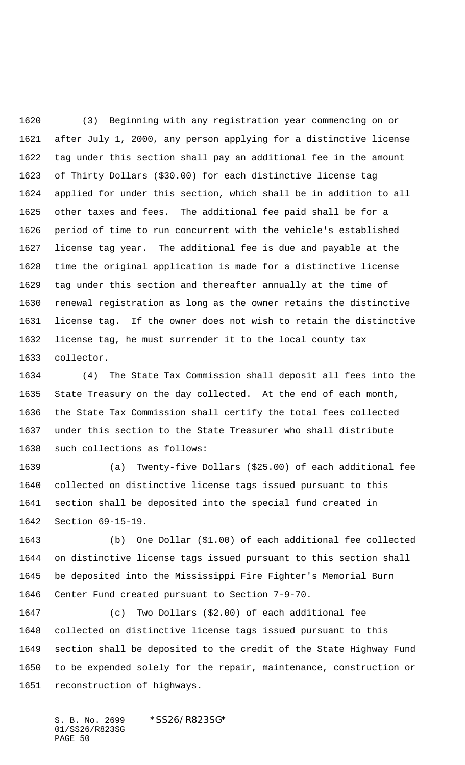(3) Beginning with any registration year commencing on or after July 1, 2000, any person applying for a distinctive license tag under this section shall pay an additional fee in the amount of Thirty Dollars (\$30.00) for each distinctive license tag applied for under this section, which shall be in addition to all other taxes and fees. The additional fee paid shall be for a period of time to run concurrent with the vehicle's established license tag year. The additional fee is due and payable at the time the original application is made for a distinctive license tag under this section and thereafter annually at the time of renewal registration as long as the owner retains the distinctive license tag. If the owner does not wish to retain the distinctive license tag, he must surrender it to the local county tax collector.

 (4) The State Tax Commission shall deposit all fees into the State Treasury on the day collected. At the end of each month, the State Tax Commission shall certify the total fees collected under this section to the State Treasurer who shall distribute such collections as follows:

 (a) Twenty-five Dollars (\$25.00) of each additional fee collected on distinctive license tags issued pursuant to this section shall be deposited into the special fund created in Section 69-15-19.

 (b) One Dollar (\$1.00) of each additional fee collected on distinctive license tags issued pursuant to this section shall be deposited into the Mississippi Fire Fighter's Memorial Burn Center Fund created pursuant to Section 7-9-70.

 (c) Two Dollars (\$2.00) of each additional fee collected on distinctive license tags issued pursuant to this section shall be deposited to the credit of the State Highway Fund to be expended solely for the repair, maintenance, construction or reconstruction of highways.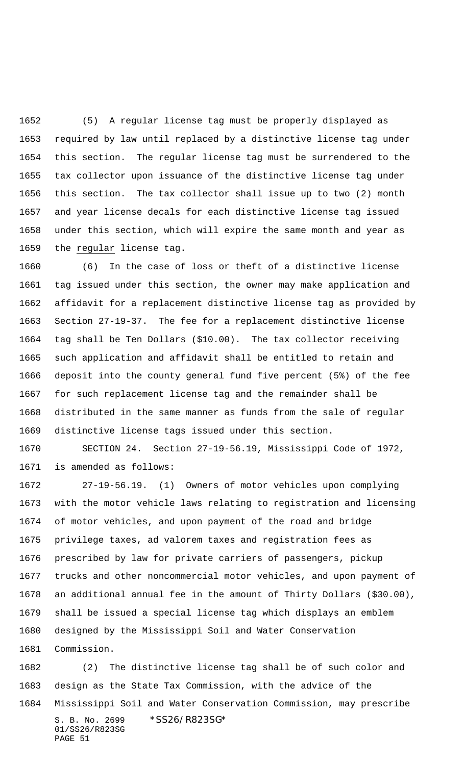(5) A regular license tag must be properly displayed as required by law until replaced by a distinctive license tag under this section. The regular license tag must be surrendered to the tax collector upon issuance of the distinctive license tag under this section. The tax collector shall issue up to two (2) month and year license decals for each distinctive license tag issued under this section, which will expire the same month and year as the regular license tag.

 (6) In the case of loss or theft of a distinctive license tag issued under this section, the owner may make application and affidavit for a replacement distinctive license tag as provided by Section 27-19-37. The fee for a replacement distinctive license tag shall be Ten Dollars (\$10.00). The tax collector receiving such application and affidavit shall be entitled to retain and deposit into the county general fund five percent (5%) of the fee for such replacement license tag and the remainder shall be distributed in the same manner as funds from the sale of regular distinctive license tags issued under this section.

 SECTION 24. Section 27-19-56.19, Mississippi Code of 1972, is amended as follows:

 27-19-56.19. (1) Owners of motor vehicles upon complying with the motor vehicle laws relating to registration and licensing of motor vehicles, and upon payment of the road and bridge privilege taxes, ad valorem taxes and registration fees as prescribed by law for private carriers of passengers, pickup trucks and other noncommercial motor vehicles, and upon payment of an additional annual fee in the amount of Thirty Dollars (\$30.00), shall be issued a special license tag which displays an emblem designed by the Mississippi Soil and Water Conservation

S. B. No. 2699 \*SS26/R823SG\* 01/SS26/R823SG (2) The distinctive license tag shall be of such color and design as the State Tax Commission, with the advice of the Mississippi Soil and Water Conservation Commission, may prescribe

PAGE 51

Commission.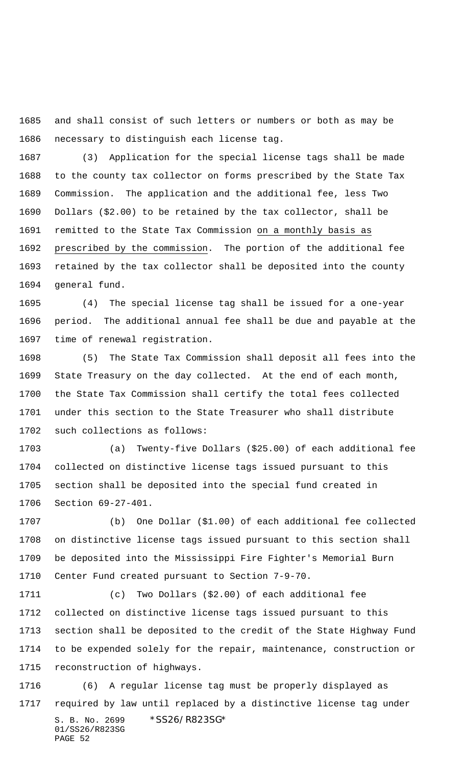and shall consist of such letters or numbers or both as may be necessary to distinguish each license tag.

 (3) Application for the special license tags shall be made to the county tax collector on forms prescribed by the State Tax Commission. The application and the additional fee, less Two Dollars (\$2.00) to be retained by the tax collector, shall be remitted to the State Tax Commission on a monthly basis as prescribed by the commission. The portion of the additional fee retained by the tax collector shall be deposited into the county general fund.

 (4) The special license tag shall be issued for a one-year period. The additional annual fee shall be due and payable at the time of renewal registration.

 (5) The State Tax Commission shall deposit all fees into the State Treasury on the day collected. At the end of each month, the State Tax Commission shall certify the total fees collected under this section to the State Treasurer who shall distribute such collections as follows:

 (a) Twenty-five Dollars (\$25.00) of each additional fee collected on distinctive license tags issued pursuant to this section shall be deposited into the special fund created in Section 69-27-401.

 (b) One Dollar (\$1.00) of each additional fee collected on distinctive license tags issued pursuant to this section shall be deposited into the Mississippi Fire Fighter's Memorial Burn Center Fund created pursuant to Section 7-9-70.

 (c) Two Dollars (\$2.00) of each additional fee collected on distinctive license tags issued pursuant to this section shall be deposited to the credit of the State Highway Fund to be expended solely for the repair, maintenance, construction or reconstruction of highways.

S. B. No. 2699 \* SS26/R823SG\* 01/SS26/R823SG PAGE 52 (6) A regular license tag must be properly displayed as required by law until replaced by a distinctive license tag under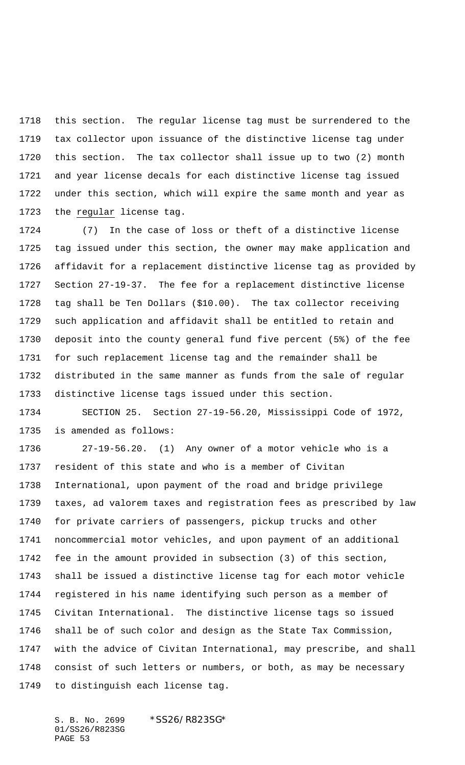this section. The regular license tag must be surrendered to the tax collector upon issuance of the distinctive license tag under this section. The tax collector shall issue up to two (2) month and year license decals for each distinctive license tag issued under this section, which will expire the same month and year as 1723 the regular license tag.

 (7) In the case of loss or theft of a distinctive license tag issued under this section, the owner may make application and affidavit for a replacement distinctive license tag as provided by Section 27-19-37. The fee for a replacement distinctive license tag shall be Ten Dollars (\$10.00). The tax collector receiving such application and affidavit shall be entitled to retain and deposit into the county general fund five percent (5%) of the fee for such replacement license tag and the remainder shall be distributed in the same manner as funds from the sale of regular distinctive license tags issued under this section.

 SECTION 25. Section 27-19-56.20, Mississippi Code of 1972, is amended as follows:

 27-19-56.20. (1) Any owner of a motor vehicle who is a resident of this state and who is a member of Civitan International, upon payment of the road and bridge privilege taxes, ad valorem taxes and registration fees as prescribed by law for private carriers of passengers, pickup trucks and other noncommercial motor vehicles, and upon payment of an additional fee in the amount provided in subsection (3) of this section, shall be issued a distinctive license tag for each motor vehicle registered in his name identifying such person as a member of Civitan International. The distinctive license tags so issued shall be of such color and design as the State Tax Commission, with the advice of Civitan International, may prescribe, and shall consist of such letters or numbers, or both, as may be necessary to distinguish each license tag.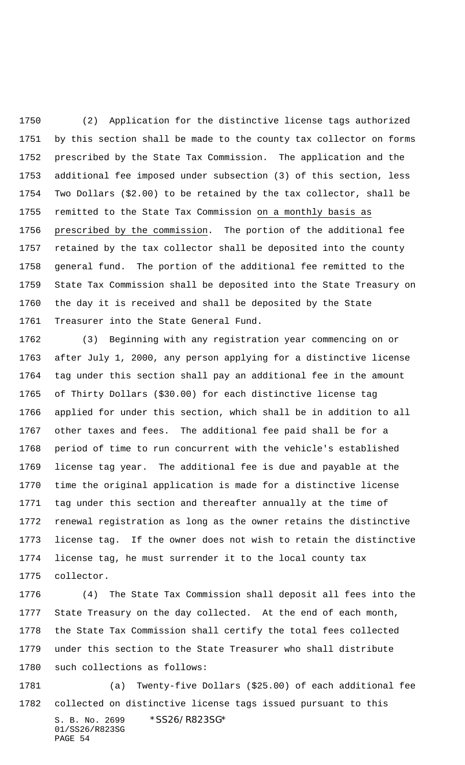(2) Application for the distinctive license tags authorized by this section shall be made to the county tax collector on forms prescribed by the State Tax Commission. The application and the additional fee imposed under subsection (3) of this section, less Two Dollars (\$2.00) to be retained by the tax collector, shall be 1755 remitted to the State Tax Commission on a monthly basis as prescribed by the commission. The portion of the additional fee retained by the tax collector shall be deposited into the county general fund. The portion of the additional fee remitted to the State Tax Commission shall be deposited into the State Treasury on the day it is received and shall be deposited by the State Treasurer into the State General Fund.

 (3) Beginning with any registration year commencing on or after July 1, 2000, any person applying for a distinctive license tag under this section shall pay an additional fee in the amount of Thirty Dollars (\$30.00) for each distinctive license tag applied for under this section, which shall be in addition to all other taxes and fees. The additional fee paid shall be for a period of time to run concurrent with the vehicle's established license tag year. The additional fee is due and payable at the time the original application is made for a distinctive license tag under this section and thereafter annually at the time of renewal registration as long as the owner retains the distinctive license tag. If the owner does not wish to retain the distinctive license tag, he must surrender it to the local county tax collector.

 (4) The State Tax Commission shall deposit all fees into the State Treasury on the day collected. At the end of each month, the State Tax Commission shall certify the total fees collected under this section to the State Treasurer who shall distribute such collections as follows:

S. B. No. 2699 \* SS26/R823SG\* 01/SS26/R823SG PAGE 54 (a) Twenty-five Dollars (\$25.00) of each additional fee collected on distinctive license tags issued pursuant to this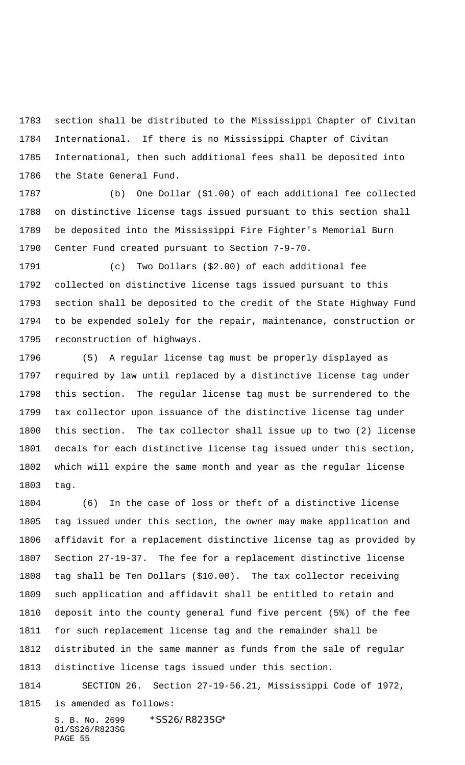section shall be distributed to the Mississippi Chapter of Civitan International. If there is no Mississippi Chapter of Civitan International, then such additional fees shall be deposited into the State General Fund.

 (b) One Dollar (\$1.00) of each additional fee collected on distinctive license tags issued pursuant to this section shall be deposited into the Mississippi Fire Fighter's Memorial Burn Center Fund created pursuant to Section 7-9-70.

 (c) Two Dollars (\$2.00) of each additional fee collected on distinctive license tags issued pursuant to this section shall be deposited to the credit of the State Highway Fund to be expended solely for the repair, maintenance, construction or reconstruction of highways.

 (5) A regular license tag must be properly displayed as required by law until replaced by a distinctive license tag under this section. The regular license tag must be surrendered to the tax collector upon issuance of the distinctive license tag under this section. The tax collector shall issue up to two (2) license decals for each distinctive license tag issued under this section, which will expire the same month and year as the regular license tag.

 (6) In the case of loss or theft of a distinctive license tag issued under this section, the owner may make application and affidavit for a replacement distinctive license tag as provided by Section 27-19-37. The fee for a replacement distinctive license tag shall be Ten Dollars (\$10.00). The tax collector receiving such application and affidavit shall be entitled to retain and deposit into the county general fund five percent (5%) of the fee for such replacement license tag and the remainder shall be distributed in the same manner as funds from the sale of regular distinctive license tags issued under this section.

SECTION 26. Section 27-19-56.21, Mississippi Code of 1972,

is amended as follows: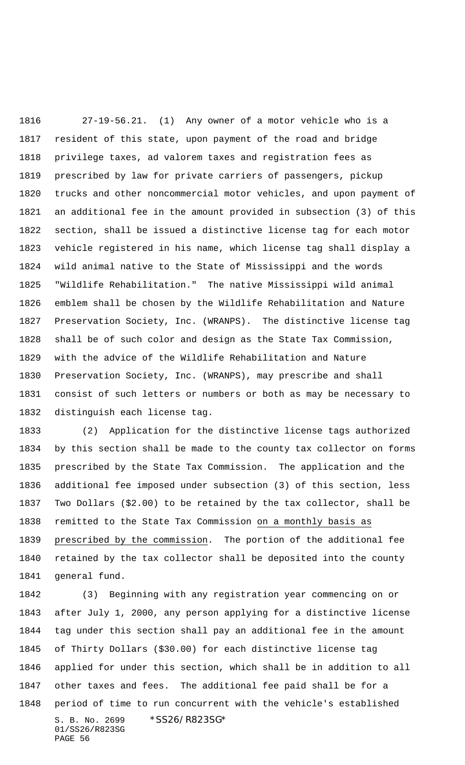27-19-56.21. (1) Any owner of a motor vehicle who is a resident of this state, upon payment of the road and bridge privilege taxes, ad valorem taxes and registration fees as prescribed by law for private carriers of passengers, pickup trucks and other noncommercial motor vehicles, and upon payment of an additional fee in the amount provided in subsection (3) of this section, shall be issued a distinctive license tag for each motor vehicle registered in his name, which license tag shall display a wild animal native to the State of Mississippi and the words "Wildlife Rehabilitation." The native Mississippi wild animal emblem shall be chosen by the Wildlife Rehabilitation and Nature Preservation Society, Inc. (WRANPS). The distinctive license tag shall be of such color and design as the State Tax Commission, with the advice of the Wildlife Rehabilitation and Nature Preservation Society, Inc. (WRANPS), may prescribe and shall consist of such letters or numbers or both as may be necessary to distinguish each license tag.

 (2) Application for the distinctive license tags authorized by this section shall be made to the county tax collector on forms prescribed by the State Tax Commission. The application and the additional fee imposed under subsection (3) of this section, less Two Dollars (\$2.00) to be retained by the tax collector, shall be remitted to the State Tax Commission on a monthly basis as prescribed by the commission. The portion of the additional fee retained by the tax collector shall be deposited into the county general fund.

S. B. No. 2699 \* SS26/R823SG\* 01/SS26/R823SG PAGE 56 (3) Beginning with any registration year commencing on or after July 1, 2000, any person applying for a distinctive license tag under this section shall pay an additional fee in the amount of Thirty Dollars (\$30.00) for each distinctive license tag applied for under this section, which shall be in addition to all other taxes and fees. The additional fee paid shall be for a period of time to run concurrent with the vehicle's established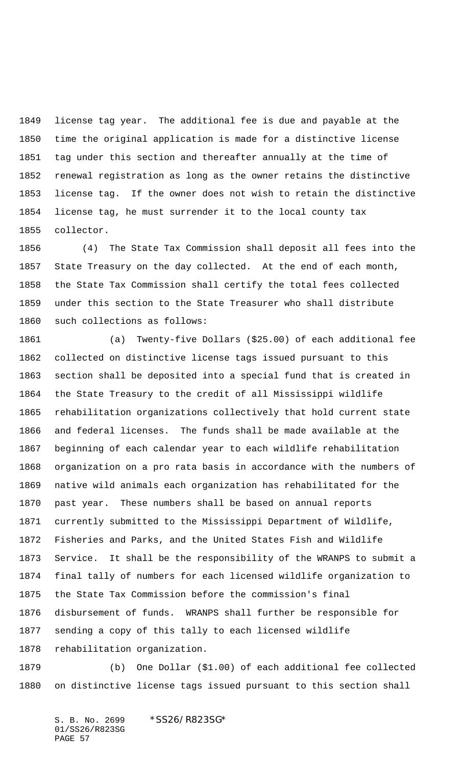license tag year. The additional fee is due and payable at the time the original application is made for a distinctive license tag under this section and thereafter annually at the time of renewal registration as long as the owner retains the distinctive license tag. If the owner does not wish to retain the distinctive license tag, he must surrender it to the local county tax collector.

 (4) The State Tax Commission shall deposit all fees into the State Treasury on the day collected. At the end of each month, the State Tax Commission shall certify the total fees collected under this section to the State Treasurer who shall distribute such collections as follows:

 (a) Twenty-five Dollars (\$25.00) of each additional fee collected on distinctive license tags issued pursuant to this section shall be deposited into a special fund that is created in the State Treasury to the credit of all Mississippi wildlife rehabilitation organizations collectively that hold current state and federal licenses. The funds shall be made available at the beginning of each calendar year to each wildlife rehabilitation organization on a pro rata basis in accordance with the numbers of native wild animals each organization has rehabilitated for the past year. These numbers shall be based on annual reports currently submitted to the Mississippi Department of Wildlife, Fisheries and Parks, and the United States Fish and Wildlife Service. It shall be the responsibility of the WRANPS to submit a final tally of numbers for each licensed wildlife organization to the State Tax Commission before the commission's final disbursement of funds. WRANPS shall further be responsible for sending a copy of this tally to each licensed wildlife rehabilitation organization.

 (b) One Dollar (\$1.00) of each additional fee collected on distinctive license tags issued pursuant to this section shall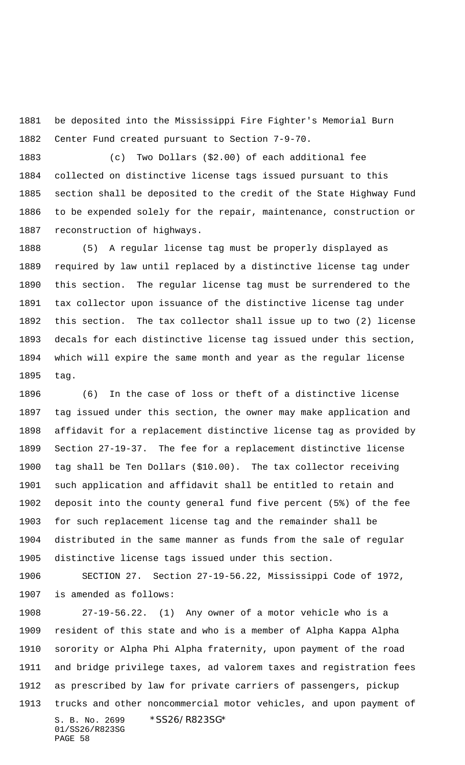be deposited into the Mississippi Fire Fighter's Memorial Burn Center Fund created pursuant to Section 7-9-70.

 (c) Two Dollars (\$2.00) of each additional fee collected on distinctive license tags issued pursuant to this section shall be deposited to the credit of the State Highway Fund to be expended solely for the repair, maintenance, construction or reconstruction of highways.

 (5) A regular license tag must be properly displayed as required by law until replaced by a distinctive license tag under this section. The regular license tag must be surrendered to the tax collector upon issuance of the distinctive license tag under this section. The tax collector shall issue up to two (2) license decals for each distinctive license tag issued under this section, which will expire the same month and year as the regular license tag.

 (6) In the case of loss or theft of a distinctive license tag issued under this section, the owner may make application and affidavit for a replacement distinctive license tag as provided by Section 27-19-37. The fee for a replacement distinctive license tag shall be Ten Dollars (\$10.00). The tax collector receiving such application and affidavit shall be entitled to retain and deposit into the county general fund five percent (5%) of the fee for such replacement license tag and the remainder shall be distributed in the same manner as funds from the sale of regular distinctive license tags issued under this section.

 SECTION 27. Section 27-19-56.22, Mississippi Code of 1972, is amended as follows:

S. B. No. 2699 \*SS26/R823SG\* 01/SS26/R823SG PAGE 58 27-19-56.22. (1) Any owner of a motor vehicle who is a resident of this state and who is a member of Alpha Kappa Alpha sorority or Alpha Phi Alpha fraternity, upon payment of the road and bridge privilege taxes, ad valorem taxes and registration fees as prescribed by law for private carriers of passengers, pickup trucks and other noncommercial motor vehicles, and upon payment of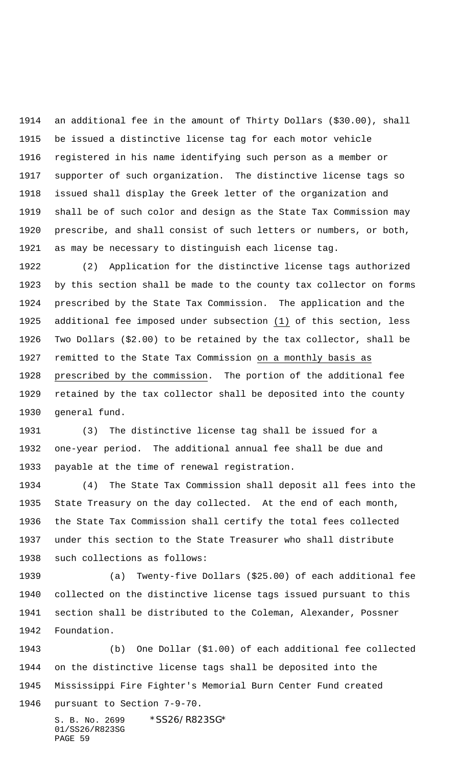an additional fee in the amount of Thirty Dollars (\$30.00), shall be issued a distinctive license tag for each motor vehicle registered in his name identifying such person as a member or supporter of such organization. The distinctive license tags so issued shall display the Greek letter of the organization and shall be of such color and design as the State Tax Commission may prescribe, and shall consist of such letters or numbers, or both, as may be necessary to distinguish each license tag.

 (2) Application for the distinctive license tags authorized by this section shall be made to the county tax collector on forms prescribed by the State Tax Commission. The application and the additional fee imposed under subsection (1) of this section, less Two Dollars (\$2.00) to be retained by the tax collector, shall be remitted to the State Tax Commission on a monthly basis as prescribed by the commission. The portion of the additional fee retained by the tax collector shall be deposited into the county general fund.

 (3) The distinctive license tag shall be issued for a one-year period. The additional annual fee shall be due and payable at the time of renewal registration.

 (4) The State Tax Commission shall deposit all fees into the State Treasury on the day collected. At the end of each month, the State Tax Commission shall certify the total fees collected under this section to the State Treasurer who shall distribute such collections as follows:

 (a) Twenty-five Dollars (\$25.00) of each additional fee collected on the distinctive license tags issued pursuant to this section shall be distributed to the Coleman, Alexander, Possner Foundation.

 (b) One Dollar (\$1.00) of each additional fee collected on the distinctive license tags shall be deposited into the Mississippi Fire Fighter's Memorial Burn Center Fund created pursuant to Section 7-9-70.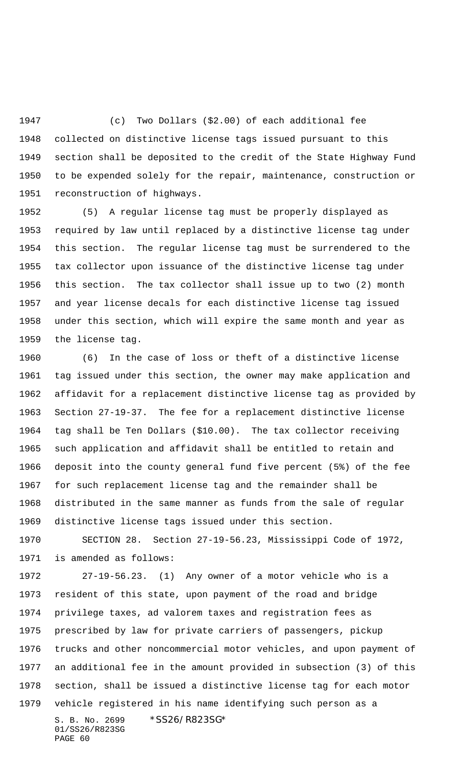(c) Two Dollars (\$2.00) of each additional fee collected on distinctive license tags issued pursuant to this section shall be deposited to the credit of the State Highway Fund to be expended solely for the repair, maintenance, construction or reconstruction of highways.

 (5) A regular license tag must be properly displayed as required by law until replaced by a distinctive license tag under this section. The regular license tag must be surrendered to the tax collector upon issuance of the distinctive license tag under this section. The tax collector shall issue up to two (2) month and year license decals for each distinctive license tag issued under this section, which will expire the same month and year as the license tag.

 (6) In the case of loss or theft of a distinctive license tag issued under this section, the owner may make application and affidavit for a replacement distinctive license tag as provided by Section 27-19-37. The fee for a replacement distinctive license tag shall be Ten Dollars (\$10.00). The tax collector receiving such application and affidavit shall be entitled to retain and deposit into the county general fund five percent (5%) of the fee for such replacement license tag and the remainder shall be distributed in the same manner as funds from the sale of regular distinctive license tags issued under this section.

 SECTION 28. Section 27-19-56.23, Mississippi Code of 1972, is amended as follows:

S. B. No. 2699 \* SS26/R823SG\* 01/SS26/R823SG PAGE 60 27-19-56.23. (1) Any owner of a motor vehicle who is a resident of this state, upon payment of the road and bridge privilege taxes, ad valorem taxes and registration fees as prescribed by law for private carriers of passengers, pickup trucks and other noncommercial motor vehicles, and upon payment of an additional fee in the amount provided in subsection (3) of this section, shall be issued a distinctive license tag for each motor vehicle registered in his name identifying such person as a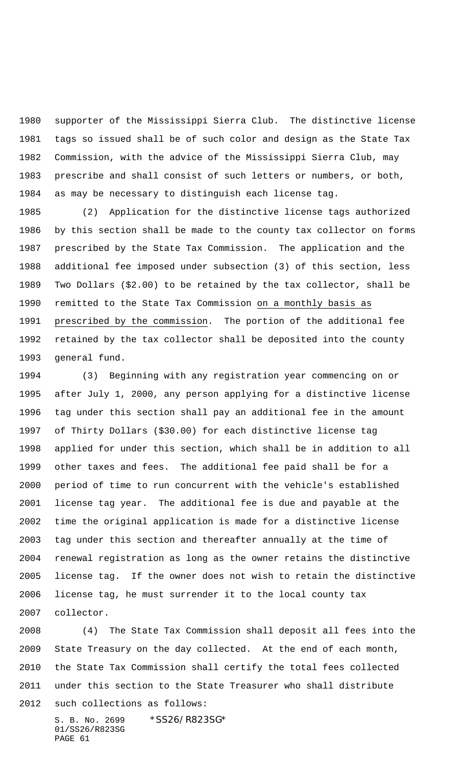supporter of the Mississippi Sierra Club. The distinctive license tags so issued shall be of such color and design as the State Tax Commission, with the advice of the Mississippi Sierra Club, may prescribe and shall consist of such letters or numbers, or both, as may be necessary to distinguish each license tag.

 (2) Application for the distinctive license tags authorized by this section shall be made to the county tax collector on forms prescribed by the State Tax Commission. The application and the additional fee imposed under subsection (3) of this section, less Two Dollars (\$2.00) to be retained by the tax collector, shall be remitted to the State Tax Commission on a monthly basis as prescribed by the commission. The portion of the additional fee retained by the tax collector shall be deposited into the county general fund.

 (3) Beginning with any registration year commencing on or after July 1, 2000, any person applying for a distinctive license tag under this section shall pay an additional fee in the amount of Thirty Dollars (\$30.00) for each distinctive license tag applied for under this section, which shall be in addition to all other taxes and fees. The additional fee paid shall be for a period of time to run concurrent with the vehicle's established license tag year. The additional fee is due and payable at the time the original application is made for a distinctive license tag under this section and thereafter annually at the time of renewal registration as long as the owner retains the distinctive license tag. If the owner does not wish to retain the distinctive license tag, he must surrender it to the local county tax collector.

 (4) The State Tax Commission shall deposit all fees into the State Treasury on the day collected. At the end of each month, the State Tax Commission shall certify the total fees collected under this section to the State Treasurer who shall distribute such collections as follows: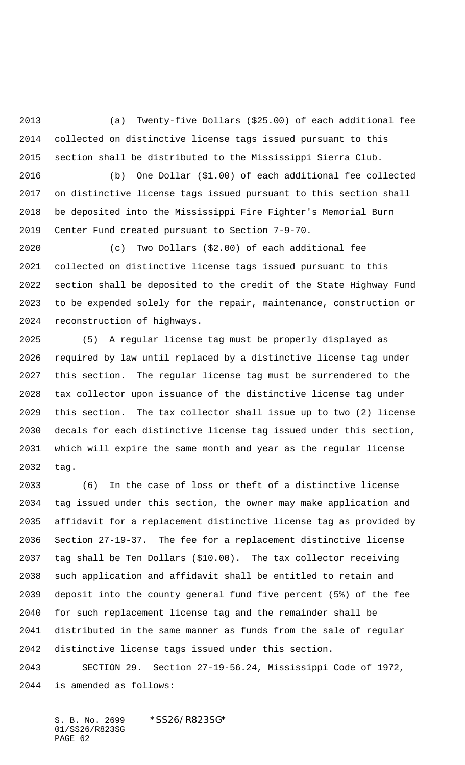(a) Twenty-five Dollars (\$25.00) of each additional fee collected on distinctive license tags issued pursuant to this section shall be distributed to the Mississippi Sierra Club.

 (b) One Dollar (\$1.00) of each additional fee collected on distinctive license tags issued pursuant to this section shall be deposited into the Mississippi Fire Fighter's Memorial Burn Center Fund created pursuant to Section 7-9-70.

 (c) Two Dollars (\$2.00) of each additional fee collected on distinctive license tags issued pursuant to this section shall be deposited to the credit of the State Highway Fund to be expended solely for the repair, maintenance, construction or reconstruction of highways.

 (5) A regular license tag must be properly displayed as required by law until replaced by a distinctive license tag under this section. The regular license tag must be surrendered to the tax collector upon issuance of the distinctive license tag under this section. The tax collector shall issue up to two (2) license decals for each distinctive license tag issued under this section, which will expire the same month and year as the regular license tag.

 (6) In the case of loss or theft of a distinctive license tag issued under this section, the owner may make application and affidavit for a replacement distinctive license tag as provided by Section 27-19-37. The fee for a replacement distinctive license tag shall be Ten Dollars (\$10.00). The tax collector receiving such application and affidavit shall be entitled to retain and deposit into the county general fund five percent (5%) of the fee for such replacement license tag and the remainder shall be distributed in the same manner as funds from the sale of regular distinctive license tags issued under this section.

 SECTION 29. Section 27-19-56.24, Mississippi Code of 1972, is amended as follows: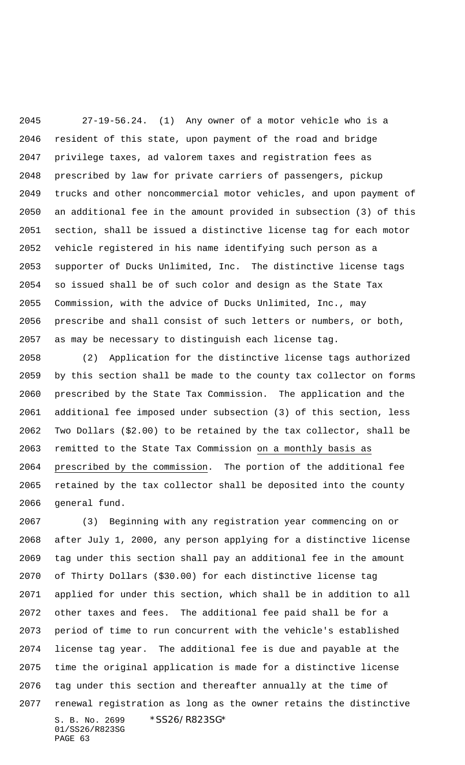27-19-56.24. (1) Any owner of a motor vehicle who is a resident of this state, upon payment of the road and bridge privilege taxes, ad valorem taxes and registration fees as prescribed by law for private carriers of passengers, pickup trucks and other noncommercial motor vehicles, and upon payment of an additional fee in the amount provided in subsection (3) of this section, shall be issued a distinctive license tag for each motor vehicle registered in his name identifying such person as a supporter of Ducks Unlimited, Inc. The distinctive license tags so issued shall be of such color and design as the State Tax Commission, with the advice of Ducks Unlimited, Inc., may prescribe and shall consist of such letters or numbers, or both, as may be necessary to distinguish each license tag.

 (2) Application for the distinctive license tags authorized by this section shall be made to the county tax collector on forms prescribed by the State Tax Commission. The application and the additional fee imposed under subsection (3) of this section, less Two Dollars (\$2.00) to be retained by the tax collector, shall be remitted to the State Tax Commission on a monthly basis as prescribed by the commission. The portion of the additional fee retained by the tax collector shall be deposited into the county general fund.

S. B. No. 2699 \* SS26/R823SG\* 01/SS26/R823SG PAGE 63 (3) Beginning with any registration year commencing on or after July 1, 2000, any person applying for a distinctive license tag under this section shall pay an additional fee in the amount of Thirty Dollars (\$30.00) for each distinctive license tag applied for under this section, which shall be in addition to all other taxes and fees. The additional fee paid shall be for a period of time to run concurrent with the vehicle's established license tag year. The additional fee is due and payable at the time the original application is made for a distinctive license tag under this section and thereafter annually at the time of renewal registration as long as the owner retains the distinctive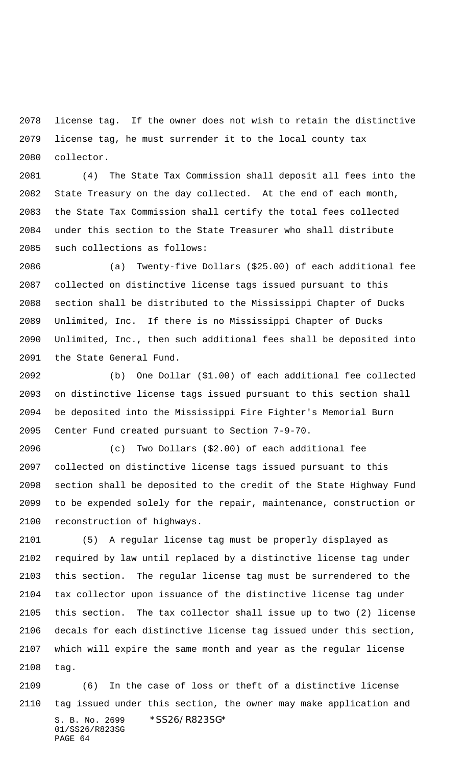license tag. If the owner does not wish to retain the distinctive license tag, he must surrender it to the local county tax collector.

 (4) The State Tax Commission shall deposit all fees into the State Treasury on the day collected. At the end of each month, the State Tax Commission shall certify the total fees collected under this section to the State Treasurer who shall distribute such collections as follows:

 (a) Twenty-five Dollars (\$25.00) of each additional fee collected on distinctive license tags issued pursuant to this section shall be distributed to the Mississippi Chapter of Ducks Unlimited, Inc. If there is no Mississippi Chapter of Ducks Unlimited, Inc., then such additional fees shall be deposited into the State General Fund.

 (b) One Dollar (\$1.00) of each additional fee collected on distinctive license tags issued pursuant to this section shall be deposited into the Mississippi Fire Fighter's Memorial Burn Center Fund created pursuant to Section 7-9-70.

 (c) Two Dollars (\$2.00) of each additional fee collected on distinctive license tags issued pursuant to this section shall be deposited to the credit of the State Highway Fund to be expended solely for the repair, maintenance, construction or reconstruction of highways.

 (5) A regular license tag must be properly displayed as required by law until replaced by a distinctive license tag under this section. The regular license tag must be surrendered to the tax collector upon issuance of the distinctive license tag under this section. The tax collector shall issue up to two (2) license decals for each distinctive license tag issued under this section, which will expire the same month and year as the regular license tag.

S. B. No. 2699 \* SS26/R823SG\* 01/SS26/R823SG PAGE 64 (6) In the case of loss or theft of a distinctive license tag issued under this section, the owner may make application and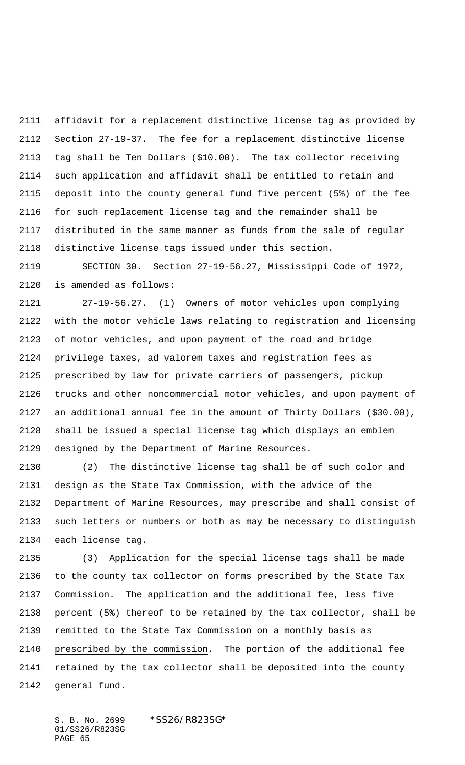affidavit for a replacement distinctive license tag as provided by Section 27-19-37. The fee for a replacement distinctive license tag shall be Ten Dollars (\$10.00). The tax collector receiving such application and affidavit shall be entitled to retain and deposit into the county general fund five percent (5%) of the fee for such replacement license tag and the remainder shall be distributed in the same manner as funds from the sale of regular distinctive license tags issued under this section.

 SECTION 30. Section 27-19-56.27, Mississippi Code of 1972, is amended as follows:

 27-19-56.27. (1) Owners of motor vehicles upon complying with the motor vehicle laws relating to registration and licensing of motor vehicles, and upon payment of the road and bridge privilege taxes, ad valorem taxes and registration fees as prescribed by law for private carriers of passengers, pickup trucks and other noncommercial motor vehicles, and upon payment of an additional annual fee in the amount of Thirty Dollars (\$30.00), shall be issued a special license tag which displays an emblem designed by the Department of Marine Resources.

 (2) The distinctive license tag shall be of such color and design as the State Tax Commission, with the advice of the Department of Marine Resources, may prescribe and shall consist of such letters or numbers or both as may be necessary to distinguish each license tag.

 (3) Application for the special license tags shall be made to the county tax collector on forms prescribed by the State Tax Commission. The application and the additional fee, less five percent (5%) thereof to be retained by the tax collector, shall be remitted to the State Tax Commission on a monthly basis as prescribed by the commission. The portion of the additional fee retained by the tax collector shall be deposited into the county general fund.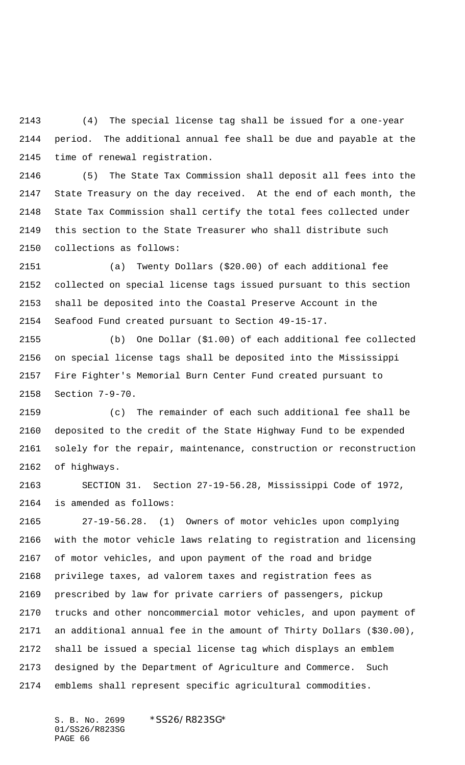(4) The special license tag shall be issued for a one-year period. The additional annual fee shall be due and payable at the time of renewal registration.

 (5) The State Tax Commission shall deposit all fees into the State Treasury on the day received. At the end of each month, the State Tax Commission shall certify the total fees collected under this section to the State Treasurer who shall distribute such collections as follows:

 (a) Twenty Dollars (\$20.00) of each additional fee collected on special license tags issued pursuant to this section shall be deposited into the Coastal Preserve Account in the Seafood Fund created pursuant to Section 49-15-17.

 (b) One Dollar (\$1.00) of each additional fee collected on special license tags shall be deposited into the Mississippi Fire Fighter's Memorial Burn Center Fund created pursuant to Section 7-9-70.

 (c) The remainder of each such additional fee shall be deposited to the credit of the State Highway Fund to be expended solely for the repair, maintenance, construction or reconstruction of highways.

 SECTION 31. Section 27-19-56.28, Mississippi Code of 1972, is amended as follows:

 27-19-56.28. (1) Owners of motor vehicles upon complying with the motor vehicle laws relating to registration and licensing of motor vehicles, and upon payment of the road and bridge privilege taxes, ad valorem taxes and registration fees as prescribed by law for private carriers of passengers, pickup trucks and other noncommercial motor vehicles, and upon payment of an additional annual fee in the amount of Thirty Dollars (\$30.00), shall be issued a special license tag which displays an emblem designed by the Department of Agriculture and Commerce. Such emblems shall represent specific agricultural commodities.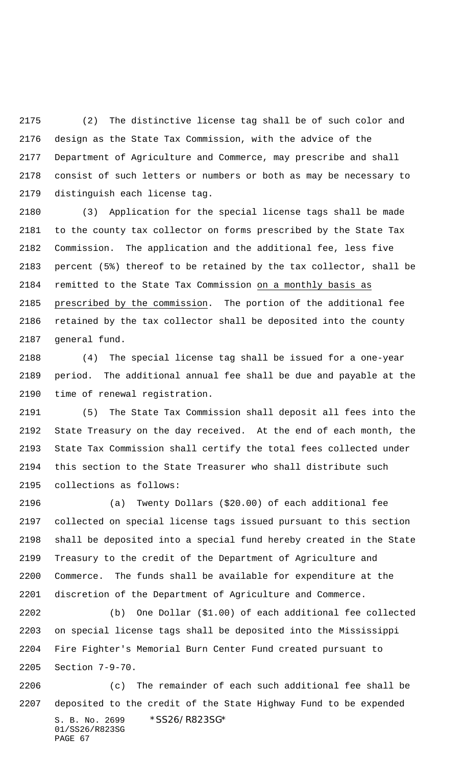(2) The distinctive license tag shall be of such color and design as the State Tax Commission, with the advice of the Department of Agriculture and Commerce, may prescribe and shall consist of such letters or numbers or both as may be necessary to distinguish each license tag.

 (3) Application for the special license tags shall be made to the county tax collector on forms prescribed by the State Tax Commission. The application and the additional fee, less five percent (5%) thereof to be retained by the tax collector, shall be remitted to the State Tax Commission on a monthly basis as 2185 prescribed by the commission. The portion of the additional fee retained by the tax collector shall be deposited into the county general fund.

 (4) The special license tag shall be issued for a one-year period. The additional annual fee shall be due and payable at the time of renewal registration.

 (5) The State Tax Commission shall deposit all fees into the State Treasury on the day received. At the end of each month, the State Tax Commission shall certify the total fees collected under this section to the State Treasurer who shall distribute such collections as follows:

 (a) Twenty Dollars (\$20.00) of each additional fee collected on special license tags issued pursuant to this section shall be deposited into a special fund hereby created in the State Treasury to the credit of the Department of Agriculture and Commerce. The funds shall be available for expenditure at the discretion of the Department of Agriculture and Commerce.

 (b) One Dollar (\$1.00) of each additional fee collected on special license tags shall be deposited into the Mississippi Fire Fighter's Memorial Burn Center Fund created pursuant to Section 7-9-70.

S. B. No. 2699 \* SS26/R823SG\* 01/SS26/R823SG PAGE 67 (c) The remainder of each such additional fee shall be deposited to the credit of the State Highway Fund to be expended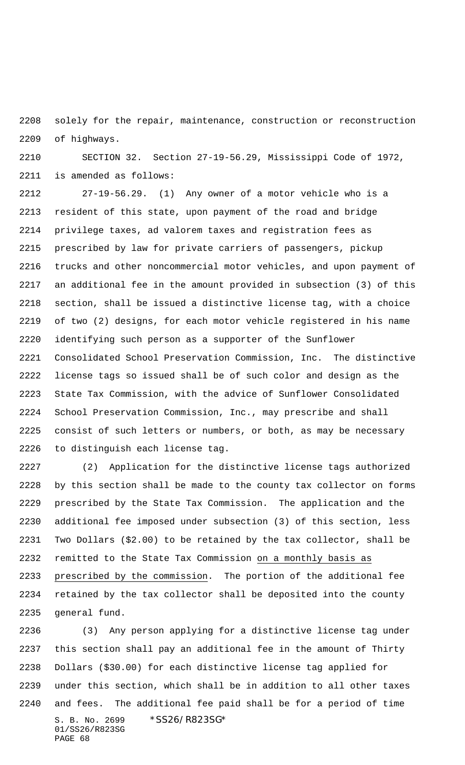solely for the repair, maintenance, construction or reconstruction of highways.

 SECTION 32. Section 27-19-56.29, Mississippi Code of 1972, is amended as follows:

 27-19-56.29. (1) Any owner of a motor vehicle who is a resident of this state, upon payment of the road and bridge privilege taxes, ad valorem taxes and registration fees as prescribed by law for private carriers of passengers, pickup trucks and other noncommercial motor vehicles, and upon payment of an additional fee in the amount provided in subsection (3) of this section, shall be issued a distinctive license tag, with a choice of two (2) designs, for each motor vehicle registered in his name identifying such person as a supporter of the Sunflower Consolidated School Preservation Commission, Inc. The distinctive license tags so issued shall be of such color and design as the State Tax Commission, with the advice of Sunflower Consolidated School Preservation Commission, Inc., may prescribe and shall consist of such letters or numbers, or both, as may be necessary to distinguish each license tag.

 (2) Application for the distinctive license tags authorized by this section shall be made to the county tax collector on forms prescribed by the State Tax Commission. The application and the additional fee imposed under subsection (3) of this section, less Two Dollars (\$2.00) to be retained by the tax collector, shall be remitted to the State Tax Commission on a monthly basis as prescribed by the commission. The portion of the additional fee retained by the tax collector shall be deposited into the county general fund.

S. B. No. 2699 \* SS26/R823SG\* 01/SS26/R823SG PAGE 68 (3) Any person applying for a distinctive license tag under this section shall pay an additional fee in the amount of Thirty Dollars (\$30.00) for each distinctive license tag applied for under this section, which shall be in addition to all other taxes and fees. The additional fee paid shall be for a period of time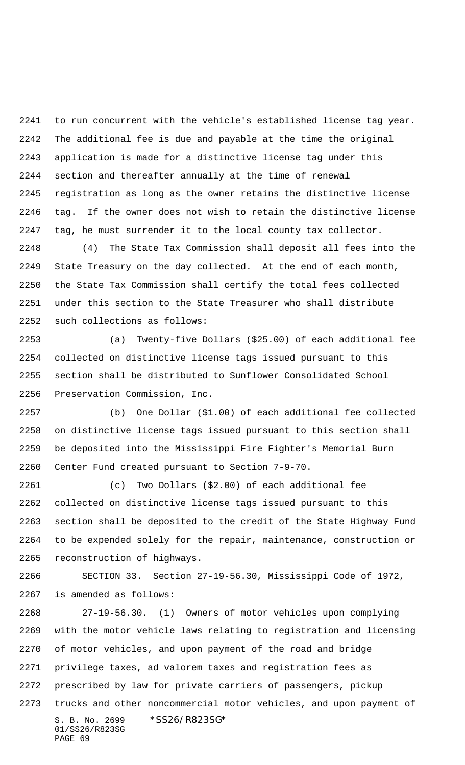to run concurrent with the vehicle's established license tag year. The additional fee is due and payable at the time the original application is made for a distinctive license tag under this section and thereafter annually at the time of renewal registration as long as the owner retains the distinctive license tag. If the owner does not wish to retain the distinctive license tag, he must surrender it to the local county tax collector.

 (4) The State Tax Commission shall deposit all fees into the State Treasury on the day collected. At the end of each month, the State Tax Commission shall certify the total fees collected under this section to the State Treasurer who shall distribute such collections as follows:

 (a) Twenty-five Dollars (\$25.00) of each additional fee collected on distinctive license tags issued pursuant to this section shall be distributed to Sunflower Consolidated School Preservation Commission, Inc.

 (b) One Dollar (\$1.00) of each additional fee collected on distinctive license tags issued pursuant to this section shall be deposited into the Mississippi Fire Fighter's Memorial Burn Center Fund created pursuant to Section 7-9-70.

 (c) Two Dollars (\$2.00) of each additional fee collected on distinctive license tags issued pursuant to this section shall be deposited to the credit of the State Highway Fund to be expended solely for the repair, maintenance, construction or reconstruction of highways.

 SECTION 33. Section 27-19-56.30, Mississippi Code of 1972, is amended as follows:

S. B. No. 2699 \*SS26/R823SG\* 01/SS26/R823SG PAGE 69 27-19-56.30. (1) Owners of motor vehicles upon complying with the motor vehicle laws relating to registration and licensing of motor vehicles, and upon payment of the road and bridge privilege taxes, ad valorem taxes and registration fees as prescribed by law for private carriers of passengers, pickup trucks and other noncommercial motor vehicles, and upon payment of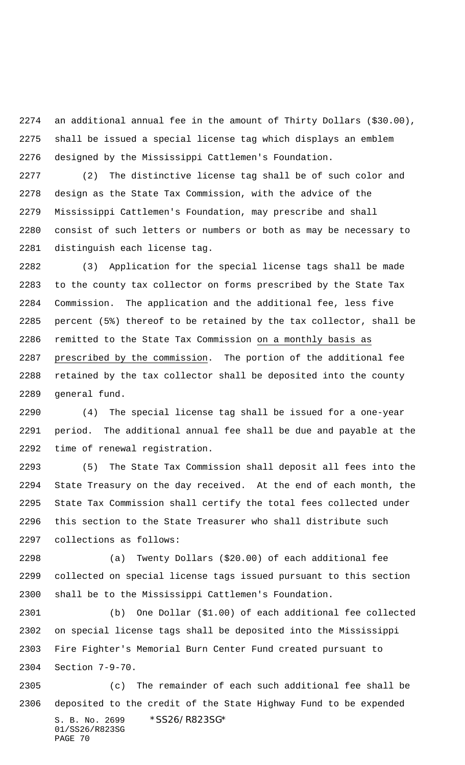an additional annual fee in the amount of Thirty Dollars (\$30.00), shall be issued a special license tag which displays an emblem designed by the Mississippi Cattlemen's Foundation.

 (2) The distinctive license tag shall be of such color and design as the State Tax Commission, with the advice of the Mississippi Cattlemen's Foundation, may prescribe and shall consist of such letters or numbers or both as may be necessary to distinguish each license tag.

 (3) Application for the special license tags shall be made to the county tax collector on forms prescribed by the State Tax Commission. The application and the additional fee, less five percent (5%) thereof to be retained by the tax collector, shall be 2286 remitted to the State Tax Commission on a monthly basis as prescribed by the commission. The portion of the additional fee retained by the tax collector shall be deposited into the county general fund.

 (4) The special license tag shall be issued for a one-year period. The additional annual fee shall be due and payable at the time of renewal registration.

 (5) The State Tax Commission shall deposit all fees into the State Treasury on the day received. At the end of each month, the State Tax Commission shall certify the total fees collected under this section to the State Treasurer who shall distribute such collections as follows:

 (a) Twenty Dollars (\$20.00) of each additional fee collected on special license tags issued pursuant to this section shall be to the Mississippi Cattlemen's Foundation.

 (b) One Dollar (\$1.00) of each additional fee collected on special license tags shall be deposited into the Mississippi Fire Fighter's Memorial Burn Center Fund created pursuant to Section 7-9-70.

S. B. No. 2699 \* SS26/R823SG\* 01/SS26/R823SG PAGE 70 (c) The remainder of each such additional fee shall be deposited to the credit of the State Highway Fund to be expended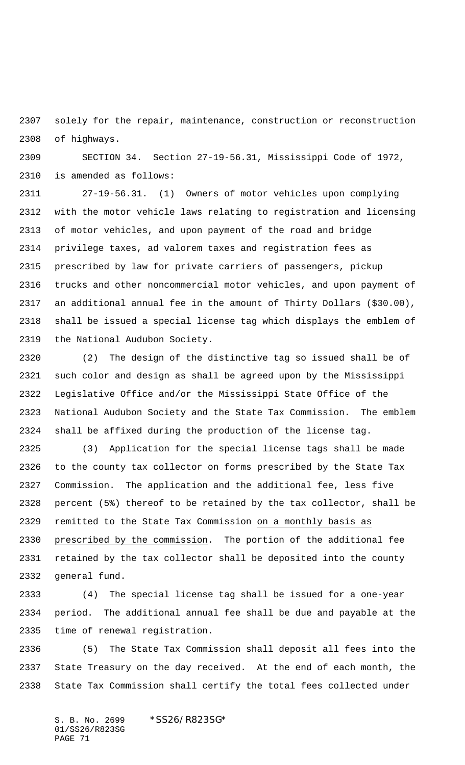solely for the repair, maintenance, construction or reconstruction of highways.

 SECTION 34. Section 27-19-56.31, Mississippi Code of 1972, is amended as follows:

 27-19-56.31. (1) Owners of motor vehicles upon complying with the motor vehicle laws relating to registration and licensing of motor vehicles, and upon payment of the road and bridge privilege taxes, ad valorem taxes and registration fees as prescribed by law for private carriers of passengers, pickup trucks and other noncommercial motor vehicles, and upon payment of an additional annual fee in the amount of Thirty Dollars (\$30.00), shall be issued a special license tag which displays the emblem of the National Audubon Society.

 (2) The design of the distinctive tag so issued shall be of such color and design as shall be agreed upon by the Mississippi Legislative Office and/or the Mississippi State Office of the National Audubon Society and the State Tax Commission. The emblem shall be affixed during the production of the license tag.

 (3) Application for the special license tags shall be made to the county tax collector on forms prescribed by the State Tax Commission. The application and the additional fee, less five percent (5%) thereof to be retained by the tax collector, shall be remitted to the State Tax Commission on a monthly basis as prescribed by the commission. The portion of the additional fee retained by the tax collector shall be deposited into the county general fund.

 (4) The special license tag shall be issued for a one-year period. The additional annual fee shall be due and payable at the time of renewal registration.

 (5) The State Tax Commission shall deposit all fees into the State Treasury on the day received. At the end of each month, the State Tax Commission shall certify the total fees collected under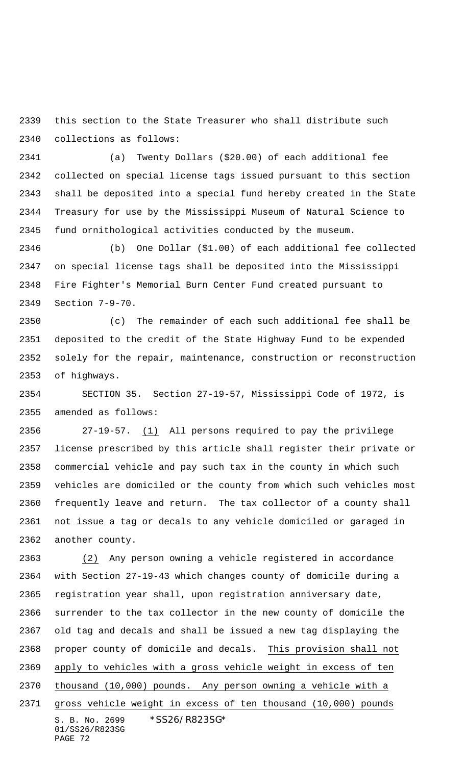this section to the State Treasurer who shall distribute such collections as follows:

 (a) Twenty Dollars (\$20.00) of each additional fee collected on special license tags issued pursuant to this section shall be deposited into a special fund hereby created in the State Treasury for use by the Mississippi Museum of Natural Science to fund ornithological activities conducted by the museum.

 (b) One Dollar (\$1.00) of each additional fee collected on special license tags shall be deposited into the Mississippi Fire Fighter's Memorial Burn Center Fund created pursuant to Section 7-9-70.

 (c) The remainder of each such additional fee shall be deposited to the credit of the State Highway Fund to be expended solely for the repair, maintenance, construction or reconstruction of highways.

 SECTION 35. Section 27-19-57, Mississippi Code of 1972, is amended as follows:

 27-19-57. (1) All persons required to pay the privilege license prescribed by this article shall register their private or commercial vehicle and pay such tax in the county in which such vehicles are domiciled or the county from which such vehicles most frequently leave and return. The tax collector of a county shall not issue a tag or decals to any vehicle domiciled or garaged in another county.

S. B. No. 2699 \* SS26/R823SG\* 01/SS26/R823SG PAGE 72 (2) Any person owning a vehicle registered in accordance with Section 27-19-43 which changes county of domicile during a registration year shall, upon registration anniversary date, surrender to the tax collector in the new county of domicile the old tag and decals and shall be issued a new tag displaying the proper county of domicile and decals. This provision shall not apply to vehicles with a gross vehicle weight in excess of ten thousand (10,000) pounds. Any person owning a vehicle with a gross vehicle weight in excess of ten thousand (10,000) pounds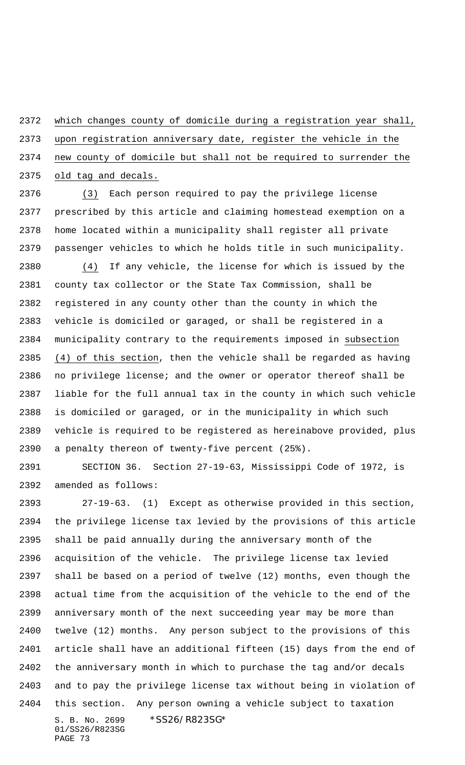which changes county of domicile during a registration year shall, upon registration anniversary date, register the vehicle in the new county of domicile but shall not be required to surrender the old tag and decals.

 (3) Each person required to pay the privilege license prescribed by this article and claiming homestead exemption on a home located within a municipality shall register all private passenger vehicles to which he holds title in such municipality. (4) If any vehicle, the license for which is issued by the county tax collector or the State Tax Commission, shall be registered in any county other than the county in which the vehicle is domiciled or garaged, or shall be registered in a municipality contrary to the requirements imposed in subsection (4) of this section, then the vehicle shall be regarded as having no privilege license; and the owner or operator thereof shall be liable for the full annual tax in the county in which such vehicle is domiciled or garaged, or in the municipality in which such vehicle is required to be registered as hereinabove provided, plus a penalty thereon of twenty-five percent (25%).

 SECTION 36. Section 27-19-63, Mississippi Code of 1972, is amended as follows:

S. B. No. 2699 \* SS26/R823SG\* 01/SS26/R823SG 27-19-63. (1) Except as otherwise provided in this section, the privilege license tax levied by the provisions of this article shall be paid annually during the anniversary month of the acquisition of the vehicle. The privilege license tax levied shall be based on a period of twelve (12) months, even though the actual time from the acquisition of the vehicle to the end of the anniversary month of the next succeeding year may be more than twelve (12) months. Any person subject to the provisions of this article shall have an additional fifteen (15) days from the end of the anniversary month in which to purchase the tag and/or decals and to pay the privilege license tax without being in violation of this section. Any person owning a vehicle subject to taxation

```
PAGE 73
```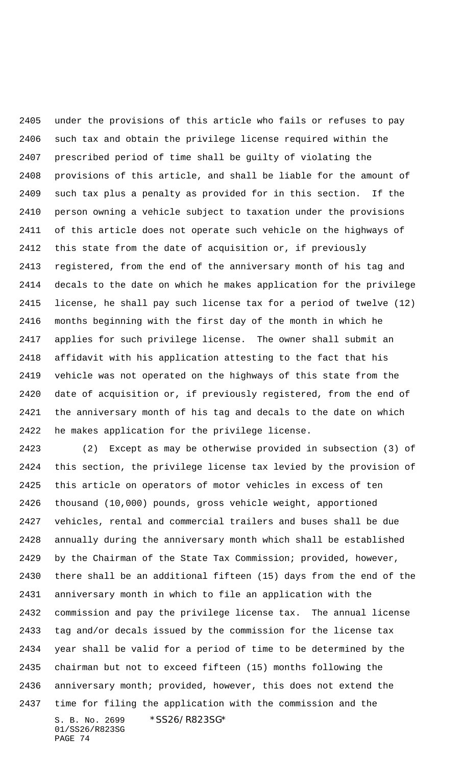under the provisions of this article who fails or refuses to pay such tax and obtain the privilege license required within the prescribed period of time shall be guilty of violating the provisions of this article, and shall be liable for the amount of such tax plus a penalty as provided for in this section. If the person owning a vehicle subject to taxation under the provisions of this article does not operate such vehicle on the highways of this state from the date of acquisition or, if previously registered, from the end of the anniversary month of his tag and decals to the date on which he makes application for the privilege license, he shall pay such license tax for a period of twelve (12) months beginning with the first day of the month in which he applies for such privilege license. The owner shall submit an affidavit with his application attesting to the fact that his vehicle was not operated on the highways of this state from the date of acquisition or, if previously registered, from the end of the anniversary month of his tag and decals to the date on which he makes application for the privilege license.

S. B. No. 2699 \* SS26/R823SG\* 01/SS26/R823SG (2) Except as may be otherwise provided in subsection (3) of this section, the privilege license tax levied by the provision of this article on operators of motor vehicles in excess of ten thousand (10,000) pounds, gross vehicle weight, apportioned vehicles, rental and commercial trailers and buses shall be due annually during the anniversary month which shall be established by the Chairman of the State Tax Commission; provided, however, there shall be an additional fifteen (15) days from the end of the anniversary month in which to file an application with the commission and pay the privilege license tax. The annual license tag and/or decals issued by the commission for the license tax year shall be valid for a period of time to be determined by the chairman but not to exceed fifteen (15) months following the anniversary month; provided, however, this does not extend the time for filing the application with the commission and the

```
PAGE 74
```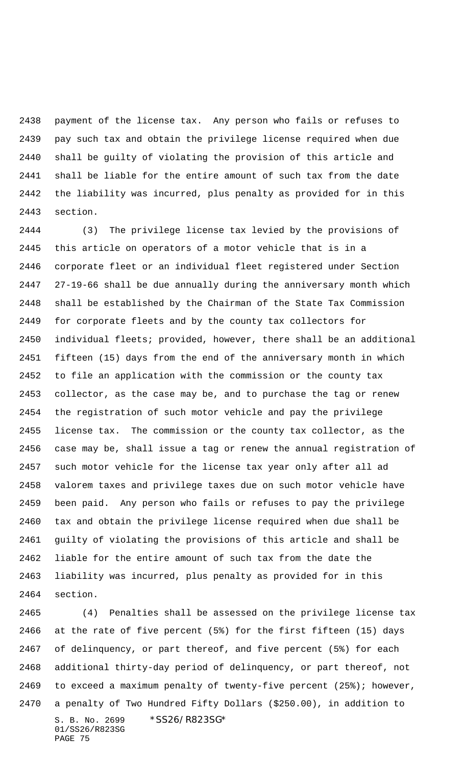payment of the license tax. Any person who fails or refuses to pay such tax and obtain the privilege license required when due shall be guilty of violating the provision of this article and shall be liable for the entire amount of such tax from the date the liability was incurred, plus penalty as provided for in this section.

 (3) The privilege license tax levied by the provisions of this article on operators of a motor vehicle that is in a corporate fleet or an individual fleet registered under Section 27-19-66 shall be due annually during the anniversary month which shall be established by the Chairman of the State Tax Commission for corporate fleets and by the county tax collectors for individual fleets; provided, however, there shall be an additional fifteen (15) days from the end of the anniversary month in which to file an application with the commission or the county tax collector, as the case may be, and to purchase the tag or renew the registration of such motor vehicle and pay the privilege license tax. The commission or the county tax collector, as the case may be, shall issue a tag or renew the annual registration of such motor vehicle for the license tax year only after all ad valorem taxes and privilege taxes due on such motor vehicle have been paid. Any person who fails or refuses to pay the privilege tax and obtain the privilege license required when due shall be guilty of violating the provisions of this article and shall be liable for the entire amount of such tax from the date the liability was incurred, plus penalty as provided for in this section.

S. B. No. 2699 \*SS26/R823SG\* 01/SS26/R823SG PAGE 75 (4) Penalties shall be assessed on the privilege license tax at the rate of five percent (5%) for the first fifteen (15) days of delinquency, or part thereof, and five percent (5%) for each additional thirty-day period of delinquency, or part thereof, not to exceed a maximum penalty of twenty-five percent (25%); however, a penalty of Two Hundred Fifty Dollars (\$250.00), in addition to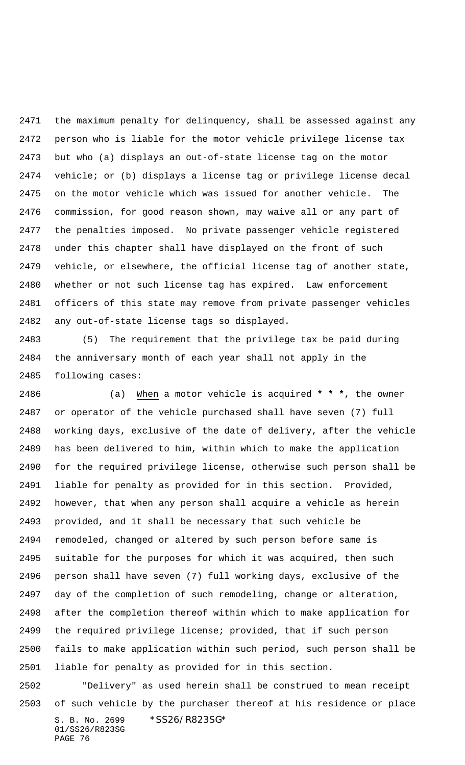the maximum penalty for delinquency, shall be assessed against any person who is liable for the motor vehicle privilege license tax but who (a) displays an out-of-state license tag on the motor vehicle; or (b) displays a license tag or privilege license decal on the motor vehicle which was issued for another vehicle. The commission, for good reason shown, may waive all or any part of the penalties imposed. No private passenger vehicle registered under this chapter shall have displayed on the front of such vehicle, or elsewhere, the official license tag of another state, whether or not such license tag has expired. Law enforcement officers of this state may remove from private passenger vehicles any out-of-state license tags so displayed.

 (5) The requirement that the privilege tax be paid during the anniversary month of each year shall not apply in the following cases:

 (a) When a motor vehicle is acquired **\* \* \***, the owner or operator of the vehicle purchased shall have seven (7) full working days, exclusive of the date of delivery, after the vehicle has been delivered to him, within which to make the application for the required privilege license, otherwise such person shall be liable for penalty as provided for in this section. Provided, however, that when any person shall acquire a vehicle as herein provided, and it shall be necessary that such vehicle be remodeled, changed or altered by such person before same is suitable for the purposes for which it was acquired, then such person shall have seven (7) full working days, exclusive of the day of the completion of such remodeling, change or alteration, after the completion thereof within which to make application for the required privilege license; provided, that if such person fails to make application within such period, such person shall be liable for penalty as provided for in this section.

S. B. No. 2699 \* SS26/R823SG\* 01/SS26/R823SG PAGE 76 "Delivery" as used herein shall be construed to mean receipt of such vehicle by the purchaser thereof at his residence or place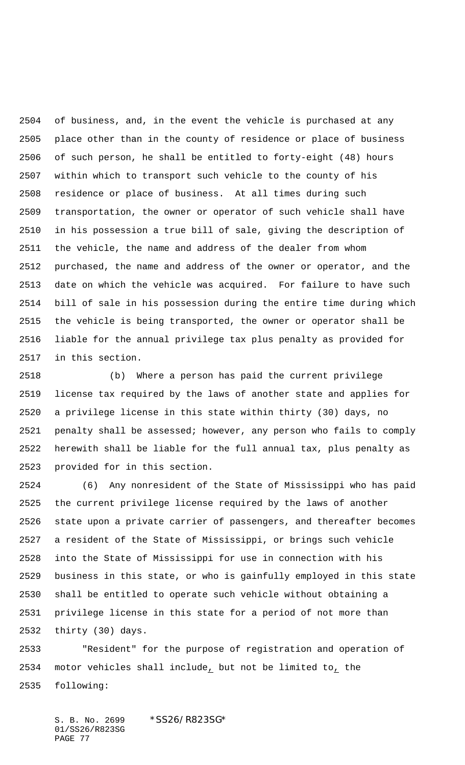of business, and, in the event the vehicle is purchased at any place other than in the county of residence or place of business of such person, he shall be entitled to forty-eight (48) hours within which to transport such vehicle to the county of his residence or place of business. At all times during such transportation, the owner or operator of such vehicle shall have in his possession a true bill of sale, giving the description of the vehicle, the name and address of the dealer from whom purchased, the name and address of the owner or operator, and the date on which the vehicle was acquired. For failure to have such bill of sale in his possession during the entire time during which the vehicle is being transported, the owner or operator shall be liable for the annual privilege tax plus penalty as provided for in this section.

 (b) Where a person has paid the current privilege license tax required by the laws of another state and applies for a privilege license in this state within thirty (30) days, no penalty shall be assessed; however, any person who fails to comply herewith shall be liable for the full annual tax, plus penalty as provided for in this section.

 (6) Any nonresident of the State of Mississippi who has paid the current privilege license required by the laws of another state upon a private carrier of passengers, and thereafter becomes a resident of the State of Mississippi, or brings such vehicle into the State of Mississippi for use in connection with his business in this state, or who is gainfully employed in this state shall be entitled to operate such vehicle without obtaining a privilege license in this state for a period of not more than thirty (30) days.

 "Resident" for the purpose of registration and operation of motor vehicles shall include, but not be limited to, the following: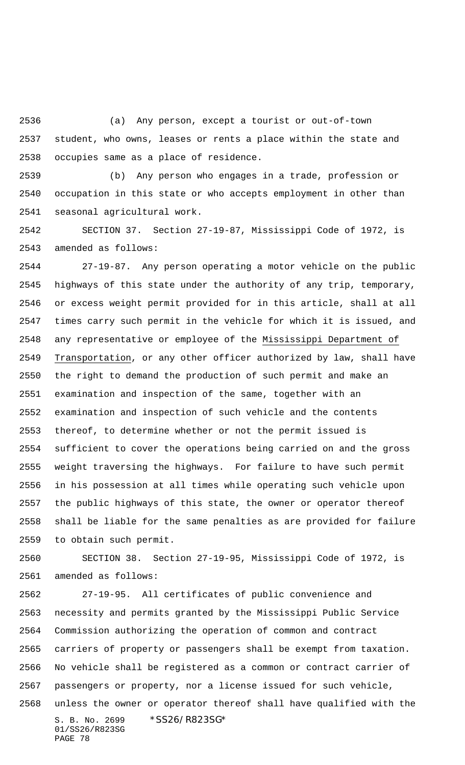(a) Any person, except a tourist or out-of-town student, who owns, leases or rents a place within the state and occupies same as a place of residence.

 (b) Any person who engages in a trade, profession or occupation in this state or who accepts employment in other than seasonal agricultural work.

 SECTION 37. Section 27-19-87, Mississippi Code of 1972, is amended as follows:

 27-19-87. Any person operating a motor vehicle on the public highways of this state under the authority of any trip, temporary, or excess weight permit provided for in this article, shall at all times carry such permit in the vehicle for which it is issued, and any representative or employee of the Mississippi Department of Transportation, or any other officer authorized by law, shall have the right to demand the production of such permit and make an examination and inspection of the same, together with an examination and inspection of such vehicle and the contents thereof, to determine whether or not the permit issued is sufficient to cover the operations being carried on and the gross weight traversing the highways. For failure to have such permit in his possession at all times while operating such vehicle upon the public highways of this state, the owner or operator thereof shall be liable for the same penalties as are provided for failure to obtain such permit.

 SECTION 38. Section 27-19-95, Mississippi Code of 1972, is amended as follows:

S. B. No. 2699 \* SS26/R823SG\* 01/SS26/R823SG PAGE 78 27-19-95. All certificates of public convenience and necessity and permits granted by the Mississippi Public Service Commission authorizing the operation of common and contract carriers of property or passengers shall be exempt from taxation. No vehicle shall be registered as a common or contract carrier of passengers or property, nor a license issued for such vehicle, unless the owner or operator thereof shall have qualified with the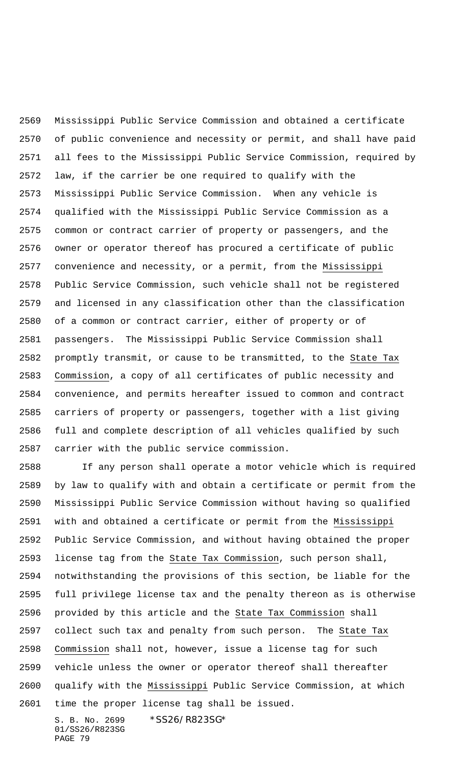Mississippi Public Service Commission and obtained a certificate of public convenience and necessity or permit, and shall have paid all fees to the Mississippi Public Service Commission, required by law, if the carrier be one required to qualify with the Mississippi Public Service Commission. When any vehicle is qualified with the Mississippi Public Service Commission as a common or contract carrier of property or passengers, and the owner or operator thereof has procured a certificate of public convenience and necessity, or a permit, from the Mississippi Public Service Commission, such vehicle shall not be registered and licensed in any classification other than the classification of a common or contract carrier, either of property or of passengers. The Mississippi Public Service Commission shall promptly transmit, or cause to be transmitted, to the State Tax Commission, a copy of all certificates of public necessity and convenience, and permits hereafter issued to common and contract carriers of property or passengers, together with a list giving full and complete description of all vehicles qualified by such carrier with the public service commission.

 If any person shall operate a motor vehicle which is required by law to qualify with and obtain a certificate or permit from the Mississippi Public Service Commission without having so qualified with and obtained a certificate or permit from the Mississippi Public Service Commission, and without having obtained the proper 2593 license tag from the State Tax Commission, such person shall, notwithstanding the provisions of this section, be liable for the full privilege license tax and the penalty thereon as is otherwise provided by this article and the State Tax Commission shall collect such tax and penalty from such person. The State Tax Commission shall not, however, issue a license tag for such vehicle unless the owner or operator thereof shall thereafter qualify with the Mississippi Public Service Commission, at which time the proper license tag shall be issued.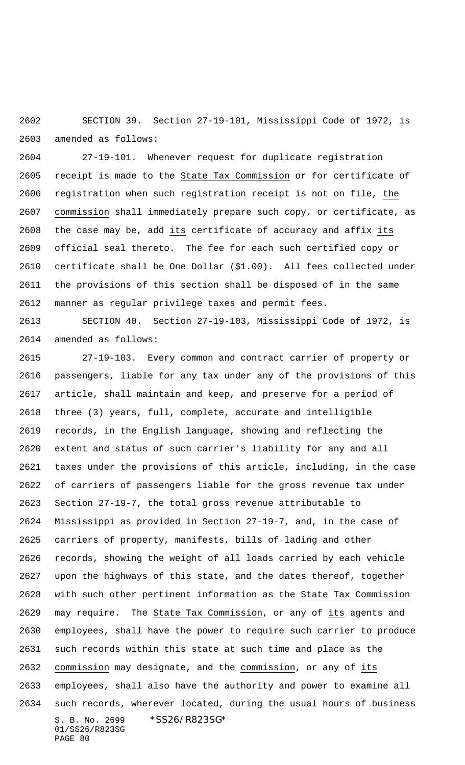SECTION 39. Section 27-19-101, Mississippi Code of 1972, is amended as follows:

 27-19-101. Whenever request for duplicate registration 2605 receipt is made to the State Tax Commission or for certificate of registration when such registration receipt is not on file, the commission shall immediately prepare such copy, or certificate, as the case may be, add its certificate of accuracy and affix its official seal thereto. The fee for each such certified copy or certificate shall be One Dollar (\$1.00). All fees collected under the provisions of this section shall be disposed of in the same manner as regular privilege taxes and permit fees.

 SECTION 40. Section 27-19-103, Mississippi Code of 1972, is amended as follows:

S. B. No. 2699 \* SS26/R823SG\* 01/SS26/R823SG PAGE 80 27-19-103. Every common and contract carrier of property or passengers, liable for any tax under any of the provisions of this article, shall maintain and keep, and preserve for a period of three (3) years, full, complete, accurate and intelligible records, in the English language, showing and reflecting the extent and status of such carrier's liability for any and all taxes under the provisions of this article, including, in the case of carriers of passengers liable for the gross revenue tax under Section 27-19-7, the total gross revenue attributable to Mississippi as provided in Section 27-19-7, and, in the case of carriers of property, manifests, bills of lading and other records, showing the weight of all loads carried by each vehicle upon the highways of this state, and the dates thereof, together with such other pertinent information as the State Tax Commission may require. The State Tax Commission, or any of its agents and employees, shall have the power to require such carrier to produce such records within this state at such time and place as the commission may designate, and the commission, or any of its employees, shall also have the authority and power to examine all such records, wherever located, during the usual hours of business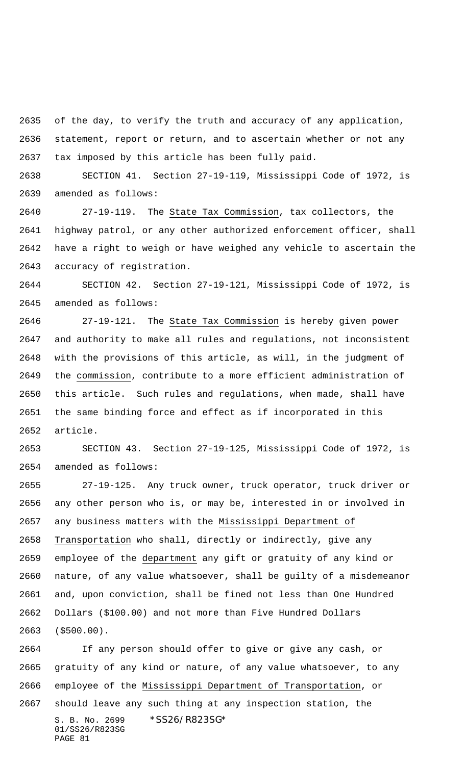of the day, to verify the truth and accuracy of any application, statement, report or return, and to ascertain whether or not any tax imposed by this article has been fully paid.

 SECTION 41. Section 27-19-119, Mississippi Code of 1972, is amended as follows:

 27-19-119. The State Tax Commission, tax collectors, the highway patrol, or any other authorized enforcement officer, shall have a right to weigh or have weighed any vehicle to ascertain the accuracy of registration.

 SECTION 42. Section 27-19-121, Mississippi Code of 1972, is amended as follows:

 27-19-121. The State Tax Commission is hereby given power and authority to make all rules and regulations, not inconsistent with the provisions of this article, as will, in the judgment of the commission, contribute to a more efficient administration of this article. Such rules and regulations, when made, shall have the same binding force and effect as if incorporated in this article.

 SECTION 43. Section 27-19-125, Mississippi Code of 1972, is amended as follows:

 27-19-125. Any truck owner, truck operator, truck driver or any other person who is, or may be, interested in or involved in any business matters with the Mississippi Department of Transportation who shall, directly or indirectly, give any employee of the department any gift or gratuity of any kind or nature, of any value whatsoever, shall be guilty of a misdemeanor and, upon conviction, shall be fined not less than One Hundred Dollars (\$100.00) and not more than Five Hundred Dollars (\$500.00).

S. B. No. 2699 \*SS26/R823SG\* 01/SS26/R823SG PAGE 81 If any person should offer to give or give any cash, or gratuity of any kind or nature, of any value whatsoever, to any employee of the Mississippi Department of Transportation, or should leave any such thing at any inspection station, the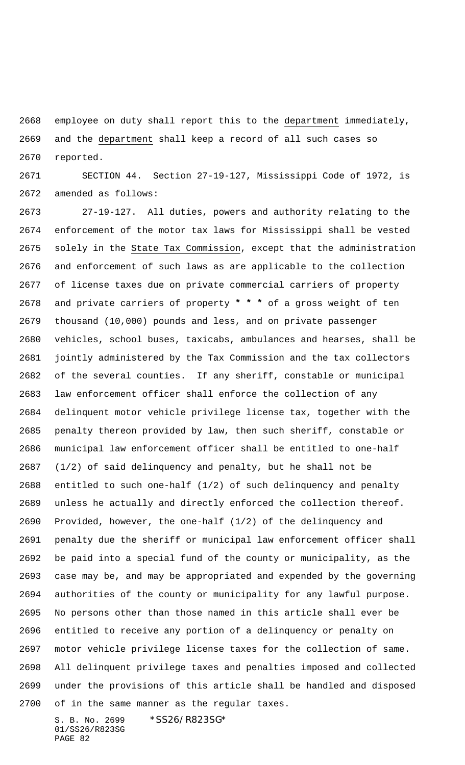employee on duty shall report this to the department immediately, and the department shall keep a record of all such cases so reported.

 SECTION 44. Section 27-19-127, Mississippi Code of 1972, is amended as follows:

 27-19-127. All duties, powers and authority relating to the enforcement of the motor tax laws for Mississippi shall be vested solely in the State Tax Commission, except that the administration and enforcement of such laws as are applicable to the collection of license taxes due on private commercial carriers of property and private carriers of property **\* \* \*** of a gross weight of ten thousand (10,000) pounds and less, and on private passenger vehicles, school buses, taxicabs, ambulances and hearses, shall be jointly administered by the Tax Commission and the tax collectors of the several counties. If any sheriff, constable or municipal law enforcement officer shall enforce the collection of any delinquent motor vehicle privilege license tax, together with the penalty thereon provided by law, then such sheriff, constable or municipal law enforcement officer shall be entitled to one-half (1/2) of said delinquency and penalty, but he shall not be entitled to such one-half (1/2) of such delinquency and penalty unless he actually and directly enforced the collection thereof. Provided, however, the one-half (1/2) of the delinquency and penalty due the sheriff or municipal law enforcement officer shall be paid into a special fund of the county or municipality, as the case may be, and may be appropriated and expended by the governing authorities of the county or municipality for any lawful purpose. No persons other than those named in this article shall ever be entitled to receive any portion of a delinquency or penalty on motor vehicle privilege license taxes for the collection of same. All delinquent privilege taxes and penalties imposed and collected under the provisions of this article shall be handled and disposed of in the same manner as the regular taxes.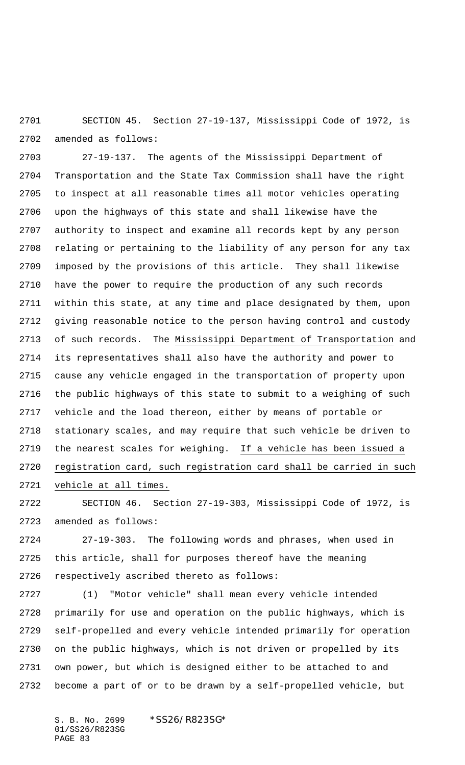SECTION 45. Section 27-19-137, Mississippi Code of 1972, is amended as follows:

 27-19-137. The agents of the Mississippi Department of Transportation and the State Tax Commission shall have the right to inspect at all reasonable times all motor vehicles operating upon the highways of this state and shall likewise have the authority to inspect and examine all records kept by any person relating or pertaining to the liability of any person for any tax imposed by the provisions of this article. They shall likewise have the power to require the production of any such records within this state, at any time and place designated by them, upon giving reasonable notice to the person having control and custody of such records. The Mississippi Department of Transportation and its representatives shall also have the authority and power to cause any vehicle engaged in the transportation of property upon the public highways of this state to submit to a weighing of such vehicle and the load thereon, either by means of portable or stationary scales, and may require that such vehicle be driven to the nearest scales for weighing. If a vehicle has been issued a registration card, such registration card shall be carried in such vehicle at all times.

 SECTION 46. Section 27-19-303, Mississippi Code of 1972, is amended as follows:

 27-19-303. The following words and phrases, when used in this article, shall for purposes thereof have the meaning respectively ascribed thereto as follows:

 (1) "Motor vehicle" shall mean every vehicle intended primarily for use and operation on the public highways, which is self-propelled and every vehicle intended primarily for operation on the public highways, which is not driven or propelled by its own power, but which is designed either to be attached to and become a part of or to be drawn by a self-propelled vehicle, but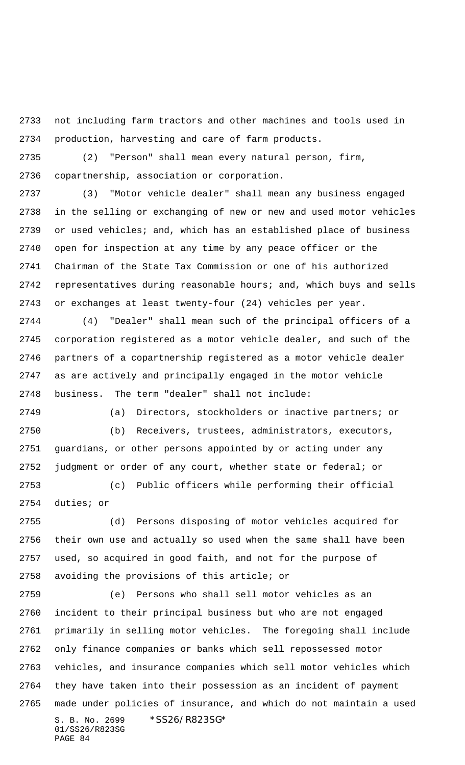not including farm tractors and other machines and tools used in production, harvesting and care of farm products.

 (2) "Person" shall mean every natural person, firm, copartnership, association or corporation.

 (3) "Motor vehicle dealer" shall mean any business engaged in the selling or exchanging of new or new and used motor vehicles or used vehicles; and, which has an established place of business open for inspection at any time by any peace officer or the Chairman of the State Tax Commission or one of his authorized representatives during reasonable hours; and, which buys and sells or exchanges at least twenty-four (24) vehicles per year.

 (4) "Dealer" shall mean such of the principal officers of a corporation registered as a motor vehicle dealer, and such of the partners of a copartnership registered as a motor vehicle dealer as are actively and principally engaged in the motor vehicle business. The term "dealer" shall not include:

(a) Directors, stockholders or inactive partners; or

 (b) Receivers, trustees, administrators, executors, guardians, or other persons appointed by or acting under any judgment or order of any court, whether state or federal; or

 (c) Public officers while performing their official duties; or

 (d) Persons disposing of motor vehicles acquired for their own use and actually so used when the same shall have been used, so acquired in good faith, and not for the purpose of avoiding the provisions of this article; or

S. B. No. 2699 \* SS26/R823SG\* 01/SS26/R823SG PAGE 84 (e) Persons who shall sell motor vehicles as an incident to their principal business but who are not engaged primarily in selling motor vehicles. The foregoing shall include only finance companies or banks which sell repossessed motor vehicles, and insurance companies which sell motor vehicles which they have taken into their possession as an incident of payment made under policies of insurance, and which do not maintain a used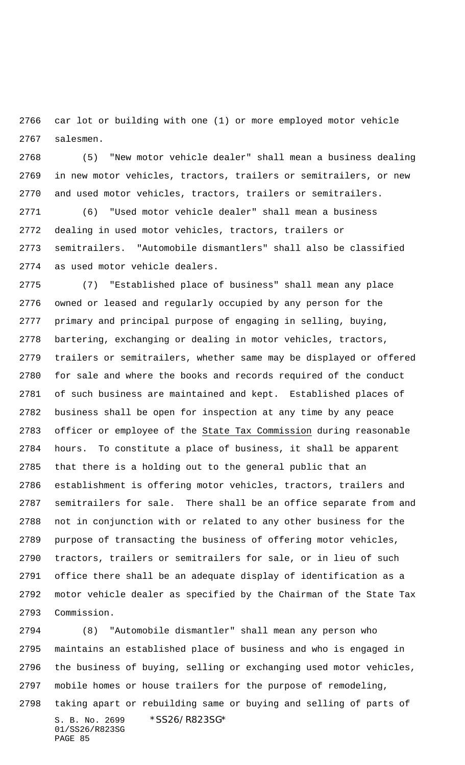car lot or building with one (1) or more employed motor vehicle salesmen.

 (5) "New motor vehicle dealer" shall mean a business dealing in new motor vehicles, tractors, trailers or semitrailers, or new and used motor vehicles, tractors, trailers or semitrailers.

 (6) "Used motor vehicle dealer" shall mean a business dealing in used motor vehicles, tractors, trailers or semitrailers. "Automobile dismantlers" shall also be classified as used motor vehicle dealers.

 (7) "Established place of business" shall mean any place owned or leased and regularly occupied by any person for the primary and principal purpose of engaging in selling, buying, bartering, exchanging or dealing in motor vehicles, tractors, trailers or semitrailers, whether same may be displayed or offered for sale and where the books and records required of the conduct of such business are maintained and kept. Established places of business shall be open for inspection at any time by any peace 2783 officer or employee of the State Tax Commission during reasonable hours. To constitute a place of business, it shall be apparent that there is a holding out to the general public that an establishment is offering motor vehicles, tractors, trailers and semitrailers for sale. There shall be an office separate from and not in conjunction with or related to any other business for the purpose of transacting the business of offering motor vehicles, tractors, trailers or semitrailers for sale, or in lieu of such office there shall be an adequate display of identification as a motor vehicle dealer as specified by the Chairman of the State Tax Commission.

S. B. No. 2699 \*SS26/R823SG\* 01/SS26/R823SG PAGE 85 (8) "Automobile dismantler" shall mean any person who maintains an established place of business and who is engaged in the business of buying, selling or exchanging used motor vehicles, mobile homes or house trailers for the purpose of remodeling, taking apart or rebuilding same or buying and selling of parts of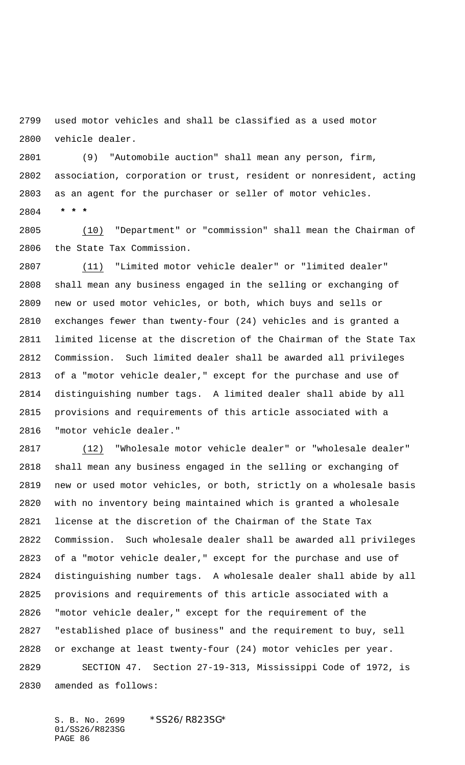used motor vehicles and shall be classified as a used motor vehicle dealer.

 (9) "Automobile auction" shall mean any person, firm, association, corporation or trust, resident or nonresident, acting as an agent for the purchaser or seller of motor vehicles.  **\* \* \***

 (10) "Department" or "commission" shall mean the Chairman of the State Tax Commission.

 (11) "Limited motor vehicle dealer" or "limited dealer" shall mean any business engaged in the selling or exchanging of new or used motor vehicles, or both, which buys and sells or exchanges fewer than twenty-four (24) vehicles and is granted a limited license at the discretion of the Chairman of the State Tax Commission. Such limited dealer shall be awarded all privileges of a "motor vehicle dealer," except for the purchase and use of distinguishing number tags. A limited dealer shall abide by all provisions and requirements of this article associated with a "motor vehicle dealer."

 (12) "Wholesale motor vehicle dealer" or "wholesale dealer" shall mean any business engaged in the selling or exchanging of new or used motor vehicles, or both, strictly on a wholesale basis with no inventory being maintained which is granted a wholesale license at the discretion of the Chairman of the State Tax Commission. Such wholesale dealer shall be awarded all privileges of a "motor vehicle dealer," except for the purchase and use of distinguishing number tags. A wholesale dealer shall abide by all provisions and requirements of this article associated with a "motor vehicle dealer," except for the requirement of the "established place of business" and the requirement to buy, sell or exchange at least twenty-four (24) motor vehicles per year. SECTION 47. Section 27-19-313, Mississippi Code of 1972, is amended as follows: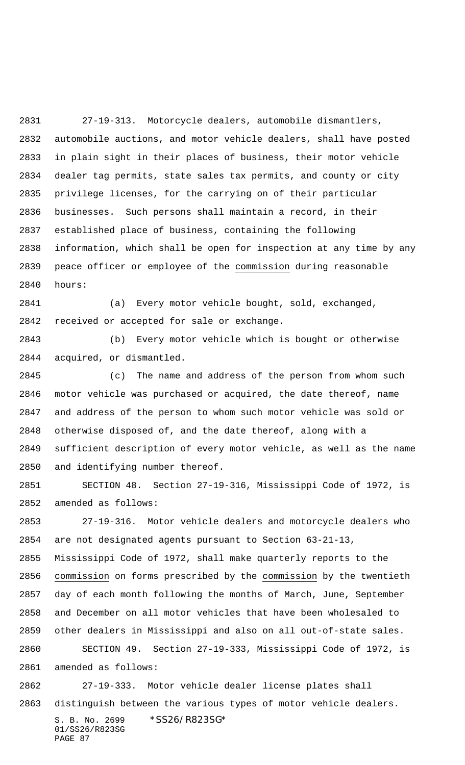27-19-313. Motorcycle dealers, automobile dismantlers, automobile auctions, and motor vehicle dealers, shall have posted in plain sight in their places of business, their motor vehicle dealer tag permits, state sales tax permits, and county or city privilege licenses, for the carrying on of their particular businesses. Such persons shall maintain a record, in their established place of business, containing the following information, which shall be open for inspection at any time by any peace officer or employee of the commission during reasonable hours:

 (a) Every motor vehicle bought, sold, exchanged, received or accepted for sale or exchange.

 (b) Every motor vehicle which is bought or otherwise acquired, or dismantled.

 (c) The name and address of the person from whom such motor vehicle was purchased or acquired, the date thereof, name and address of the person to whom such motor vehicle was sold or otherwise disposed of, and the date thereof, along with a sufficient description of every motor vehicle, as well as the name and identifying number thereof.

 SECTION 48. Section 27-19-316, Mississippi Code of 1972, is amended as follows:

 27-19-316. Motor vehicle dealers and motorcycle dealers who are not designated agents pursuant to Section 63-21-13, Mississippi Code of 1972, shall make quarterly reports to the commission on forms prescribed by the commission by the twentieth day of each month following the months of March, June, September and December on all motor vehicles that have been wholesaled to other dealers in Mississippi and also on all out-of-state sales. SECTION 49. Section 27-19-333, Mississippi Code of 1972, is amended as follows:

S. B. No. 2699 \* SS26/R823SG\* 27-19-333. Motor vehicle dealer license plates shall distinguish between the various types of motor vehicle dealers.

01/SS26/R823SG PAGE 87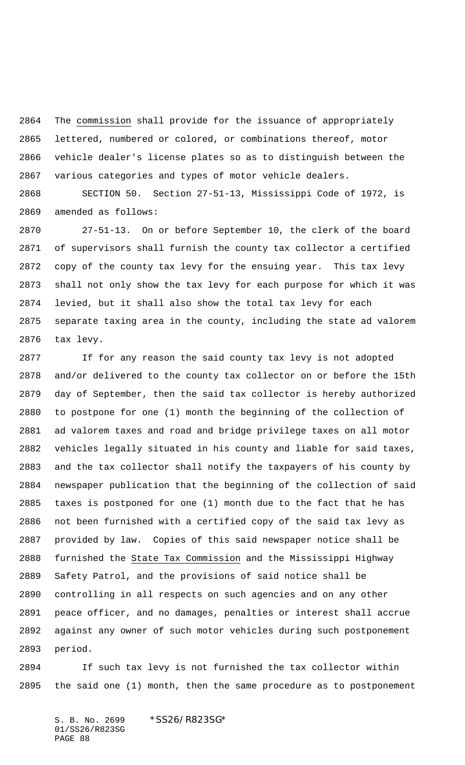The commission shall provide for the issuance of appropriately lettered, numbered or colored, or combinations thereof, motor vehicle dealer's license plates so as to distinguish between the various categories and types of motor vehicle dealers.

 SECTION 50. Section 27-51-13, Mississippi Code of 1972, is amended as follows:

 27-51-13. On or before September 10, the clerk of the board of supervisors shall furnish the county tax collector a certified copy of the county tax levy for the ensuing year. This tax levy shall not only show the tax levy for each purpose for which it was levied, but it shall also show the total tax levy for each separate taxing area in the county, including the state ad valorem tax levy.

 If for any reason the said county tax levy is not adopted and/or delivered to the county tax collector on or before the 15th day of September, then the said tax collector is hereby authorized to postpone for one (1) month the beginning of the collection of ad valorem taxes and road and bridge privilege taxes on all motor vehicles legally situated in his county and liable for said taxes, and the tax collector shall notify the taxpayers of his county by newspaper publication that the beginning of the collection of said taxes is postponed for one (1) month due to the fact that he has not been furnished with a certified copy of the said tax levy as provided by law. Copies of this said newspaper notice shall be furnished the State Tax Commission and the Mississippi Highway Safety Patrol, and the provisions of said notice shall be controlling in all respects on such agencies and on any other peace officer, and no damages, penalties or interest shall accrue against any owner of such motor vehicles during such postponement period.

 If such tax levy is not furnished the tax collector within the said one (1) month, then the same procedure as to postponement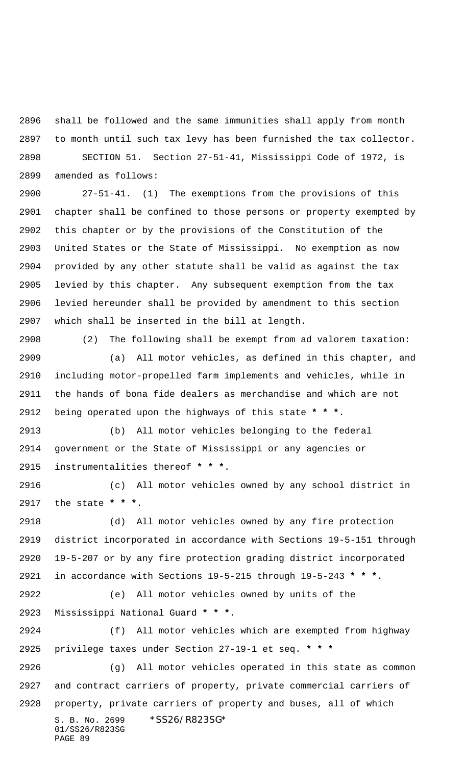shall be followed and the same immunities shall apply from month to month until such tax levy has been furnished the tax collector. SECTION 51. Section 27-51-41, Mississippi Code of 1972, is amended as follows:

 27-51-41. (1) The exemptions from the provisions of this chapter shall be confined to those persons or property exempted by this chapter or by the provisions of the Constitution of the United States or the State of Mississippi. No exemption as now provided by any other statute shall be valid as against the tax levied by this chapter. Any subsequent exemption from the tax levied hereunder shall be provided by amendment to this section which shall be inserted in the bill at length.

 (2) The following shall be exempt from ad valorem taxation: (a) All motor vehicles, as defined in this chapter, and including motor-propelled farm implements and vehicles, while in the hands of bona fide dealers as merchandise and which are not being operated upon the highways of this state **\* \* \***.

 (b) All motor vehicles belonging to the federal government or the State of Mississippi or any agencies or instrumentalities thereof **\* \* \***.

 (c) All motor vehicles owned by any school district in the state **\* \* \***.

 (d) All motor vehicles owned by any fire protection district incorporated in accordance with Sections 19-5-151 through 19-5-207 or by any fire protection grading district incorporated in accordance with Sections 19-5-215 through 19-5-243 **\* \* \***.

 (e) All motor vehicles owned by units of the Mississippi National Guard **\* \* \***.

 (f) All motor vehicles which are exempted from highway privilege taxes under Section 27-19-1 et seq. **\* \* \***

S. B. No. 2699 \*SS26/R823SG\* 01/SS26/R823SG PAGE 89 (g) All motor vehicles operated in this state as common and contract carriers of property, private commercial carriers of property, private carriers of property and buses, all of which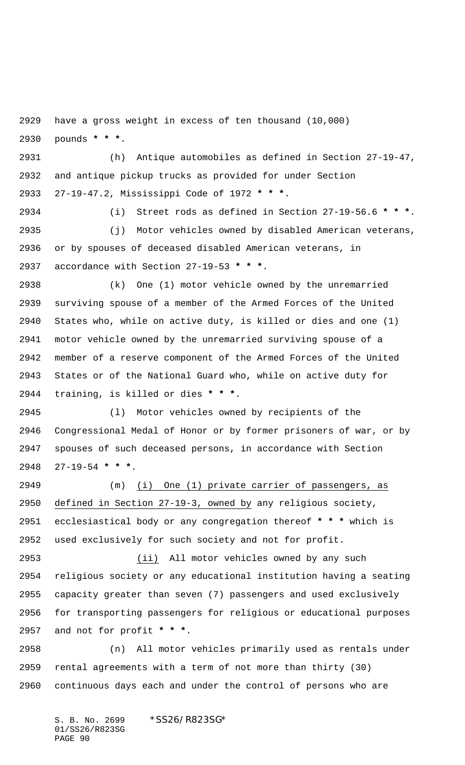have a gross weight in excess of ten thousand (10,000)

pounds **\* \* \***.

 (h) Antique automobiles as defined in Section 27-19-47, and antique pickup trucks as provided for under Section 27-19-47.2, Mississippi Code of 1972 **\* \* \***.

 (i) Street rods as defined in Section 27-19-56.6 **\* \* \***. (j) Motor vehicles owned by disabled American veterans, or by spouses of deceased disabled American veterans, in accordance with Section 27-19-53 **\* \* \***.

 (k) One (1) motor vehicle owned by the unremarried surviving spouse of a member of the Armed Forces of the United States who, while on active duty, is killed or dies and one (1) motor vehicle owned by the unremarried surviving spouse of a member of a reserve component of the Armed Forces of the United States or of the National Guard who, while on active duty for training, is killed or dies **\* \* \***.

 (l) Motor vehicles owned by recipients of the Congressional Medal of Honor or by former prisoners of war, or by spouses of such deceased persons, in accordance with Section 27-19-54 **\* \* \***.

 (m) (i) One (1) private carrier of passengers, as defined in Section 27-19-3, owned by any religious society, ecclesiastical body or any congregation thereof **\* \* \*** which is used exclusively for such society and not for profit.

 (ii) All motor vehicles owned by any such religious society or any educational institution having a seating capacity greater than seven (7) passengers and used exclusively for transporting passengers for religious or educational purposes and not for profit **\* \* \***.

 (n) All motor vehicles primarily used as rentals under rental agreements with a term of not more than thirty (30) continuous days each and under the control of persons who are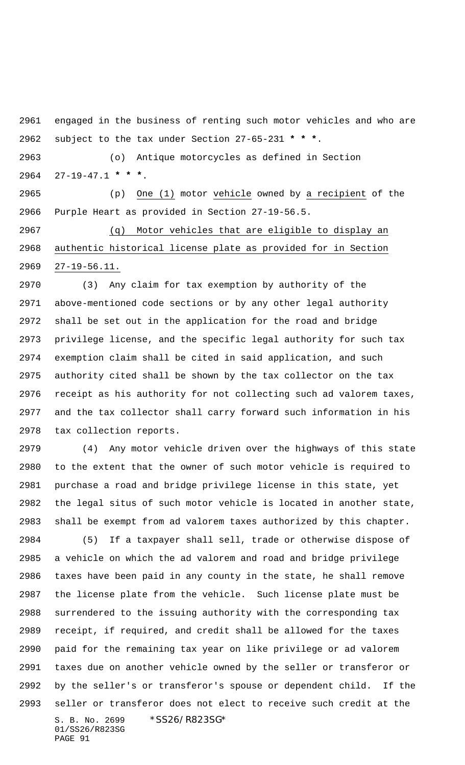engaged in the business of renting such motor vehicles and who are subject to the tax under Section 27-65-231 **\* \* \***.

 (o) Antique motorcycles as defined in Section 27-19-47.1 **\* \* \***.

 (p) One (1) motor vehicle owned by a recipient of the Purple Heart as provided in Section 27-19-56.5.

 (q) Motor vehicles that are eligible to display an authentic historical license plate as provided for in Section 27-19-56.11.

 (3) Any claim for tax exemption by authority of the above-mentioned code sections or by any other legal authority shall be set out in the application for the road and bridge privilege license, and the specific legal authority for such tax exemption claim shall be cited in said application, and such authority cited shall be shown by the tax collector on the tax receipt as his authority for not collecting such ad valorem taxes, and the tax collector shall carry forward such information in his tax collection reports.

S. B. No. 2699 \* SS26/R823SG\* 01/SS26/R823SG PAGE 91 (4) Any motor vehicle driven over the highways of this state to the extent that the owner of such motor vehicle is required to purchase a road and bridge privilege license in this state, yet the legal situs of such motor vehicle is located in another state, shall be exempt from ad valorem taxes authorized by this chapter. (5) If a taxpayer shall sell, trade or otherwise dispose of a vehicle on which the ad valorem and road and bridge privilege taxes have been paid in any county in the state, he shall remove the license plate from the vehicle. Such license plate must be surrendered to the issuing authority with the corresponding tax receipt, if required, and credit shall be allowed for the taxes paid for the remaining tax year on like privilege or ad valorem taxes due on another vehicle owned by the seller or transferor or by the seller's or transferor's spouse or dependent child. If the seller or transferor does not elect to receive such credit at the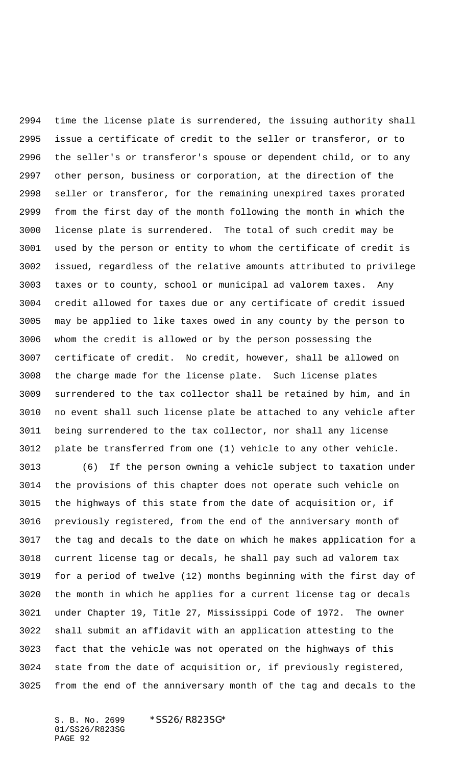time the license plate is surrendered, the issuing authority shall issue a certificate of credit to the seller or transferor, or to the seller's or transferor's spouse or dependent child, or to any other person, business or corporation, at the direction of the seller or transferor, for the remaining unexpired taxes prorated from the first day of the month following the month in which the license plate is surrendered. The total of such credit may be used by the person or entity to whom the certificate of credit is issued, regardless of the relative amounts attributed to privilege taxes or to county, school or municipal ad valorem taxes. Any credit allowed for taxes due or any certificate of credit issued may be applied to like taxes owed in any county by the person to whom the credit is allowed or by the person possessing the certificate of credit. No credit, however, shall be allowed on the charge made for the license plate. Such license plates surrendered to the tax collector shall be retained by him, and in no event shall such license plate be attached to any vehicle after being surrendered to the tax collector, nor shall any license plate be transferred from one (1) vehicle to any other vehicle.

 (6) If the person owning a vehicle subject to taxation under the provisions of this chapter does not operate such vehicle on the highways of this state from the date of acquisition or, if previously registered, from the end of the anniversary month of the tag and decals to the date on which he makes application for a current license tag or decals, he shall pay such ad valorem tax for a period of twelve (12) months beginning with the first day of the month in which he applies for a current license tag or decals under Chapter 19, Title 27, Mississippi Code of 1972. The owner shall submit an affidavit with an application attesting to the fact that the vehicle was not operated on the highways of this state from the date of acquisition or, if previously registered, from the end of the anniversary month of the tag and decals to the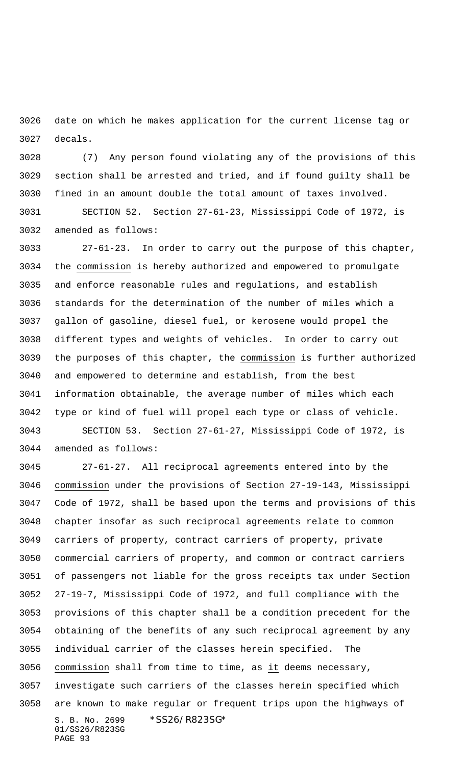date on which he makes application for the current license tag or decals.

 (7) Any person found violating any of the provisions of this section shall be arrested and tried, and if found guilty shall be fined in an amount double the total amount of taxes involved. SECTION 52. Section 27-61-23, Mississippi Code of 1972, is amended as follows:

 27-61-23. In order to carry out the purpose of this chapter, the commission is hereby authorized and empowered to promulgate and enforce reasonable rules and regulations, and establish standards for the determination of the number of miles which a gallon of gasoline, diesel fuel, or kerosene would propel the different types and weights of vehicles. In order to carry out the purposes of this chapter, the commission is further authorized and empowered to determine and establish, from the best information obtainable, the average number of miles which each type or kind of fuel will propel each type or class of vehicle. SECTION 53. Section 27-61-27, Mississippi Code of 1972, is

amended as follows:

S. B. No. 2699 \* SS26/R823SG\* 01/SS26/R823SG 27-61-27. All reciprocal agreements entered into by the commission under the provisions of Section 27-19-143, Mississippi Code of 1972, shall be based upon the terms and provisions of this chapter insofar as such reciprocal agreements relate to common carriers of property, contract carriers of property, private commercial carriers of property, and common or contract carriers of passengers not liable for the gross receipts tax under Section 27-19-7, Mississippi Code of 1972, and full compliance with the provisions of this chapter shall be a condition precedent for the obtaining of the benefits of any such reciprocal agreement by any individual carrier of the classes herein specified. The commission shall from time to time, as it deems necessary, investigate such carriers of the classes herein specified which are known to make regular or frequent trips upon the highways of

PAGE 93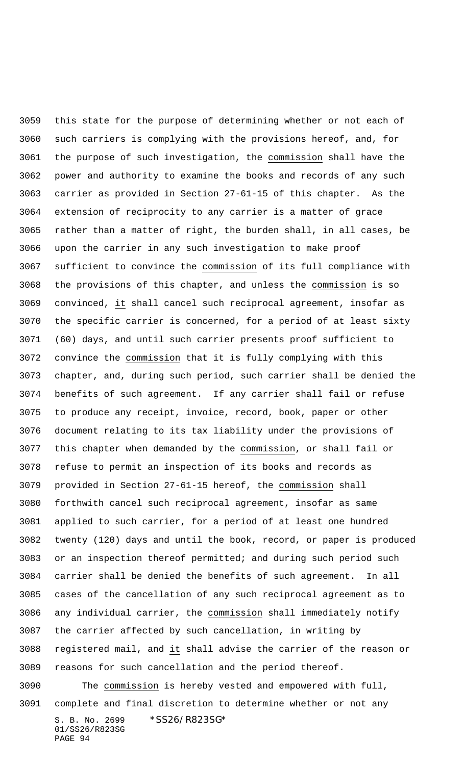S. B. No. 2699 \* SS26/R823SG\* 01/SS26/R823SG this state for the purpose of determining whether or not each of such carriers is complying with the provisions hereof, and, for the purpose of such investigation, the commission shall have the power and authority to examine the books and records of any such carrier as provided in Section 27-61-15 of this chapter. As the extension of reciprocity to any carrier is a matter of grace rather than a matter of right, the burden shall, in all cases, be upon the carrier in any such investigation to make proof sufficient to convince the commission of its full compliance with the provisions of this chapter, and unless the commission is so convinced, it shall cancel such reciprocal agreement, insofar as the specific carrier is concerned, for a period of at least sixty (60) days, and until such carrier presents proof sufficient to convince the commission that it is fully complying with this chapter, and, during such period, such carrier shall be denied the benefits of such agreement. If any carrier shall fail or refuse to produce any receipt, invoice, record, book, paper or other document relating to its tax liability under the provisions of this chapter when demanded by the commission, or shall fail or refuse to permit an inspection of its books and records as provided in Section 27-61-15 hereof, the commission shall forthwith cancel such reciprocal agreement, insofar as same applied to such carrier, for a period of at least one hundred twenty (120) days and until the book, record, or paper is produced or an inspection thereof permitted; and during such period such carrier shall be denied the benefits of such agreement. In all cases of the cancellation of any such reciprocal agreement as to any individual carrier, the commission shall immediately notify the carrier affected by such cancellation, in writing by registered mail, and it shall advise the carrier of the reason or reasons for such cancellation and the period thereof. The commission is hereby vested and empowered with full, complete and final discretion to determine whether or not any

PAGE 94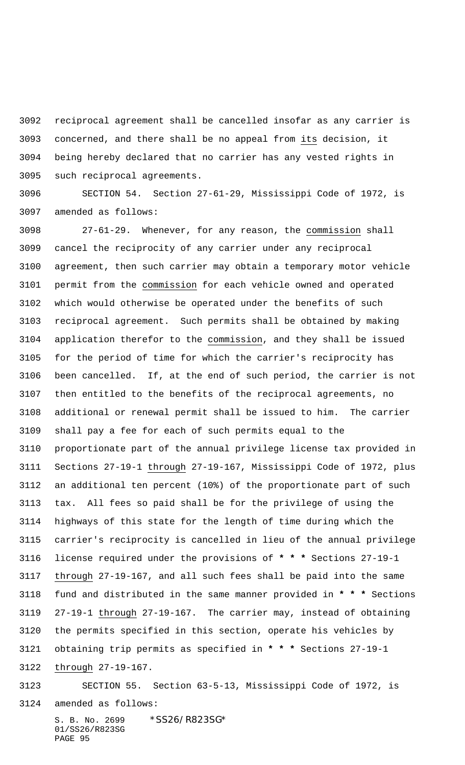reciprocal agreement shall be cancelled insofar as any carrier is concerned, and there shall be no appeal from its decision, it being hereby declared that no carrier has any vested rights in such reciprocal agreements.

 SECTION 54. Section 27-61-29, Mississippi Code of 1972, is amended as follows:

 27-61-29. Whenever, for any reason, the commission shall cancel the reciprocity of any carrier under any reciprocal agreement, then such carrier may obtain a temporary motor vehicle permit from the commission for each vehicle owned and operated which would otherwise be operated under the benefits of such reciprocal agreement. Such permits shall be obtained by making application therefor to the commission, and they shall be issued for the period of time for which the carrier's reciprocity has been cancelled. If, at the end of such period, the carrier is not then entitled to the benefits of the reciprocal agreements, no additional or renewal permit shall be issued to him. The carrier shall pay a fee for each of such permits equal to the proportionate part of the annual privilege license tax provided in Sections 27-19-1 through 27-19-167, Mississippi Code of 1972, plus an additional ten percent (10%) of the proportionate part of such tax. All fees so paid shall be for the privilege of using the highways of this state for the length of time during which the carrier's reciprocity is cancelled in lieu of the annual privilege license required under the provisions of **\* \* \*** Sections 27-19-1 through 27-19-167, and all such fees shall be paid into the same fund and distributed in the same manner provided in **\* \* \*** Sections 27-19-1 through 27-19-167. The carrier may, instead of obtaining the permits specified in this section, operate his vehicles by obtaining trip permits as specified in **\* \* \*** Sections 27-19-1 through 27-19-167.

## SECTION 55. Section 63-5-13, Mississippi Code of 1972, is

amended as follows: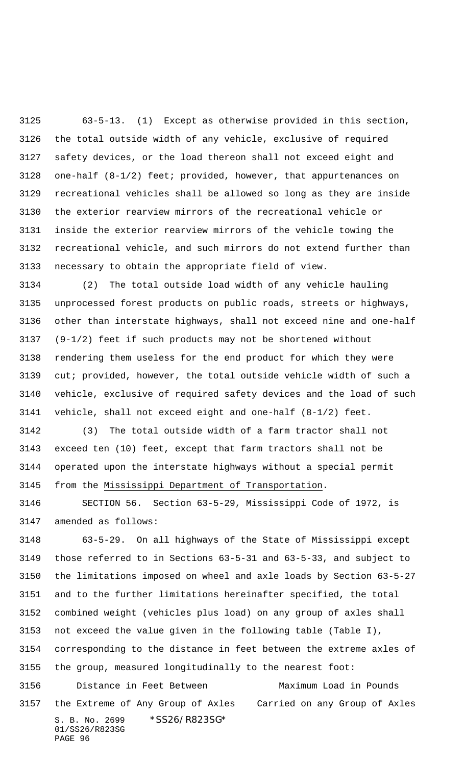63-5-13. (1) Except as otherwise provided in this section, the total outside width of any vehicle, exclusive of required safety devices, or the load thereon shall not exceed eight and one-half (8-1/2) feet; provided, however, that appurtenances on recreational vehicles shall be allowed so long as they are inside the exterior rearview mirrors of the recreational vehicle or inside the exterior rearview mirrors of the vehicle towing the recreational vehicle, and such mirrors do not extend further than necessary to obtain the appropriate field of view.

 (2) The total outside load width of any vehicle hauling unprocessed forest products on public roads, streets or highways, other than interstate highways, shall not exceed nine and one-half (9-1/2) feet if such products may not be shortened without rendering them useless for the end product for which they were cut; provided, however, the total outside vehicle width of such a vehicle, exclusive of required safety devices and the load of such vehicle, shall not exceed eight and one-half (8-1/2) feet.

 (3) The total outside width of a farm tractor shall not exceed ten (10) feet, except that farm tractors shall not be operated upon the interstate highways without a special permit from the Mississippi Department of Transportation.

 SECTION 56. Section 63-5-29, Mississippi Code of 1972, is amended as follows:

S. B. No. 2699 \* SS26/R823SG\* 01/SS26/R823SG PAGE 96 63-5-29. On all highways of the State of Mississippi except those referred to in Sections 63-5-31 and 63-5-33, and subject to the limitations imposed on wheel and axle loads by Section 63-5-27 and to the further limitations hereinafter specified, the total combined weight (vehicles plus load) on any group of axles shall not exceed the value given in the following table (Table I), corresponding to the distance in feet between the extreme axles of the group, measured longitudinally to the nearest foot: 3156 Distance in Feet Between Maximum Load in Pounds the Extreme of Any Group of Axles Carried on any Group of Axles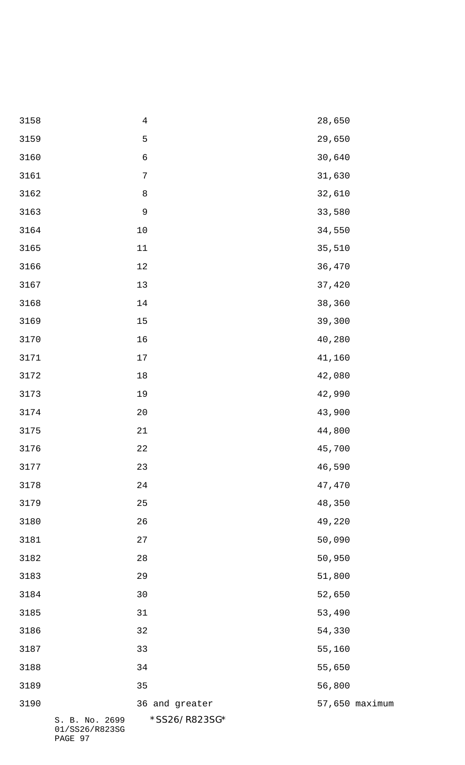| 3158 |                                  | $\sqrt{4}$       | 28,650 |                |
|------|----------------------------------|------------------|--------|----------------|
| 3159 |                                  | $\mathsf S$      | 29,650 |                |
| 3160 |                                  | $\epsilon$       | 30,640 |                |
| 3161 |                                  | $\boldsymbol{7}$ | 31,630 |                |
| 3162 |                                  | $\,8\,$          | 32,610 |                |
| 3163 |                                  | $\mathsf 9$      | 33,580 |                |
| 3164 |                                  | $10$             | 34,550 |                |
| 3165 |                                  | $11\,$           | 35,510 |                |
| 3166 |                                  | $12\,$           | 36,470 |                |
| 3167 |                                  | $13$             | 37,420 |                |
| 3168 |                                  | 14               | 38,360 |                |
| 3169 |                                  | 15               | 39,300 |                |
| 3170 |                                  | $16$             | 40,280 |                |
| 3171 |                                  | $17$             | 41,160 |                |
| 3172 |                                  | $18\,$           | 42,080 |                |
| 3173 |                                  | 19               | 42,990 |                |
| 3174 |                                  | 20               | 43,900 |                |
| 3175 |                                  | 21               | 44,800 |                |
| 3176 |                                  | 22               | 45,700 |                |
| 3177 |                                  | 23               | 46,590 |                |
| 3178 |                                  | 24               | 47,470 |                |
| 3179 |                                  | 25               | 48,350 |                |
| 3180 |                                  | 26               | 49,220 |                |
| 3181 |                                  | 27               | 50,090 |                |
| 3182 |                                  | 28               | 50,950 |                |
| 3183 |                                  | 29               | 51,800 |                |
| 3184 |                                  | 30               | 52,650 |                |
| 3185 |                                  | 31               | 53,490 |                |
| 3186 |                                  | 32               | 54,330 |                |
| 3187 |                                  | 33               | 55,160 |                |
| 3188 |                                  | 34               | 55,650 |                |
| 3189 |                                  | 35               | 56,800 |                |
| 3190 |                                  | 36 and greater   |        | 57,650 maximum |
|      | S. B. No. 2699<br>01/SS26/R823SG | *SS26/R823SG*    |        |                |

PAGE 97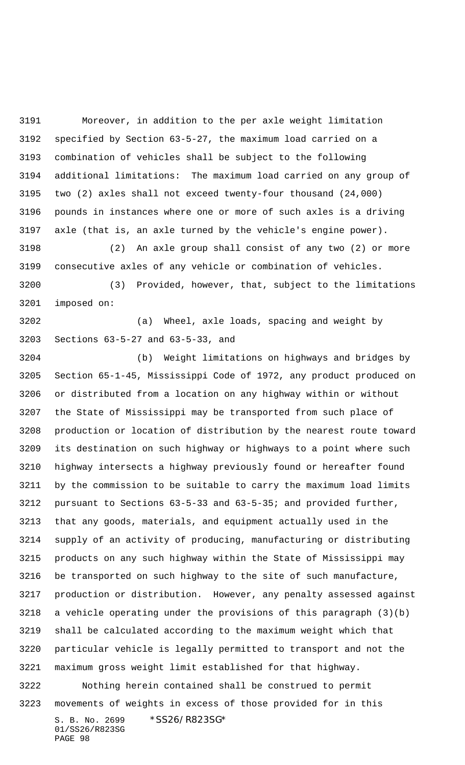Moreover, in addition to the per axle weight limitation specified by Section 63-5-27, the maximum load carried on a combination of vehicles shall be subject to the following additional limitations: The maximum load carried on any group of two (2) axles shall not exceed twenty-four thousand (24,000) pounds in instances where one or more of such axles is a driving axle (that is, an axle turned by the vehicle's engine power).

 (2) An axle group shall consist of any two (2) or more consecutive axles of any vehicle or combination of vehicles. (3) Provided, however, that, subject to the limitations

imposed on:

 (a) Wheel, axle loads, spacing and weight by Sections 63-5-27 and 63-5-33, and

S. B. No. 2699 \* SS26/R823SG\* (b) Weight limitations on highways and bridges by Section 65-1-45, Mississippi Code of 1972, any product produced on or distributed from a location on any highway within or without the State of Mississippi may be transported from such place of production or location of distribution by the nearest route toward its destination on such highway or highways to a point where such highway intersects a highway previously found or hereafter found by the commission to be suitable to carry the maximum load limits pursuant to Sections 63-5-33 and 63-5-35; and provided further, that any goods, materials, and equipment actually used in the supply of an activity of producing, manufacturing or distributing products on any such highway within the State of Mississippi may be transported on such highway to the site of such manufacture, production or distribution. However, any penalty assessed against a vehicle operating under the provisions of this paragraph (3)(b) shall be calculated according to the maximum weight which that particular vehicle is legally permitted to transport and not the maximum gross weight limit established for that highway. Nothing herein contained shall be construed to permit movements of weights in excess of those provided for in this

01/SS26/R823SG PAGE 98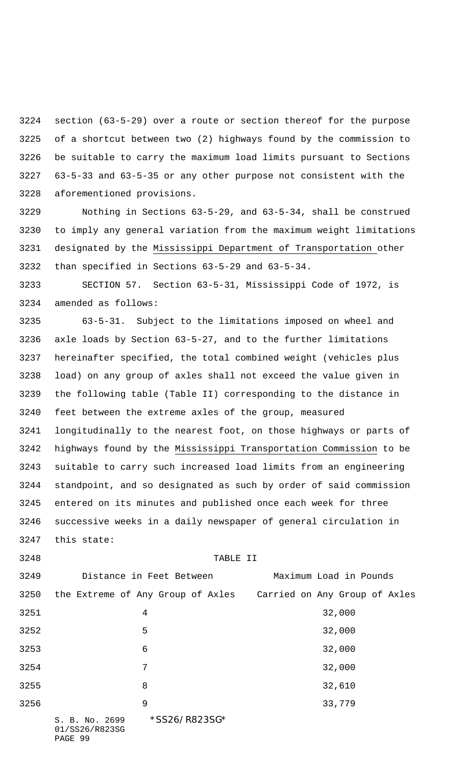section (63-5-29) over a route or section thereof for the purpose of a shortcut between two (2) highways found by the commission to be suitable to carry the maximum load limits pursuant to Sections 63-5-33 and 63-5-35 or any other purpose not consistent with the aforementioned provisions.

 Nothing in Sections 63-5-29, and 63-5-34, shall be construed to imply any general variation from the maximum weight limitations designated by the Mississippi Department of Transportation other than specified in Sections 63-5-29 and 63-5-34.

 SECTION 57. Section 63-5-31, Mississippi Code of 1972, is amended as follows:

 63-5-31. Subject to the limitations imposed on wheel and axle loads by Section 63-5-27, and to the further limitations hereinafter specified, the total combined weight (vehicles plus load) on any group of axles shall not exceed the value given in the following table (Table II) corresponding to the distance in feet between the extreme axles of the group, measured longitudinally to the nearest foot, on those highways or parts of highways found by the Mississippi Transportation Commission to be suitable to carry such increased load limits from an engineering standpoint, and so designated as such by order of said commission entered on its minutes and published once each week for three successive weeks in a daily newspaper of general circulation in this state:

## TABLE II

| 3249 | Distance in Feet Between                                        | Maximum Load in Pounds |
|------|-----------------------------------------------------------------|------------------------|
| 3250 | the Extreme of Any Group of Axles Carried on Any Group of Axles |                        |
| 3251 | 4                                                               | 32,000                 |
| 3252 | 5                                                               | 32,000                 |
| 3253 | 6                                                               | 32,000                 |
| 3254 | 7                                                               | 32,000                 |
| 3255 | 8                                                               | 32,610                 |
| 3256 | 9                                                               | 33,779                 |
|      | *SS26/R823SG*<br>S. B. No. 2699<br>01/SS26/R823SG               |                        |

PAGE 99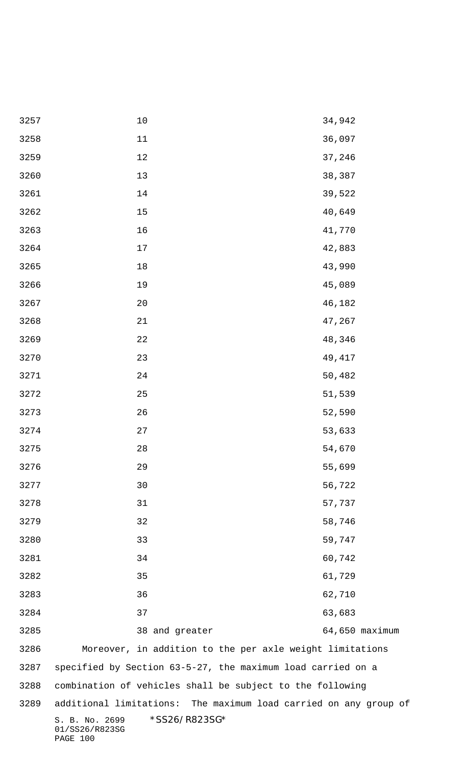| 3257 | $10$                                                          | 34,942                                                           |  |  |  |
|------|---------------------------------------------------------------|------------------------------------------------------------------|--|--|--|
| 3258 | $11\,$                                                        | 36,097                                                           |  |  |  |
| 3259 | 12                                                            | 37,246                                                           |  |  |  |
| 3260 | 13                                                            | 38,387                                                           |  |  |  |
| 3261 | 14                                                            | 39,522                                                           |  |  |  |
| 3262 | 15                                                            | 40,649                                                           |  |  |  |
| 3263 | 16                                                            | 41,770                                                           |  |  |  |
| 3264 | $17$                                                          | 42,883                                                           |  |  |  |
| 3265 | $18\,$                                                        | 43,990                                                           |  |  |  |
| 3266 | 19                                                            | 45,089                                                           |  |  |  |
| 3267 | 20                                                            | 46,182                                                           |  |  |  |
| 3268 | 21                                                            | 47,267                                                           |  |  |  |
| 3269 | 22                                                            | 48,346                                                           |  |  |  |
| 3270 | 23                                                            | 49,417                                                           |  |  |  |
| 3271 | 24                                                            | 50,482                                                           |  |  |  |
| 3272 | 25                                                            | 51,539                                                           |  |  |  |
| 3273 | 26                                                            | 52,590                                                           |  |  |  |
| 3274 | 27                                                            | 53,633                                                           |  |  |  |
| 3275 | 28                                                            | 54,670                                                           |  |  |  |
| 3276 | 29                                                            | 55,699                                                           |  |  |  |
| 3277 | 30                                                            | 56,722                                                           |  |  |  |
| 3278 | 31                                                            | 57,737                                                           |  |  |  |
| 3279 | 32                                                            | 58,746                                                           |  |  |  |
| 3280 | 33                                                            | 59,747                                                           |  |  |  |
| 3281 | 34                                                            | 60,742                                                           |  |  |  |
| 3282 | 35                                                            | 61,729                                                           |  |  |  |
| 3283 | 36                                                            | 62,710                                                           |  |  |  |
| 3284 | 37                                                            | 63,683                                                           |  |  |  |
| 3285 | 38 and greater                                                | 64,650 maximum                                                   |  |  |  |
| 3286 | Moreover, in addition to the per axle weight limitations      |                                                                  |  |  |  |
| 3287 | specified by Section 63-5-27, the maximum load carried on a   |                                                                  |  |  |  |
| 3288 | combination of vehicles shall be subject to the following     |                                                                  |  |  |  |
| 3289 |                                                               | additional limitations: The maximum load carried on any group of |  |  |  |
|      | *SS26/R823SG*<br>S. B. No. 2699<br>01/SS26/R823SG<br>PAGE 100 |                                                                  |  |  |  |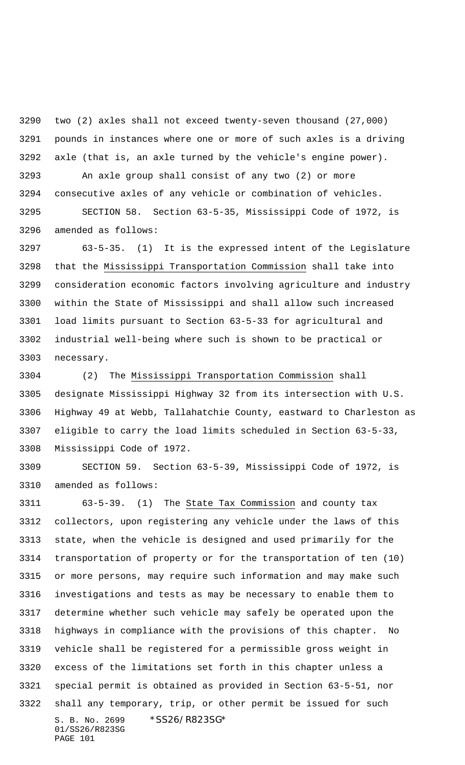two (2) axles shall not exceed twenty-seven thousand (27,000) pounds in instances where one or more of such axles is a driving axle (that is, an axle turned by the vehicle's engine power).

 An axle group shall consist of any two (2) or more consecutive axles of any vehicle or combination of vehicles. SECTION 58. Section 63-5-35, Mississippi Code of 1972, is amended as follows:

 63-5-35. (1) It is the expressed intent of the Legislature that the Mississippi Transportation Commission shall take into consideration economic factors involving agriculture and industry within the State of Mississippi and shall allow such increased load limits pursuant to Section 63-5-33 for agricultural and industrial well-being where such is shown to be practical or necessary.

 (2) The Mississippi Transportation Commission shall designate Mississippi Highway 32 from its intersection with U.S. Highway 49 at Webb, Tallahatchie County, eastward to Charleston as eligible to carry the load limits scheduled in Section 63-5-33, Mississippi Code of 1972.

 SECTION 59. Section 63-5-39, Mississippi Code of 1972, is amended as follows:

S. B. No. 2699 \*SS26/R823SG\* 01/SS26/R823SG 63-5-39. (1) The State Tax Commission and county tax collectors, upon registering any vehicle under the laws of this state, when the vehicle is designed and used primarily for the transportation of property or for the transportation of ten (10) or more persons, may require such information and may make such investigations and tests as may be necessary to enable them to determine whether such vehicle may safely be operated upon the highways in compliance with the provisions of this chapter. No vehicle shall be registered for a permissible gross weight in excess of the limitations set forth in this chapter unless a special permit is obtained as provided in Section 63-5-51, nor shall any temporary, trip, or other permit be issued for such

PAGE 101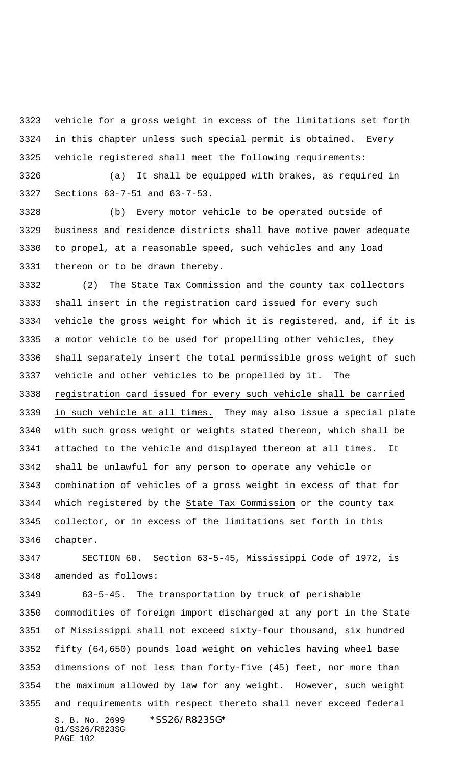vehicle for a gross weight in excess of the limitations set forth in this chapter unless such special permit is obtained. Every vehicle registered shall meet the following requirements:

 (a) It shall be equipped with brakes, as required in Sections 63-7-51 and 63-7-53.

 (b) Every motor vehicle to be operated outside of business and residence districts shall have motive power adequate to propel, at a reasonable speed, such vehicles and any load thereon or to be drawn thereby.

 (2) The State Tax Commission and the county tax collectors shall insert in the registration card issued for every such vehicle the gross weight for which it is registered, and, if it is a motor vehicle to be used for propelling other vehicles, they shall separately insert the total permissible gross weight of such vehicle and other vehicles to be propelled by it. The registration card issued for every such vehicle shall be carried in such vehicle at all times. They may also issue a special plate with such gross weight or weights stated thereon, which shall be attached to the vehicle and displayed thereon at all times. It shall be unlawful for any person to operate any vehicle or combination of vehicles of a gross weight in excess of that for which registered by the State Tax Commission or the county tax collector, or in excess of the limitations set forth in this chapter.

 SECTION 60. Section 63-5-45, Mississippi Code of 1972, is amended as follows:

S. B. No. 2699 \* SS26/R823SG\* 01/SS26/R823SG PAGE 102 63-5-45. The transportation by truck of perishable commodities of foreign import discharged at any port in the State of Mississippi shall not exceed sixty-four thousand, six hundred fifty (64,650) pounds load weight on vehicles having wheel base dimensions of not less than forty-five (45) feet, nor more than the maximum allowed by law for any weight. However, such weight and requirements with respect thereto shall never exceed federal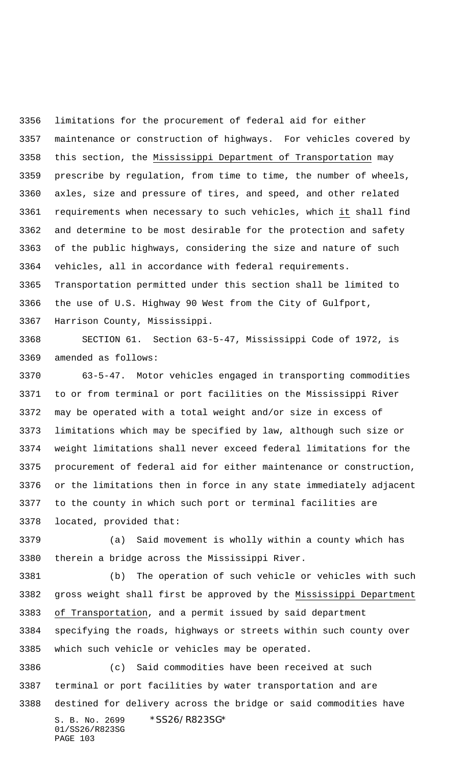limitations for the procurement of federal aid for either maintenance or construction of highways. For vehicles covered by this section, the Mississippi Department of Transportation may prescribe by regulation, from time to time, the number of wheels, axles, size and pressure of tires, and speed, and other related requirements when necessary to such vehicles, which it shall find and determine to be most desirable for the protection and safety of the public highways, considering the size and nature of such vehicles, all in accordance with federal requirements. Transportation permitted under this section shall be limited to the use of U.S. Highway 90 West from the City of Gulfport, Harrison County, Mississippi.

 SECTION 61. Section 63-5-47, Mississippi Code of 1972, is amended as follows:

 63-5-47. Motor vehicles engaged in transporting commodities to or from terminal or port facilities on the Mississippi River may be operated with a total weight and/or size in excess of limitations which may be specified by law, although such size or weight limitations shall never exceed federal limitations for the procurement of federal aid for either maintenance or construction, or the limitations then in force in any state immediately adjacent to the county in which such port or terminal facilities are located, provided that:

 (a) Said movement is wholly within a county which has therein a bridge across the Mississippi River.

 (b) The operation of such vehicle or vehicles with such gross weight shall first be approved by the Mississippi Department of Transportation, and a permit issued by said department specifying the roads, highways or streets within such county over which such vehicle or vehicles may be operated.

S. B. No. 2699 \*SS26/R823SG\* 01/SS26/R823SG PAGE 103 (c) Said commodities have been received at such terminal or port facilities by water transportation and are destined for delivery across the bridge or said commodities have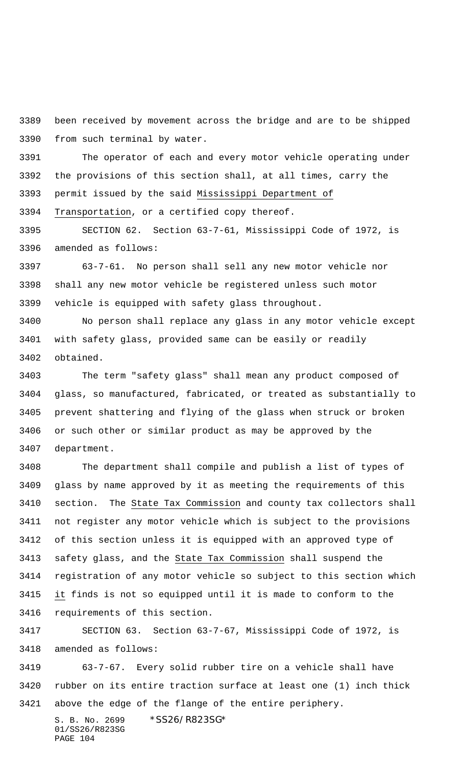been received by movement across the bridge and are to be shipped from such terminal by water.

 The operator of each and every motor vehicle operating under the provisions of this section shall, at all times, carry the permit issued by the said Mississippi Department of Transportation, or a certified copy thereof.

 SECTION 62. Section 63-7-61, Mississippi Code of 1972, is amended as follows:

 63-7-61. No person shall sell any new motor vehicle nor shall any new motor vehicle be registered unless such motor vehicle is equipped with safety glass throughout.

 No person shall replace any glass in any motor vehicle except with safety glass, provided same can be easily or readily obtained.

 The term "safety glass" shall mean any product composed of glass, so manufactured, fabricated, or treated as substantially to prevent shattering and flying of the glass when struck or broken or such other or similar product as may be approved by the department.

 The department shall compile and publish a list of types of glass by name approved by it as meeting the requirements of this section. The State Tax Commission and county tax collectors shall not register any motor vehicle which is subject to the provisions of this section unless it is equipped with an approved type of safety glass, and the State Tax Commission shall suspend the registration of any motor vehicle so subject to this section which it finds is not so equipped until it is made to conform to the requirements of this section.

 SECTION 63. Section 63-7-67, Mississippi Code of 1972, is amended as follows:

 63-7-67. Every solid rubber tire on a vehicle shall have rubber on its entire traction surface at least one (1) inch thick above the edge of the flange of the entire periphery.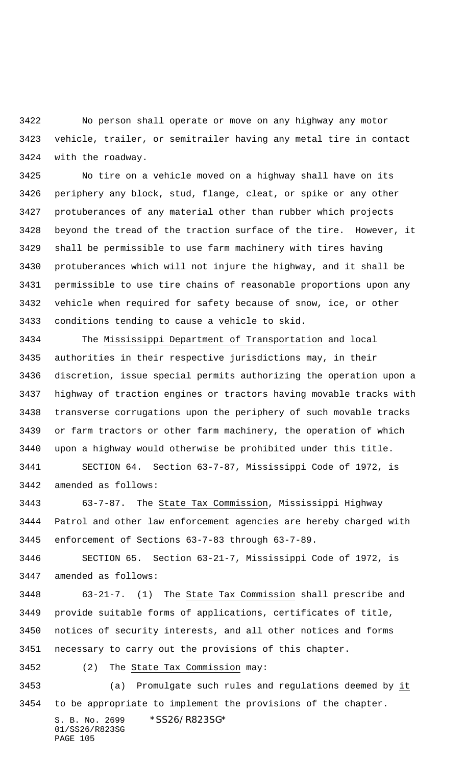No person shall operate or move on any highway any motor vehicle, trailer, or semitrailer having any metal tire in contact with the roadway.

 No tire on a vehicle moved on a highway shall have on its periphery any block, stud, flange, cleat, or spike or any other protuberances of any material other than rubber which projects beyond the tread of the traction surface of the tire. However, it shall be permissible to use farm machinery with tires having protuberances which will not injure the highway, and it shall be permissible to use tire chains of reasonable proportions upon any vehicle when required for safety because of snow, ice, or other conditions tending to cause a vehicle to skid.

 The Mississippi Department of Transportation and local authorities in their respective jurisdictions may, in their discretion, issue special permits authorizing the operation upon a highway of traction engines or tractors having movable tracks with transverse corrugations upon the periphery of such movable tracks or farm tractors or other farm machinery, the operation of which upon a highway would otherwise be prohibited under this title. SECTION 64. Section 63-7-87, Mississippi Code of 1972, is

amended as follows:

 63-7-87. The State Tax Commission, Mississippi Highway Patrol and other law enforcement agencies are hereby charged with enforcement of Sections 63-7-83 through 63-7-89.

 SECTION 65. Section 63-21-7, Mississippi Code of 1972, is amended as follows:

 63-21-7. (1) The State Tax Commission shall prescribe and provide suitable forms of applications, certificates of title, notices of security interests, and all other notices and forms necessary to carry out the provisions of this chapter.

(2) The State Tax Commission may:

 (a) Promulgate such rules and regulations deemed by it to be appropriate to implement the provisions of the chapter.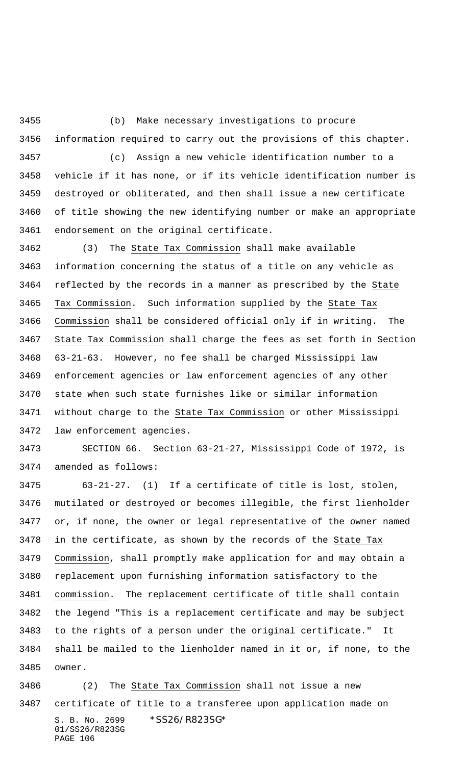(b) Make necessary investigations to procure information required to carry out the provisions of this chapter.

 (c) Assign a new vehicle identification number to a vehicle if it has none, or if its vehicle identification number is destroyed or obliterated, and then shall issue a new certificate of title showing the new identifying number or make an appropriate endorsement on the original certificate.

 (3) The State Tax Commission shall make available information concerning the status of a title on any vehicle as reflected by the records in a manner as prescribed by the State Tax Commission. Such information supplied by the State Tax Commission shall be considered official only if in writing. The State Tax Commission shall charge the fees as set forth in Section 63-21-63. However, no fee shall be charged Mississippi law enforcement agencies or law enforcement agencies of any other state when such state furnishes like or similar information without charge to the State Tax Commission or other Mississippi law enforcement agencies.

 SECTION 66. Section 63-21-27, Mississippi Code of 1972, is amended as follows:

 63-21-27. (1) If a certificate of title is lost, stolen, mutilated or destroyed or becomes illegible, the first lienholder or, if none, the owner or legal representative of the owner named 3478 in the certificate, as shown by the records of the State Tax Commission, shall promptly make application for and may obtain a replacement upon furnishing information satisfactory to the commission. The replacement certificate of title shall contain the legend "This is a replacement certificate and may be subject to the rights of a person under the original certificate." It shall be mailed to the lienholder named in it or, if none, to the owner.

S. B. No. 2699 \* SS26/R823SG\* 01/SS26/R823SG PAGE 106 (2) The State Tax Commission shall not issue a new certificate of title to a transferee upon application made on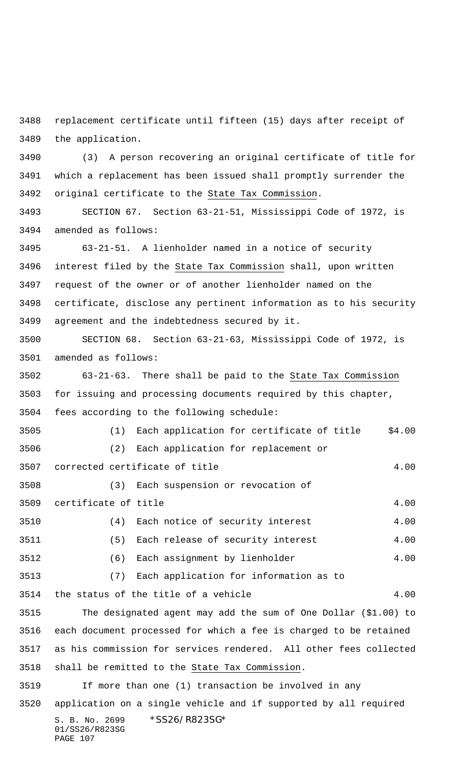replacement certificate until fifteen (15) days after receipt of the application.

 (3) A person recovering an original certificate of title for which a replacement has been issued shall promptly surrender the original certificate to the State Tax Commission.

 SECTION 67. Section 63-21-51, Mississippi Code of 1972, is amended as follows:

 63-21-51. A lienholder named in a notice of security interest filed by the State Tax Commission shall, upon written request of the owner or of another lienholder named on the certificate, disclose any pertinent information as to his security agreement and the indebtedness secured by it.

 SECTION 68. Section 63-21-63, Mississippi Code of 1972, is amended as follows:

 63-21-63. There shall be paid to the State Tax Commission for issuing and processing documents required by this chapter, fees according to the following schedule:

 (1) Each application for certificate of title \$4.00 (2) Each application for replacement or corrected certificate of title 4.00

 (3) Each suspension or revocation of certificate of title 4.00 (4) Each notice of security interest 4.00 (5) Each release of security interest 4.00

3512 (6) Each assignment by lienholder 4.00 (7) Each application for information as to

3514 the status of the title of a vehicle 4.00 The designated agent may add the sum of One Dollar (\$1.00) to

 each document processed for which a fee is charged to be retained as his commission for services rendered. All other fees collected shall be remitted to the State Tax Commission.

S. B. No. 2699 \* SS26/R823SG\* 01/SS26/R823SG PAGE 107 If more than one (1) transaction be involved in any application on a single vehicle and if supported by all required